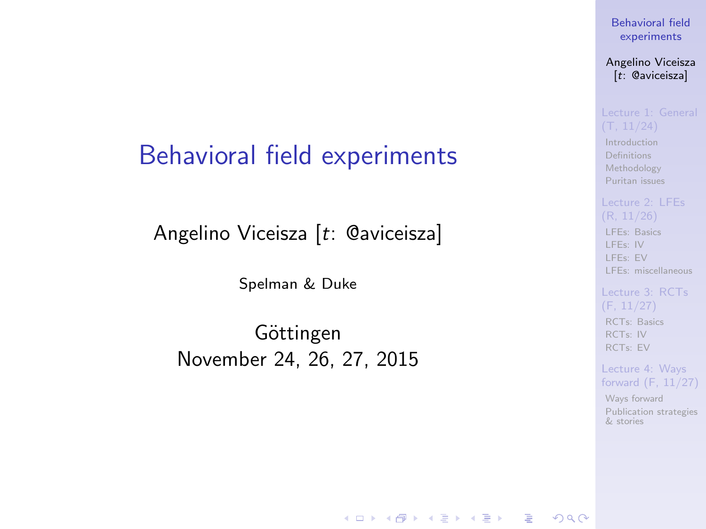### <span id="page-0-0"></span>Behavioral field experiments

Angelino Viceisza [t: @aviceisza]

Spelman & Duke

Göttingen November 24, 26, 27, 2015

**KORK EXTERNE PROVIDE** 

[Behavioral field](#page-116-0) experiments

Angelino Viceisza [t: @aviceisza]

[Introduction](#page-3-0) [Definitions](#page-7-0) [Methodology](#page-9-0) [Puritan issues](#page-20-0)

[LFEs: Basics](#page-29-0) [LFEs: IV](#page-31-0) [LFEs: EV](#page-40-0) [LFEs: miscellaneous](#page-48-0)

[RCTs: Basics](#page-53-0) [RCTs: IV](#page-57-0) [RCTs: EV](#page-80-0)

Lecture 4: Ways [forward \(F, 11/27\)](#page-91-0)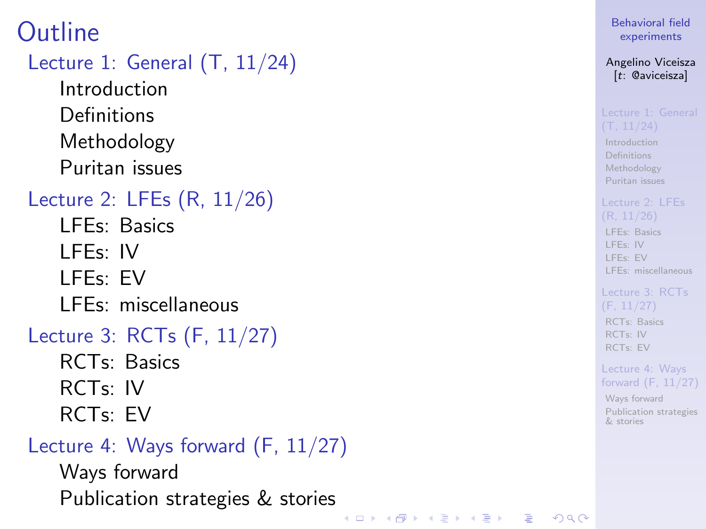## **Outline**

### [Lecture 1: General \(T, 11/24\)](#page-2-0)

[Introduction](#page-3-0) [Definitions](#page-7-0) [Methodology](#page-9-0) [Puritan issues](#page-20-0)

### [Lecture 2: LFEs \(R, 11/26\)](#page-28-0)

- [LFEs: Basics](#page-29-0)
- [LFEs: IV](#page-31-0)
- [LFEs: EV](#page-40-0)
- [LFEs: miscellaneous](#page-48-0)

### [Lecture 3: RCTs \(F, 11/27\)](#page-52-0)

- [RCTs: Basics](#page-53-0) [RCTs: IV](#page-57-0)
- [RCTs: EV](#page-80-0)

### [Lecture 4: Ways forward \(F, 11/27\)](#page-91-0)

[Ways forward](#page-92-0) [Publication strategies & stories](#page-103-0)

### [Behavioral field](#page-0-0) experiments

### Angelino Viceisza [t: @aviceisza]

[Introduction](#page-3-0) [Definitions](#page-7-0) [Methodology](#page-9-0) [Puritan issues](#page-20-0)

[LFEs: Basics](#page-29-0) [LFEs: IV](#page-31-0) [LFEs: EV](#page-40-0) [LFEs: miscellaneous](#page-48-0)

### [RCTs: Basics](#page-53-0) [RCTs: IV](#page-57-0) [RCTs: EV](#page-80-0)

Lecture 4: Ways [forward \(F, 11/27\)](#page-91-0)

[Ways forward](#page-92-0) [Publication strategies](#page-103-0) & stories

KEL KALA KEL KEL KAR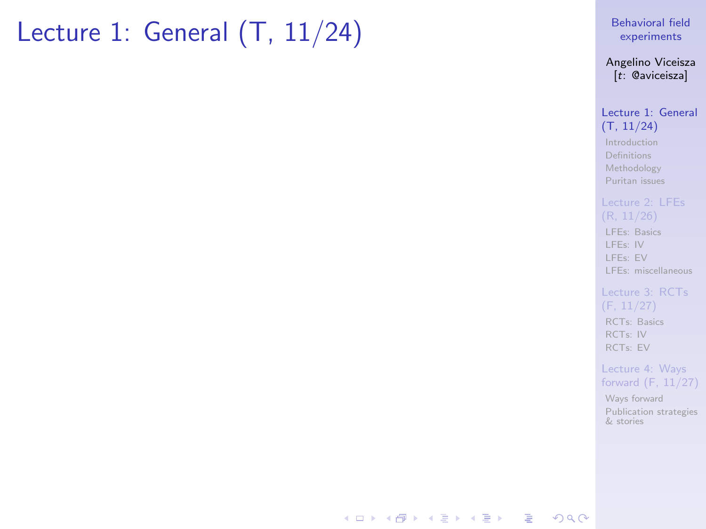# <span id="page-2-0"></span>Lecture 1: General (T, 11/24)

[Behavioral field](#page-0-0) experiments

Angelino Viceisza [t: @aviceisza]

[Lecture 1: General](#page-2-0) (T, 11/24)

[Introduction](#page-3-0) [Definitions](#page-7-0) [Methodology](#page-9-0) [Puritan issues](#page-20-0)

[LFEs: Basics](#page-29-0) [LFEs: IV](#page-31-0) [LFEs: EV](#page-40-0) [LFEs: miscellaneous](#page-48-0)

[Lecture 3: RCTs](#page-52-0) (F, 11/27) [RCTs: Basics](#page-53-0) [RCTs: IV](#page-57-0) [RCTs: EV](#page-80-0)

Lecture 4: Ways [forward \(F, 11/27\)](#page-91-0)

[Ways forward](#page-92-0) [Publication strategies](#page-103-0) & stories

**KORK STRATER ARRIVAL**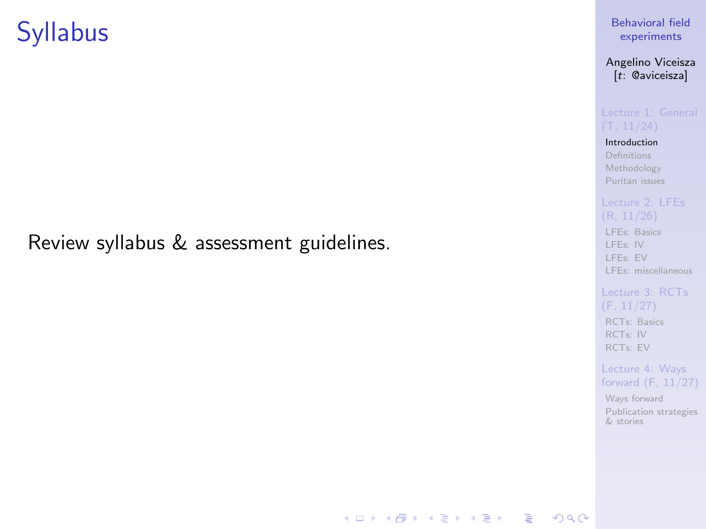## <span id="page-3-0"></span>**Syllabus**

### Review syllabus & assessment guidelines.

### experiments

### Angelino Viceisza [t: @aviceisza]

[Behavioral field](#page-0-0)

#### [Introduction](#page-3-0) [Definitions](#page-7-0)

[Methodology](#page-9-0) [Puritan issues](#page-20-0)

[LFEs: Basics](#page-29-0) [LFEs: IV](#page-31-0) [LFEs: EV](#page-40-0) [LFEs: miscellaneous](#page-48-0)

#### [Lecture 3: RCTs](#page-52-0) (F, 11/27) [RCTs: Basics](#page-53-0) [RCTs: IV](#page-57-0)

[RCTs: EV](#page-80-0) Lecture 4: Ways

### [forward \(F, 11/27\)](#page-91-0)

[Ways forward](#page-92-0) [Publication strategies](#page-103-0) & stories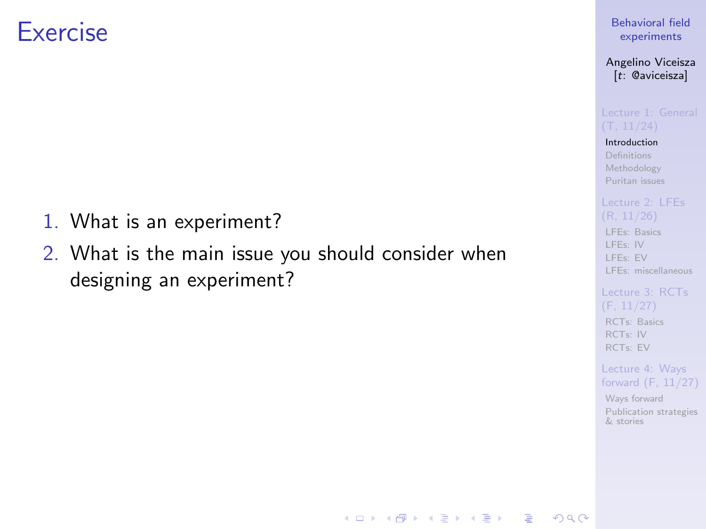### **Exercise**

- 1. What is an experiment?
- 2. What is the main issue you should consider when designing an experiment?

### [Behavioral field](#page-0-0) experiments

Angelino Viceisza [t: @aviceisza]

[Introduction](#page-3-0) [Definitions](#page-7-0) [Methodology](#page-9-0) [Puritan issues](#page-20-0)

[LFEs: Basics](#page-29-0) [LFEs: IV](#page-31-0)

[LFEs: EV](#page-40-0) [LFEs: miscellaneous](#page-48-0)

[RCTs: Basics](#page-53-0) [RCTs: IV](#page-57-0) [RCTs: EV](#page-80-0)

Lecture 4: Ways [forward \(F, 11/27\)](#page-91-0)

[Ways forward](#page-92-0) [Publication strategies](#page-103-0) & stories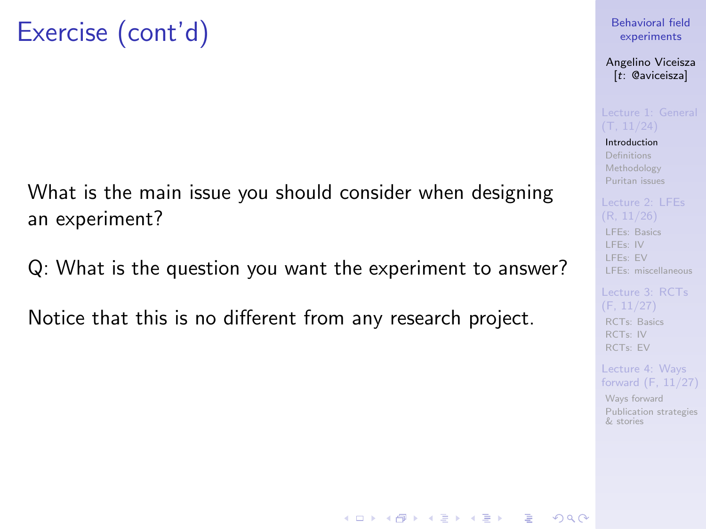What is the main issue you should consider when designing an experiment?

Q: What is the question you want the experiment to answer?

Notice that this is no different from any research project.

### [Behavioral field](#page-0-0) experiments

Angelino Viceisza [t: @aviceisza]

[Introduction](#page-3-0) [Definitions](#page-7-0) [Methodology](#page-9-0) [Puritan issues](#page-20-0)

[LFEs: Basics](#page-29-0) [LFEs: IV](#page-31-0) [LFEs: EV](#page-40-0) [LFEs: miscellaneous](#page-48-0)

[RCTs: Basics](#page-53-0) [RCTs: IV](#page-57-0) [RCTs: EV](#page-80-0)

Lecture 4: Ways [forward \(F, 11/27\)](#page-91-0)

[Ways forward](#page-92-0) [Publication strategies](#page-103-0) & stories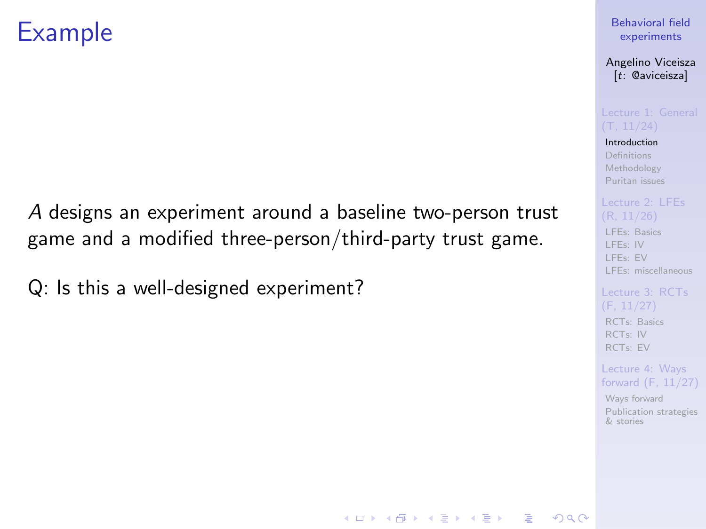## Example

A designs an experiment around a baseline two-person trust game and a modified three-person/third-party trust game.

Q: Is this a well-designed experiment?

### [Behavioral field](#page-0-0) experiments

#### Angelino Viceisza [t: @aviceisza]

[Introduction](#page-3-0) [Definitions](#page-7-0) [Methodology](#page-9-0) [Puritan issues](#page-20-0)

[LFEs: Basics](#page-29-0) [LFEs: IV](#page-31-0) [LFEs: EV](#page-40-0) [LFEs: miscellaneous](#page-48-0)

[RCTs: Basics](#page-53-0) [RCTs: IV](#page-57-0) [RCTs: EV](#page-80-0)

Lecture 4: Ways [forward \(F, 11/27\)](#page-91-0)

[Ways forward](#page-92-0) [Publication strategies](#page-103-0) & stories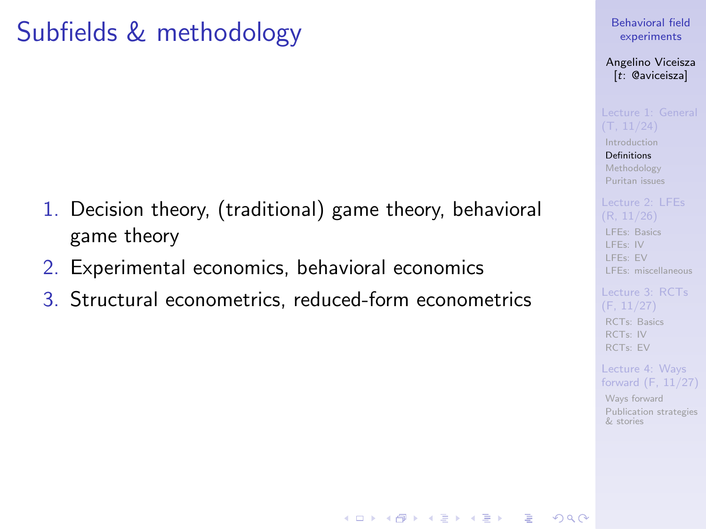# <span id="page-7-0"></span>Subfields & methodology

- 1. Decision theory, (traditional) game theory, behavioral game theory
- 2. Experimental economics, behavioral economics
- 3. Structural econometrics, reduced-form econometrics

[Behavioral field](#page-0-0) experiments

Angelino Viceisza [t: @aviceisza]

[Introduction](#page-3-0) [Definitions](#page-7-0) [Methodology](#page-9-0) [Puritan issues](#page-20-0)

[LFEs: Basics](#page-29-0) [LFEs: IV](#page-31-0) [LFEs: EV](#page-40-0) [LFEs: miscellaneous](#page-48-0)

[RCTs: Basics](#page-53-0) [RCTs: IV](#page-57-0) [RCTs: EV](#page-80-0)

Lecture 4: Ways [forward \(F, 11/27\)](#page-91-0)

[Ways forward](#page-92-0) [Publication strategies](#page-103-0) & stories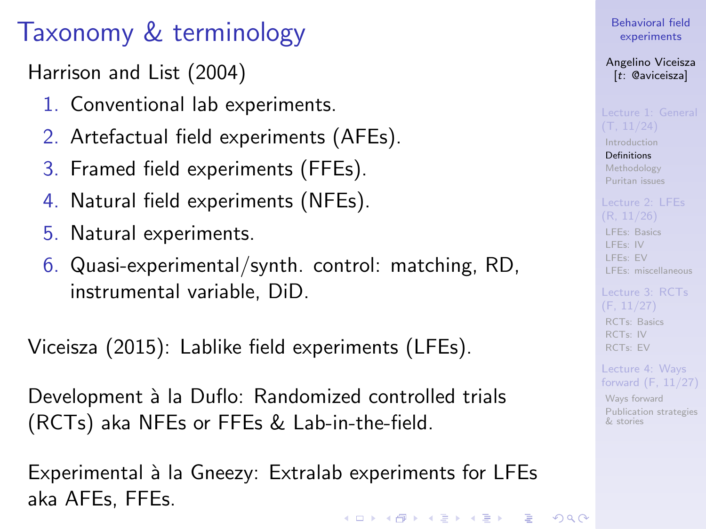# Taxonomy & terminology

Harrison and List (2004)

- 1. Conventional lab experiments.
- 2. Artefactual field experiments (AFEs).
- 3. Framed field experiments (FFEs).
- 4. Natural field experiments (NFEs).
- 5. Natural experiments.
- 6. Quasi-experimental/synth. control: matching, RD, instrumental variable, DiD.

Viceisza (2015): Lablike field experiments (LFEs).

Development à la Duflo: Randomized controlled trials (RCTs) aka NFEs or FFEs & Lab-in-the-field.

Experimental à la Gneezy: Extralab experiments for LFEs aka AFEs, FFEs.**KORK EXTERNE PROVIDE**  [Behavioral field](#page-0-0) experiments

Angelino Viceisza [t: @aviceisza]

[Introduction](#page-3-0) [Definitions](#page-7-0)

[Methodology](#page-9-0) [Puritan issues](#page-20-0)

[LFEs: Basics](#page-29-0) [LFEs: IV](#page-31-0) [LFEs: EV](#page-40-0) [LFEs: miscellaneous](#page-48-0)

[RCTs: Basics](#page-53-0) [RCTs: IV](#page-57-0) [RCTs: EV](#page-80-0)

Lecture 4: Ways [forward \(F, 11/27\)](#page-91-0)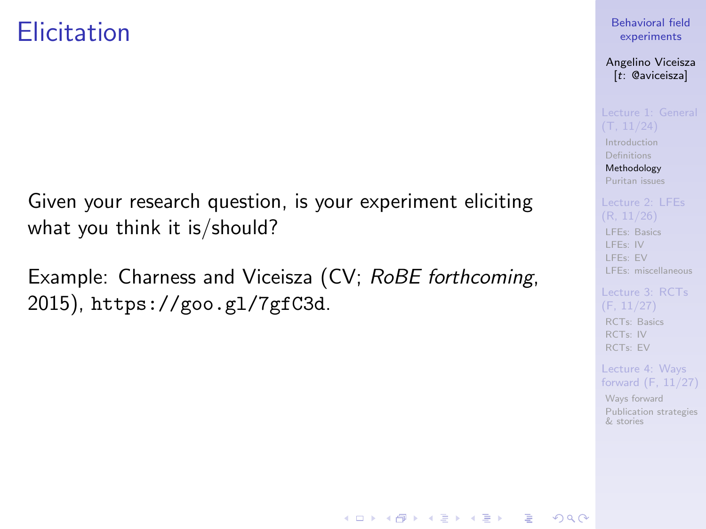### <span id="page-9-0"></span>**Elicitation**

Given your research question, is your experiment eliciting what you think it is/should?

Example: Charness and Viceisza (CV; RoBE forthcoming, 2015), <https://goo.gl/7gfC3d>.

### [Behavioral field](#page-0-0) experiments

Angelino Viceisza [t: @aviceisza]

[Introduction](#page-3-0) [Definitions](#page-7-0) [Methodology](#page-9-0) [Puritan issues](#page-20-0)

[LFEs: Basics](#page-29-0) [LFEs: IV](#page-31-0) [LFEs: EV](#page-40-0) [LFEs: miscellaneous](#page-48-0)

[Lecture 3: RCTs](#page-52-0) [RCTs: Basics](#page-53-0) [RCTs: IV](#page-57-0) [RCTs: EV](#page-80-0)

Lecture 4: Ways [forward \(F, 11/27\)](#page-91-0)

[Ways forward](#page-92-0) [Publication strategies](#page-103-0) & stories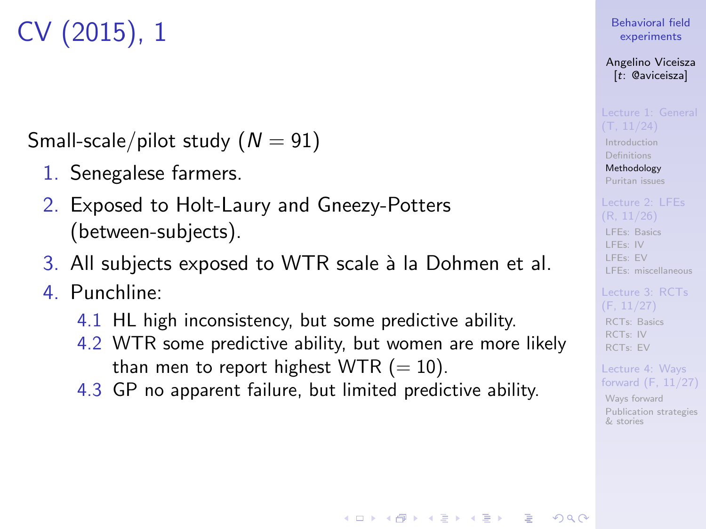# CV (2015), 1

Small-scale/pilot study  $(N = 91)$ 

- 1. Senegalese farmers.
- 2. Exposed to Holt-Laury and Gneezy-Potters (between-subjects).
- 3. All subjects exposed to WTR scale à la Dohmen et al.
- 4. Punchline:
	- 4.1 HL high inconsistency, but some predictive ability.
	- 4.2 WTR some predictive ability, but women are more likely than men to report highest WTR  $(= 10)$ .
	- 4.3 GP no apparent failure, but limited predictive ability.

### [Behavioral field](#page-0-0) experiments

Angelino Viceisza [t: @aviceisza]

[Introduction](#page-3-0) [Definitions](#page-7-0) [Methodology](#page-9-0) [Puritan issues](#page-20-0)

[LFEs: Basics](#page-29-0) [LFEs: IV](#page-31-0) [LFEs: EV](#page-40-0) [LFEs: miscellaneous](#page-48-0)

[RCTs: Basics](#page-53-0) [RCTs: IV](#page-57-0) [RCTs: EV](#page-80-0)

Lecture 4: Ways [forward \(F, 11/27\)](#page-91-0)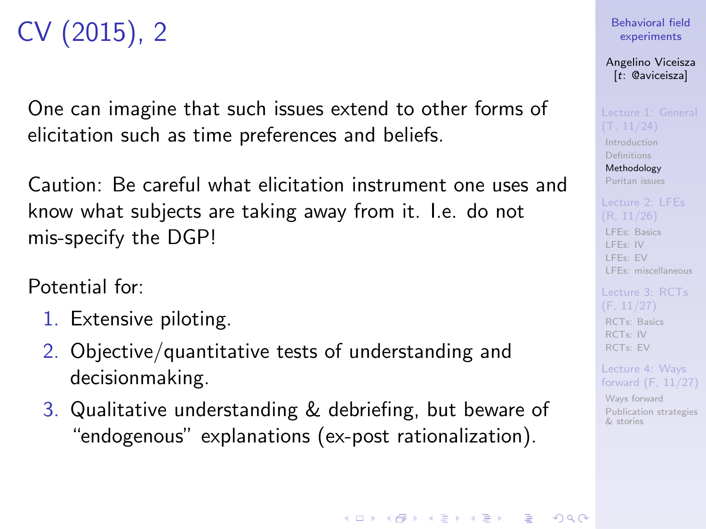# CV (2015), 2

One can imagine that such issues extend to other forms of elicitation such as time preferences and beliefs.

Caution: Be careful what elicitation instrument one uses and know what subjects are taking away from it. I.e. do not mis-specify the DGP!

Potential for:

- 1. Extensive piloting.
- 2. Objective/quantitative tests of understanding and decisionmaking.
- 3. Qualitative understanding & debriefing, but beware of "endogenous" explanations (ex-post rationalization).

Angelino Viceisza [t: @aviceisza]

[Introduction](#page-3-0) [Definitions](#page-7-0) [Methodology](#page-9-0) [Puritan issues](#page-20-0)

[LFEs: Basics](#page-29-0) [LFEs: IV](#page-31-0) [LFEs: EV](#page-40-0) [LFEs: miscellaneous](#page-48-0)

[RCTs: Basics](#page-53-0) [RCTs: IV](#page-57-0) [RCTs: EV](#page-80-0)

Lecture 4: Ways [forward \(F, 11/27\)](#page-91-0)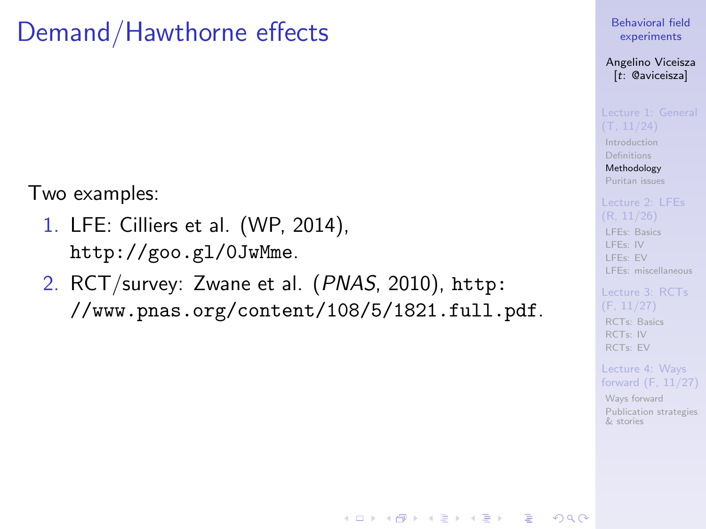## Demand/Hawthorne effects

Two examples:

- 1. LFE: Cilliers et al. (WP, 2014), <http://goo.gl/0JwMme>.
- 2. RCT/survey: Zwane et al. (PNAS, 2010), [http:](http://www.pnas.org/content/108/5/1821.full.pdf) [//www.pnas.org/content/108/5/1821.full.pdf](http://www.pnas.org/content/108/5/1821.full.pdf).

[Behavioral field](#page-0-0) experiments

Angelino Viceisza [t: @aviceisza]

**[Introduction](#page-3-0)** [Definitions](#page-7-0) [Methodology](#page-9-0)

[Puritan issues](#page-20-0)

[LFEs: Basics](#page-29-0) [LFEs: IV](#page-31-0) [LFEs: EV](#page-40-0) [LFEs: miscellaneous](#page-48-0)

[RCTs: Basics](#page-53-0) [RCTs: IV](#page-57-0) [RCTs: EV](#page-80-0)

Lecture 4: Ways [forward \(F, 11/27\)](#page-91-0)

[Ways forward](#page-92-0) [Publication strategies](#page-103-0) & stories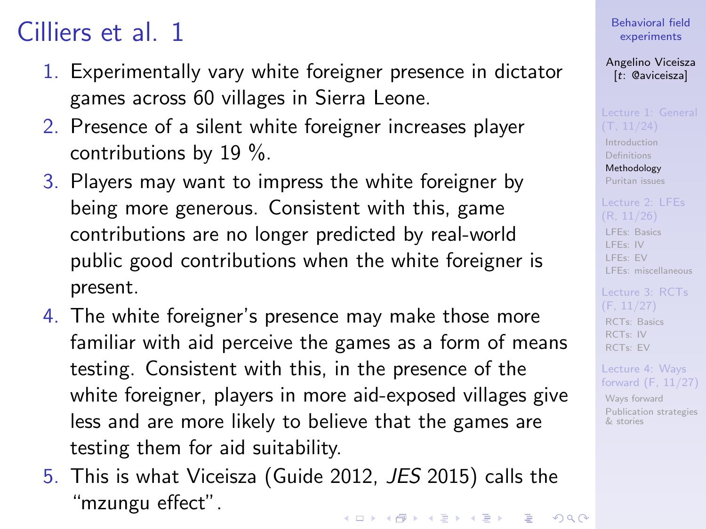# Cilliers et al. 1

- 1. Experimentally vary white foreigner presence in dictator games across 60 villages in Sierra Leone.
- 2. Presence of a silent white foreigner increases player contributions by 19 %.
- 3. Players may want to impress the white foreigner by being more generous. Consistent with this, game contributions are no longer predicted by real-world public good contributions when the white foreigner is present.
- 4. The white foreigner's presence may make those more familiar with aid perceive the games as a form of means testing. Consistent with this, in the presence of the white foreigner, players in more aid-exposed villages give less and are more likely to believe that the games are testing them for aid suitability.
- 5. This is what Viceisza (Guide 2012, JES 2015) calls the "mzungu effect".**KOD KAR KED KED E YOUR**

[Behavioral field](#page-0-0) experiments

Angelino Viceisza [t: @aviceisza]

[Introduction](#page-3-0)

[Definitions](#page-7-0) [Methodology](#page-9-0) [Puritan issues](#page-20-0)

[LFEs: Basics](#page-29-0) [LFEs: IV](#page-31-0) [LFEs: EV](#page-40-0) [LFEs: miscellaneous](#page-48-0)

[RCTs: Basics](#page-53-0) [RCTs: IV](#page-57-0) [RCTs: EV](#page-80-0)

Lecture 4: Ways [forward \(F, 11/27\)](#page-91-0)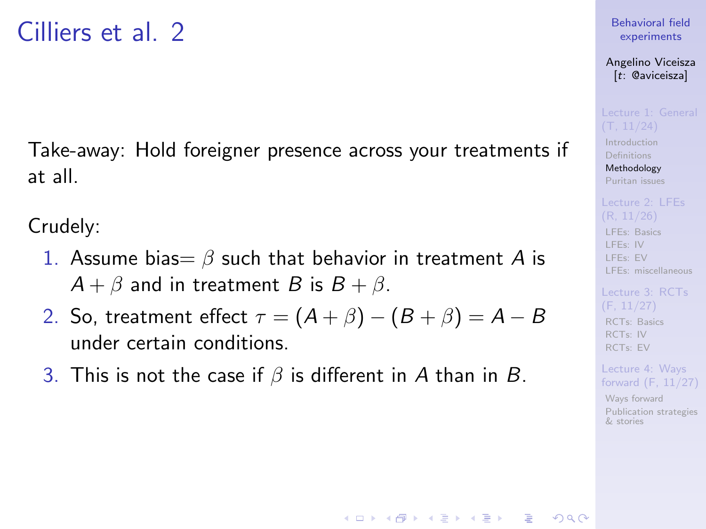## Cilliers et al. 2

Take-away: Hold foreigner presence across your treatments if at all.

Crudely:

- 1. Assume bias =  $\beta$  such that behavior in treatment A is  $A + \beta$  and in treatment B is  $B + \beta$ .
- 2. So, treatment effect  $\tau = (A + \beta) (B + \beta) = A B$ under certain conditions.
- 3. This is not the case if  $\beta$  is different in A than in B.

#### [Behavioral field](#page-0-0) experiments

Angelino Viceisza [t: @aviceisza]

[Introduction](#page-3-0) [Definitions](#page-7-0) [Methodology](#page-9-0) [Puritan issues](#page-20-0)

[LFEs: Basics](#page-29-0) [LFEs: IV](#page-31-0) [LFEs: EV](#page-40-0) [LFEs: miscellaneous](#page-48-0)

[RCTs: Basics](#page-53-0) [RCTs: IV](#page-57-0) [RCTs: EV](#page-80-0)

Lecture 4: Ways [forward \(F, 11/27\)](#page-91-0)

[Ways forward](#page-92-0) [Publication strategies](#page-103-0) & stories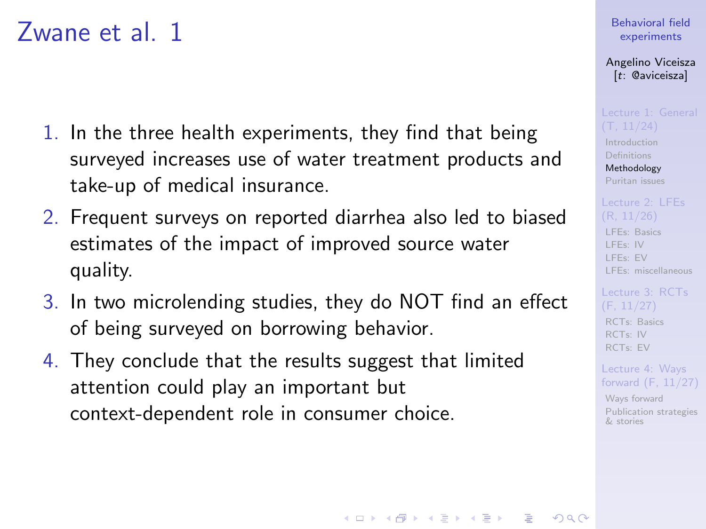## Zwane et al. 1

- 1. In the three health experiments, they find that being surveyed increases use of water treatment products and take-up of medical insurance.
- 2. Frequent surveys on reported diarrhea also led to biased estimates of the impact of improved source water quality.
- 3. In two microlending studies, they do NOT find an effect of being surveyed on borrowing behavior.
- 4. They conclude that the results suggest that limited attention could play an important but context-dependent role in consumer choice.

### [Behavioral field](#page-0-0) experiments

Angelino Viceisza [t: @aviceisza]

[Introduction](#page-3-0) [Definitions](#page-7-0) [Methodology](#page-9-0) [Puritan issues](#page-20-0)

[LFEs: Basics](#page-29-0) [LFEs: IV](#page-31-0) [LFEs: EV](#page-40-0) [LFEs: miscellaneous](#page-48-0)

[RCTs: Basics](#page-53-0) [RCTs: IV](#page-57-0) [RCTs: EV](#page-80-0)

Lecture 4: Ways [forward \(F, 11/27\)](#page-91-0)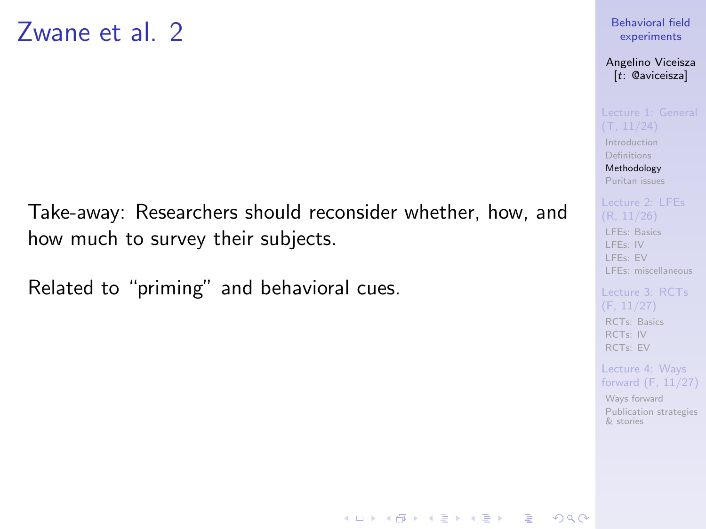Take-away: Researchers should reconsider whether, how, and how much to survey their subjects.

Related to "priming" and behavioral cues.

### [Behavioral field](#page-0-0) experiments

Angelino Viceisza [t: @aviceisza]

[Introduction](#page-3-0)

[Definitions](#page-7-0) [Methodology](#page-9-0) [Puritan issues](#page-20-0)

[LFEs: Basics](#page-29-0) [LFEs: IV](#page-31-0) [LFEs: EV](#page-40-0) [LFEs: miscellaneous](#page-48-0)

[RCTs: Basics](#page-53-0) [RCTs: IV](#page-57-0) [RCTs: EV](#page-80-0)

Lecture 4: Ways [forward \(F, 11/27\)](#page-91-0)

[Ways forward](#page-92-0) [Publication strategies](#page-103-0) & stories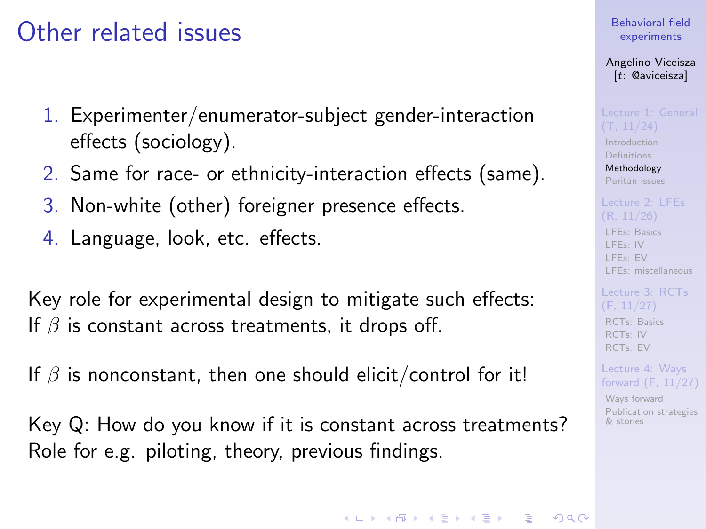## Other related issues

- 1. Experimenter/enumerator-subject gender-interaction effects (sociology).
- 2. Same for race- or ethnicity-interaction effects (same).
- 3. Non-white (other) foreigner presence effects.
- 4. Language, look, etc. effects.

Key role for experimental design to mitigate such effects: If  $\beta$  is constant across treatments, it drops off.

If  $\beta$  is nonconstant, then one should elicit/control for it!

Key Q: How do you know if it is constant across treatments? Role for e.g. piloting, theory, previous findings.

[Behavioral field](#page-0-0) experiments

Angelino Viceisza [t: @aviceisza]

[Introduction](#page-3-0) [Definitions](#page-7-0)

[Methodology](#page-9-0) [Puritan issues](#page-20-0)

[LFEs: Basics](#page-29-0) [LFEs: IV](#page-31-0) [LFEs: EV](#page-40-0) [LFEs: miscellaneous](#page-48-0)

[RCTs: Basics](#page-53-0) [RCTs: IV](#page-57-0) [RCTs: EV](#page-80-0)

Lecture 4: Ways [forward \(F, 11/27\)](#page-91-0)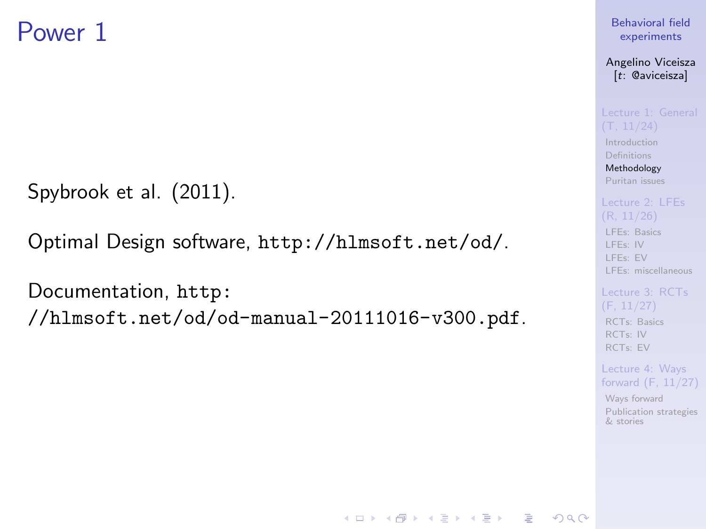## Power 1

Spybrook et al. (2011).

Optimal Design software, <http://hlmsoft.net/od/>.

Documentation, [http:](http://hlmsoft.net/od/od-manual-20111016-v300.pdf)

[//hlmsoft.net/od/od-manual-20111016-v300.pdf](http://hlmsoft.net/od/od-manual-20111016-v300.pdf).

### [Behavioral field](#page-0-0) experiments

Angelino Viceisza [t: @aviceisza]

[Introduction](#page-3-0) **[Definitions](#page-7-0)** [Methodology](#page-9-0)

[Puritan issues](#page-20-0)

[LFEs: Basics](#page-29-0) [LFEs: IV](#page-31-0)

[LFEs: EV](#page-40-0) [LFEs: miscellaneous](#page-48-0)

[Lecture 3: RCTs](#page-52-0) [RCTs: Basics](#page-53-0) [RCTs: IV](#page-57-0) [RCTs: EV](#page-80-0)

Lecture 4: Ways [forward \(F, 11/27\)](#page-91-0)

[Ways forward](#page-92-0) [Publication strategies](#page-103-0) & stories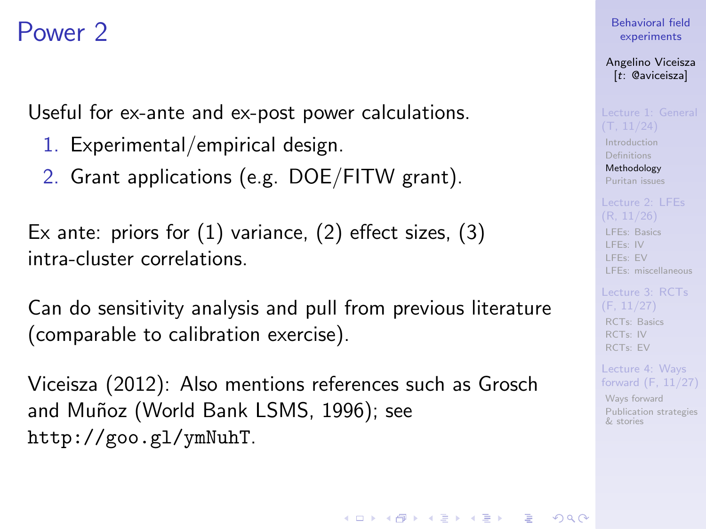## <span id="page-19-0"></span>Power 2

Useful for ex-ante and ex-post power calculations.

- 1. Experimental/empirical design.
- 2. Grant applications (e.g. DOE/FITW grant).

Ex ante: priors for (1) variance, (2) effect sizes, (3) intra-cluster correlations.

Can do sensitivity analysis and pull from previous literature (comparable to calibration exercise).

Viceisza (2012): Also mentions references such as Grosch and Muñoz (World Bank LSMS, 1996); see <http://goo.gl/ymNuhT>.

[Behavioral field](#page-0-0) experiments

Angelino Viceisza [t: @aviceisza]

[Introduction](#page-3-0) [Definitions](#page-7-0) [Methodology](#page-9-0) [Puritan issues](#page-20-0)

[LFEs: Basics](#page-29-0) [LFEs: IV](#page-31-0) [LFEs: EV](#page-40-0) [LFEs: miscellaneous](#page-48-0)

[RCTs: Basics](#page-53-0) [RCTs: IV](#page-57-0) [RCTs: EV](#page-80-0)

Lecture 4: Ways [forward \(F, 11/27\)](#page-91-0)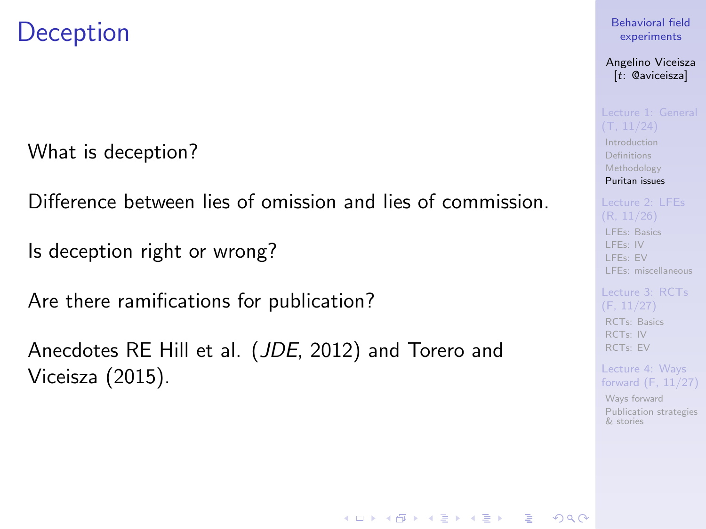## <span id="page-20-0"></span>**Deception**

What is deception?

Difference between lies of omission and lies of commission.

Is deception right or wrong?

Are there ramifications for publication?

Anecdotes RE Hill et al. (JDE, 2012) and Torero and Viceisza (2015).

#### [Behavioral field](#page-0-0) experiments

Angelino Viceisza [t: @aviceisza]

[Introduction](#page-3-0) [Definitions](#page-7-0) [Methodology](#page-9-0) [Puritan issues](#page-20-0)

[LFEs: Basics](#page-29-0) [LFEs: IV](#page-31-0) [LFEs: EV](#page-40-0) [LFEs: miscellaneous](#page-48-0)

[RCTs: Basics](#page-53-0) [RCTs: IV](#page-57-0) [RCTs: EV](#page-80-0)

Lecture 4: Ways [forward \(F, 11/27\)](#page-91-0)

[Ways forward](#page-92-0) [Publication strategies](#page-103-0) & stories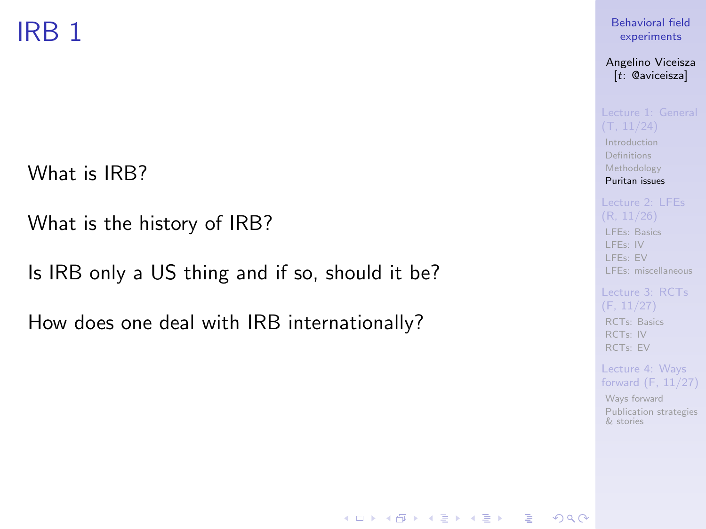# IRB 1

What is IRB?

What is the history of IRB?

Is IRB only a US thing and if so, should it be?

How does one deal with IRB internationally?

### [Behavioral field](#page-0-0) experiments

Angelino Viceisza [t: @aviceisza]

[Introduction](#page-3-0) [Definitions](#page-7-0) [Methodology](#page-9-0) [Puritan issues](#page-20-0)

[LFEs: Basics](#page-29-0) [LFEs: IV](#page-31-0) [LFEs: EV](#page-40-0) [LFEs: miscellaneous](#page-48-0)

[RCTs: Basics](#page-53-0) [RCTs: IV](#page-57-0) [RCTs: EV](#page-80-0)

**KOD KAR KED KED E YOUR** 

Lecture 4: Ways [forward \(F, 11/27\)](#page-91-0)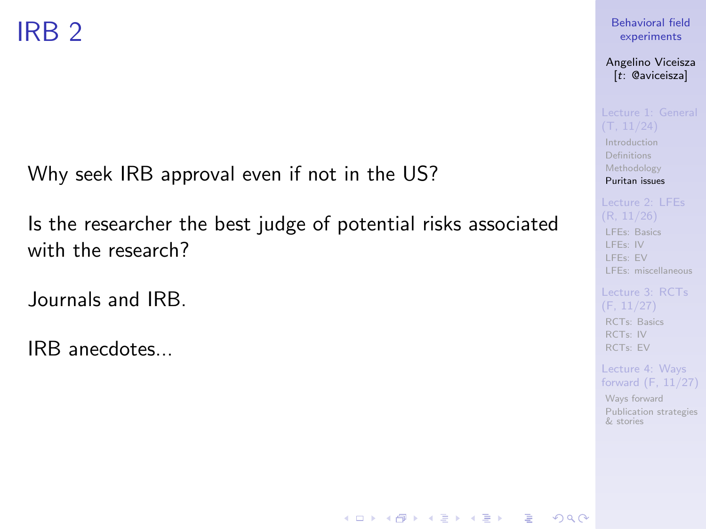Why seek IRB approval even if not in the US?

Is the researcher the best judge of potential risks associated with the research?

Journals and IRB.

IRB anecdotes...

### [Behavioral field](#page-0-0) experiments

Angelino Viceisza [t: @aviceisza]

[Introduction](#page-3-0)

[Definitions](#page-7-0) [Methodology](#page-9-0) [Puritan issues](#page-20-0)

[LFEs: Basics](#page-29-0) [LFEs: IV](#page-31-0) [LFEs: EV](#page-40-0) [LFEs: miscellaneous](#page-48-0)

[Lecture 3: RCTs](#page-52-0) [RCTs: Basics](#page-53-0) [RCTs: IV](#page-57-0) [RCTs: EV](#page-80-0)

Lecture 4: Ways [forward \(F, 11/27\)](#page-91-0)

[Ways forward](#page-92-0) [Publication strategies](#page-103-0) & stories

**KOD KAR KED KED E YOUR**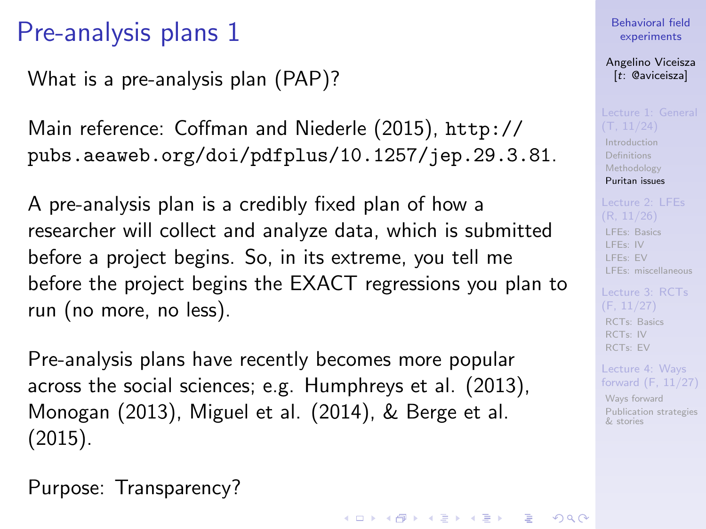What is a pre-analysis plan (PAP)?

Main reference: Coffman and Niederle (2015), [http://](http://pubs.aeaweb.org/doi/pdfplus/10.1257/jep.29.3.81) [pubs.aeaweb.org/doi/pdfplus/10.1257/jep.29.3.81](http://pubs.aeaweb.org/doi/pdfplus/10.1257/jep.29.3.81).

A pre-analysis plan is a credibly fixed plan of how a researcher will collect and analyze data, which is submitted before a project begins. So, in its extreme, you tell me before the project begins the EXACT regressions you plan to run (no more, no less).

Pre-analysis plans have recently becomes more popular across the social sciences; e.g. Humphreys et al. (2013), Monogan (2013), Miguel et al. (2014), & Berge et al. (2015).

Purpose: Transparency?

#### [Behavioral field](#page-0-0) experiments

Angelino Viceisza [t: @aviceisza]

[Introduction](#page-3-0) [Definitions](#page-7-0) [Methodology](#page-9-0) [Puritan issues](#page-20-0)

[LFEs: Basics](#page-29-0) [LFEs: IV](#page-31-0) [LFEs: EV](#page-40-0) [LFEs: miscellaneous](#page-48-0)

[RCTs: Basics](#page-53-0) [RCTs: IV](#page-57-0) [RCTs: EV](#page-80-0)

Lecture 4: Ways [forward \(F, 11/27\)](#page-91-0)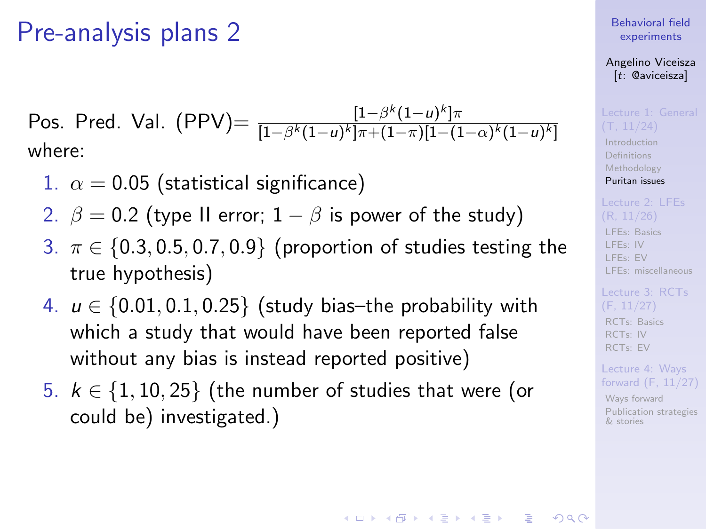Pos. Pred. Val. (PPV)=  $\frac{[1-\beta^{k}(1-u)^{k}] \pi}{[1-\beta^{k}(1-u)^{k}] \pi + (1-\pi)^{k}[1-(1-\pi)^{k}] \pi}$  $[1-\beta^k(1-u)^k]\pi{+}(1-\pi)[1-(1-\alpha)^k(1-u)^k]$ where:

- 1.  $\alpha = 0.05$  (statistical significance)
- 2.  $\beta = 0.2$  (type II error;  $1 \beta$  is power of the study)
- 3.  $\pi \in \{0.3, 0.5, 0.7, 0.9\}$  (proportion of studies testing the true hypothesis)
- 4.  $u \in \{0.01, 0.1, 0.25\}$  (study bias-the probability with which a study that would have been reported false without any bias is instead reported positive)
- 5.  $k \in \{1, 10, 25\}$  (the number of studies that were (or could be) investigated.)

[Behavioral field](#page-0-0) experiments

Angelino Viceisza [t: @aviceisza]

[Introduction](#page-3-0) [Definitions](#page-7-0) [Methodology](#page-9-0) [Puritan issues](#page-20-0)

[LFEs: Basics](#page-29-0) [LFEs: IV](#page-31-0) [LFEs: EV](#page-40-0) [LFEs: miscellaneous](#page-48-0)

[RCTs: Basics](#page-53-0) [RCTs: IV](#page-57-0) [RCTs: EV](#page-80-0)

Lecture 4: Ways [forward \(F, 11/27\)](#page-91-0)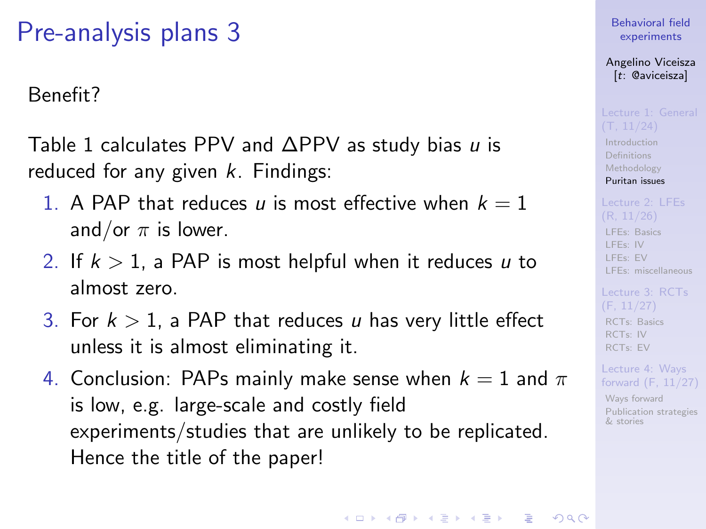### <span id="page-25-0"></span>Benefit?

Table [1](#page-26-0) calculates PPV and  $\Delta$ PPV as study bias u is reduced for any given  $k$ . Findings:

- 1. A PAP that reduces u is most effective when  $k = 1$ and/or  $\pi$  is lower.
- 2. If  $k > 1$ , a PAP is most helpful when it reduces u to almost zero.
- 3. For  $k > 1$ , a PAP that reduces u has very little effect unless it is almost eliminating it.
- 4. Conclusion: PAPs mainly make sense when  $k = 1$  and  $\pi$ is low, e.g. large-scale and costly field experiments/studies that are unlikely to be replicated. Hence the title of the paper!

[Behavioral field](#page-0-0) experiments

Angelino Viceisza [t: @aviceisza]

[Introduction](#page-3-0) [Definitions](#page-7-0) [Methodology](#page-9-0)

[LFEs: Basics](#page-29-0) [LFEs: IV](#page-31-0) [LFEs: EV](#page-40-0) [LFEs: miscellaneous](#page-48-0)

[Puritan issues](#page-20-0)

[RCTs: Basics](#page-53-0) [RCTs: IV](#page-57-0) [RCTs: EV](#page-80-0)

Lecture 4: Ways [forward \(F, 11/27\)](#page-91-0)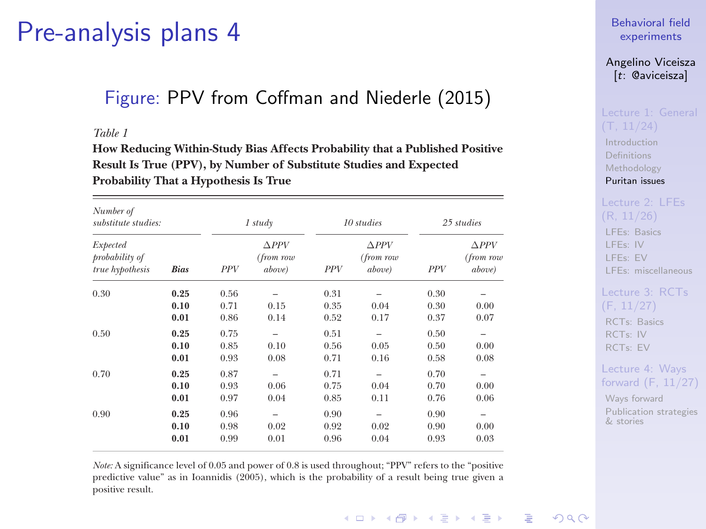### <span id="page-26-1"></span>Figure: PPV from Coffman and Niederle (2015)

#### *Table 1*

**How Reducing Within-Study Bias Affects Probability that a Published Positive Result Is True (PPV), by Number of Substitute Studies and Expected Probability That a Hypothesis Is True**

| Number of<br>substitute studies:              |             | 1 study    |                                     | 10 studies |                                        | 25 studies |                                        |
|-----------------------------------------------|-------------|------------|-------------------------------------|------------|----------------------------------------|------------|----------------------------------------|
| Expected<br>probability of<br>true hypothesis | <b>Bias</b> | <b>PPV</b> | $\Delta PPV$<br>(from row<br>above) | <b>PPV</b> | $\triangle PPV$<br>(from row<br>above) | <b>PPV</b> | $\triangle PPV$<br>(from row<br>above) |
| 0.30                                          | 0.25        | 0.56       |                                     | 0.31       |                                        | 0.30       | -                                      |
|                                               | 0.10        | 0.71       | 0.15                                | 0.35       | 0.04                                   | 0.30       | 0.00                                   |
|                                               | 0.01        | 0.86       | 0.14                                | 0.52       | 0.17                                   | 0.37       | 0.07                                   |
| 0.50                                          | 0.25        | 0.75       | -                                   | 0.51       | $\overline{\phantom{a}}$               | 0.50       | -                                      |
|                                               | 0.10        | 0.85       | 0.10                                | 0.56       | 0.05                                   | 0.50       | 0.00                                   |
|                                               | 0.01        | 0.93       | 0.08                                | 0.71       | 0.16                                   | 0.58       | 0.08                                   |
| 0.70                                          | 0.25        | 0.87       | $\overline{\phantom{a}}$            | 0.71       | ۰                                      | 0.70       | -                                      |
|                                               | 0.10        | 0.93       | 0.06                                | 0.75       | 0.04                                   | 0.70       | 0.00                                   |
|                                               | 0.01        | 0.97       | 0.04                                | 0.85       | 0.11                                   | 0.76       | 0.06                                   |
| 0.90                                          | 0.25        | 0.96       | -                                   | 0.90       | $\overline{\phantom{0}}$               | 0.90       | -                                      |
|                                               | 0.10        | 0.98       | 0.02                                | 0.92       | 0.02                                   | 0.90       | 0.00                                   |
|                                               | 0.01        | 0.99       | 0.01                                | 0.96       | 0.04                                   | 0.93       | 0.03                                   |

*Note:* A significance level of 0.05 and power of 0.8 is used throughout; "PPV" refers to the "positive predictive value" as in Ioannidis (2005), which is the probability of a result being true given a positive result.

[Behavioral field](#page-0-0) experiments

Angelino Viceisza [t: @aviceisza]

[Introduction](#page-3-0) [Definitions](#page-7-0) [Methodology](#page-9-0) [Puritan issues](#page-20-0)

[LFEs: Basics](#page-29-0) [LFEs: IV](#page-31-0) [LFEs: EV](#page-40-0)

[LFEs: miscellaneous](#page-48-0)

### [Lecture 3: RCTs](#page-52-0) [RCTs: Basics](#page-53-0) [RCTs: IV](#page-57-0) [RCTs: EV](#page-80-0)

<span id="page-26-0"></span>Lecture 4: Ways [forward \(F, 11/27\)](#page-91-0)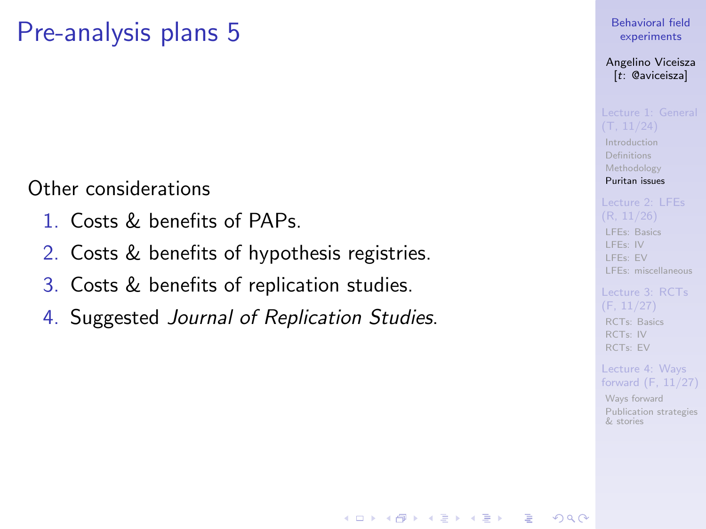<span id="page-27-0"></span>Other considerations

- 1. Costs & benefits of PAPs.
- 2. Costs & benefits of hypothesis registries.
- 3. Costs & benefits of replication studies.
- 4. Suggested Journal of Replication Studies.

[Behavioral field](#page-0-0) experiments

Angelino Viceisza [t: @aviceisza]

**[Introduction](#page-3-0)** [Definitions](#page-7-0) [Methodology](#page-9-0) [Puritan issues](#page-20-0)

[LFEs: Basics](#page-29-0) [LFEs: IV](#page-31-0) [LFEs: EV](#page-40-0)

[LFEs: miscellaneous](#page-48-0)

[RCTs: Basics](#page-53-0) [RCTs: IV](#page-57-0) [RCTs: EV](#page-80-0)

Lecture 4: Ways [forward \(F, 11/27\)](#page-91-0)

[Ways forward](#page-92-0) [Publication strategies](#page-103-0) & stories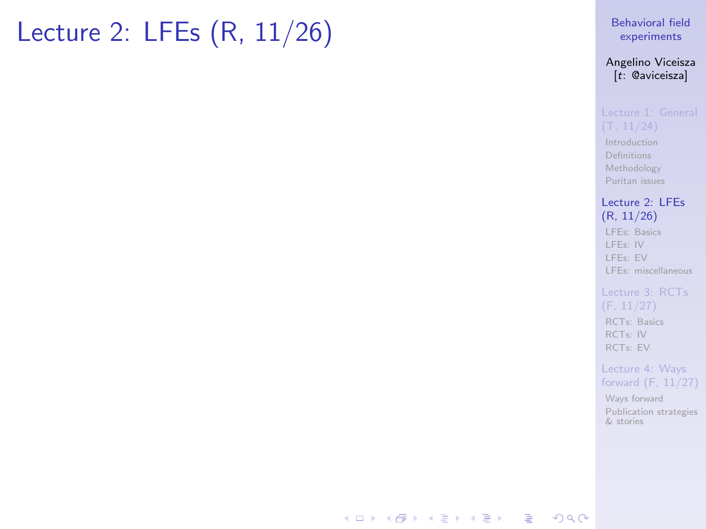## <span id="page-28-0"></span>Lecture 2: LFEs (R, 11/26)

#### [Behavioral field](#page-0-0) experiments

#### Angelino Viceisza [t: @aviceisza]

[Introduction](#page-3-0) [Definitions](#page-7-0) [Methodology](#page-9-0) [Puritan issues](#page-20-0)

#### [Lecture 2: LFEs](#page-28-0) (R, 11/26)

[LFEs: Basics](#page-29-0) [LFEs: IV](#page-31-0) [LFEs: EV](#page-40-0) [LFEs: miscellaneous](#page-48-0)

#### [Lecture 3: RCTs](#page-52-0) (F, 11/27) [RCTs: Basics](#page-53-0) [RCTs: IV](#page-57-0)

[RCTs: EV](#page-80-0)

#### Lecture 4: Ways [forward \(F, 11/27\)](#page-91-0)

[Ways forward](#page-92-0) [Publication strategies](#page-103-0) & stories

### **KORK STRATER ARRIVAL**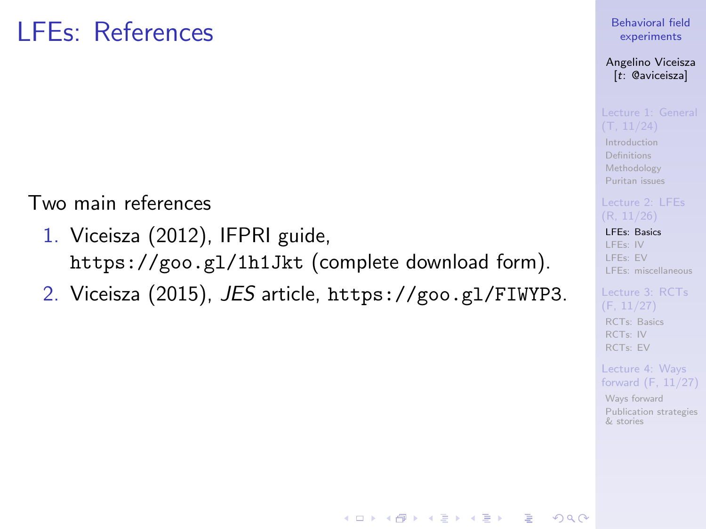## <span id="page-29-0"></span>LFEs: References

Two main references

- 1. Viceisza (2012), IFPRI guide, <https://goo.gl/1h1Jkt> (complete download form).
- 2. Viceisza (2015), JES article, <https://goo.gl/FIWYP3>.

#### [Behavioral field](#page-0-0) experiments

Angelino Viceisza [t: @aviceisza]

[Introduction](#page-3-0) [Definitions](#page-7-0) [Methodology](#page-9-0) [Puritan issues](#page-20-0)

[LFEs: Basics](#page-29-0)

[LFEs: IV](#page-31-0) [LFEs: EV](#page-40-0) [LFEs: miscellaneous](#page-48-0)

[RCTs: Basics](#page-53-0) [RCTs: IV](#page-57-0) [RCTs: EV](#page-80-0)

Lecture 4: Ways [forward \(F, 11/27\)](#page-91-0)

[Ways forward](#page-92-0) [Publication strategies](#page-103-0) & stories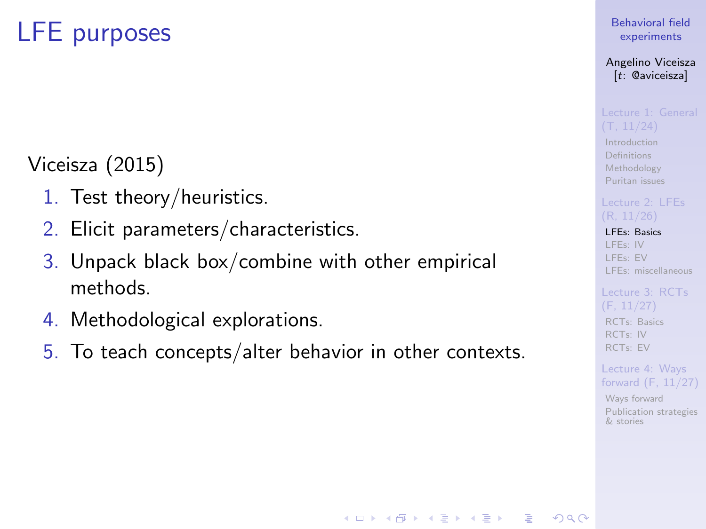# LFE purposes

### Viceisza (2015)

- 1. Test theory/heuristics.
- 2. Elicit parameters/characteristics.
- 3. Unpack black box/combine with other empirical methods.
- 4. Methodological explorations.
- 5. To teach concepts/alter behavior in other contexts.

### [Behavioral field](#page-0-0) experiments

Angelino Viceisza [t: @aviceisza]

[Introduction](#page-3-0) [Definitions](#page-7-0) [Methodology](#page-9-0) [Puritan issues](#page-20-0)

#### [LFEs: Basics](#page-29-0)

[LFEs: IV](#page-31-0) [LFEs: EV](#page-40-0) [LFEs: miscellaneous](#page-48-0)

### [RCTs: Basics](#page-53-0) [RCTs: IV](#page-57-0) [RCTs: EV](#page-80-0)

Lecture 4: Ways [forward \(F, 11/27\)](#page-91-0)

[Ways forward](#page-92-0) [Publication strategies](#page-103-0) & stories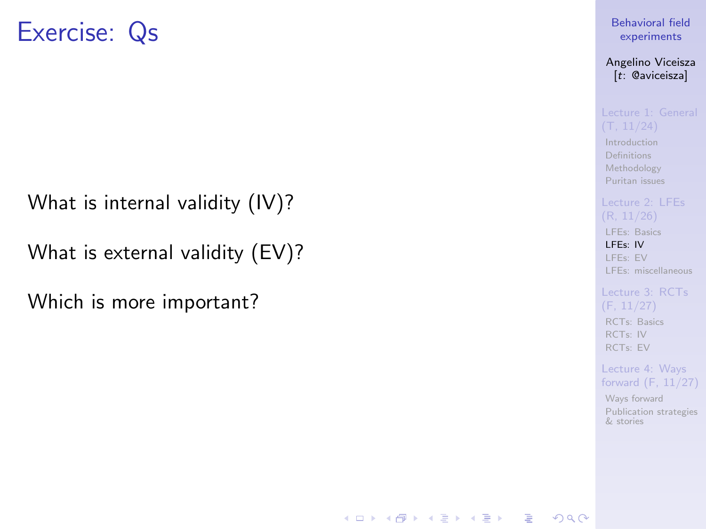### <span id="page-31-0"></span>Exercise: Qs

What is internal validity (IV)?

What is external validity (EV)?

Which is more important?

### [Behavioral field](#page-0-0) experiments

Angelino Viceisza [t: @aviceisza]

[Introduction](#page-3-0) [Definitions](#page-7-0) [Methodology](#page-9-0) [Puritan issues](#page-20-0)

[LFEs: Basics](#page-29-0) [LFEs: IV](#page-31-0) [LFEs: EV](#page-40-0) [LFEs: miscellaneous](#page-48-0)

[RCTs: Basics](#page-53-0) [RCTs: IV](#page-57-0) [RCTs: EV](#page-80-0)

**KORK EXTERNE PROVIDE** 

Lecture 4: Ways [forward \(F, 11/27\)](#page-91-0)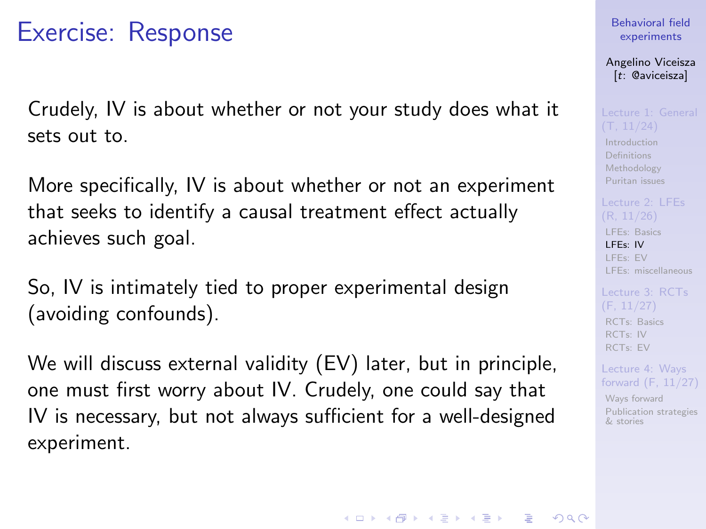## Exercise: Response

Crudely, IV is about whether or not your study does what it sets out to.

More specifically, IV is about whether or not an experiment that seeks to identify a causal treatment effect actually achieves such goal.

So, IV is intimately tied to proper experimental design (avoiding confounds).

We will discuss external validity (EV) later, but in principle, one must first worry about IV. Crudely, one could say that IV is necessary, but not always sufficient for a well-designed experiment.

[Behavioral field](#page-0-0) experiments

Angelino Viceisza [t: @aviceisza]

[Introduction](#page-3-0) [Definitions](#page-7-0) [Methodology](#page-9-0) [Puritan issues](#page-20-0)

[LFEs: Basics](#page-29-0) [LFEs: IV](#page-31-0) [LFEs: EV](#page-40-0) [LFEs: miscellaneous](#page-48-0)

[RCTs: Basics](#page-53-0) [RCTs: IV](#page-57-0) [RCTs: EV](#page-80-0)

Lecture 4: Ways [forward \(F, 11/27\)](#page-91-0)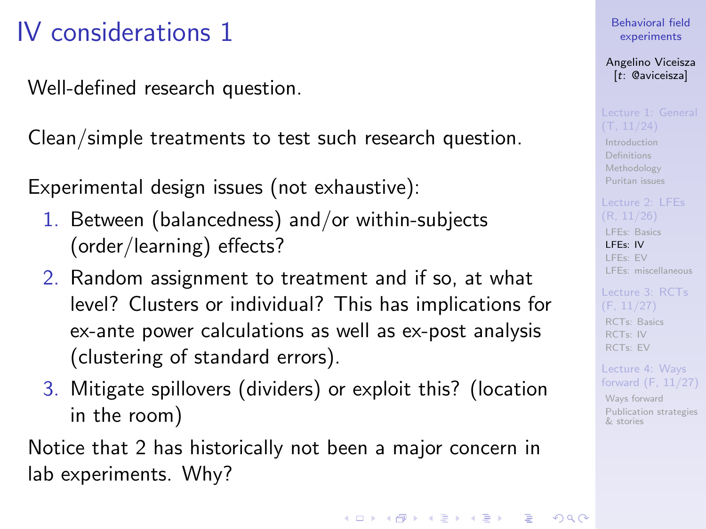# IV considerations 1

Well-defined research question.

Clean/simple treatments to test such research question.

Experimental design issues (not exhaustive):

- 1. Between (balancedness) and/or within-subjects (order/learning) effects?
- 2. Random assignment to treatment and if so, at what level? Clusters or individual? This has implications for ex-ante power calculations as well as ex-post analysis (clustering of standard errors).
- 3. Mitigate spillovers (dividers) or exploit this? (location in the room)

Notice that 2 has historically not been a major concern in lab experiments. Why?

[Behavioral field](#page-0-0) experiments

Angelino Viceisza [t: @aviceisza]

[Introduction](#page-3-0) [Definitions](#page-7-0) [Methodology](#page-9-0) [Puritan issues](#page-20-0)

[LFEs: Basics](#page-29-0) [LFEs: IV](#page-31-0) [LFEs: EV](#page-40-0) [LFEs: miscellaneous](#page-48-0)

[RCTs: Basics](#page-53-0) [RCTs: IV](#page-57-0) [RCTs: EV](#page-80-0)

Lecture 4: Ways [forward \(F, 11/27\)](#page-91-0)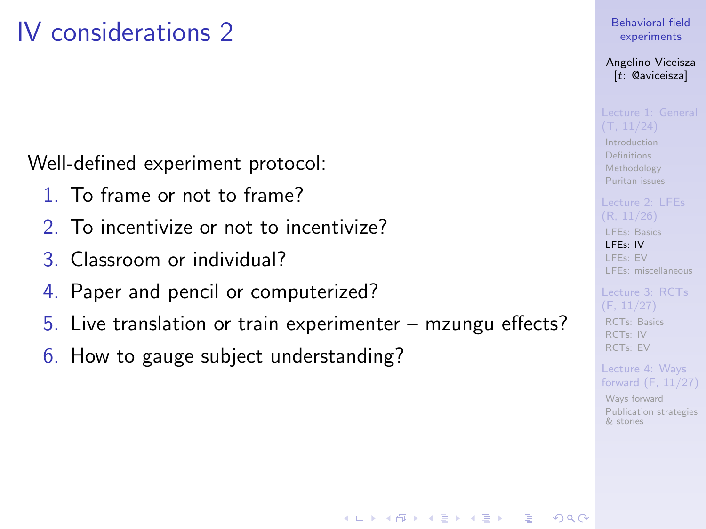# IV considerations 2

Well-defined experiment protocol:

- 1. To frame or not to frame?
- 2. To incentivize or not to incentivize?
- 3. Classroom or individual?
- 4. Paper and pencil or computerized?
- 5. Live translation or train experimenter mzungu effects?

**KORK EXTERNE PROVIDE** 

6. How to gauge subject understanding?

### [Behavioral field](#page-0-0) experiments

Angelino Viceisza [t: @aviceisza]

[Introduction](#page-3-0) [Definitions](#page-7-0) [Methodology](#page-9-0) [Puritan issues](#page-20-0)

[LFEs: Basics](#page-29-0) [LFEs: IV](#page-31-0) [LFEs: EV](#page-40-0) [LFEs: miscellaneous](#page-48-0)

[RCTs: Basics](#page-53-0) [RCTs: IV](#page-57-0) [RCTs: EV](#page-80-0)

Lecture 4: Ways [forward \(F, 11/27\)](#page-91-0)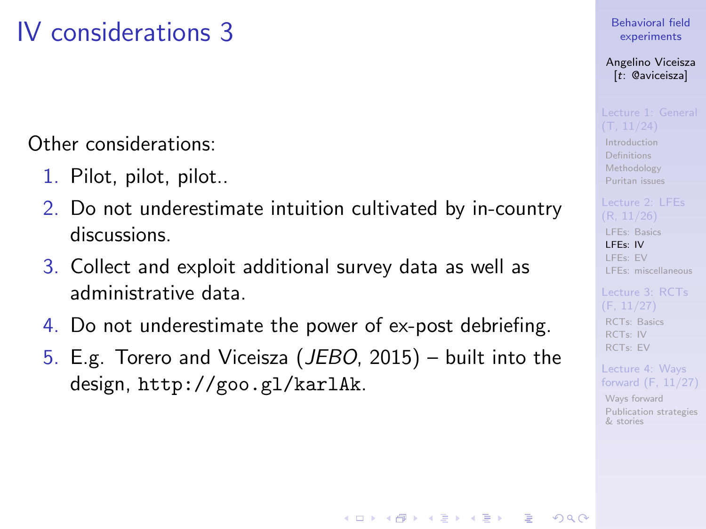# IV considerations 3

Other considerations:

- 1. Pilot, pilot, pilot..
- 2. Do not underestimate intuition cultivated by in-country discussions.
- 3. Collect and exploit additional survey data as well as administrative data.
- 4. Do not underestimate the power of ex-post debriefing.
- 5. E.g. Torero and Viceisza (JEBO, 2015) built into the design, <http://goo.gl/karlAk>.

**KORK EXTERNE PROVIDE** 

### [Behavioral field](#page-0-0) experiments

Angelino Viceisza [t: @aviceisza]

[Introduction](#page-3-0) [Definitions](#page-7-0) [Methodology](#page-9-0) [Puritan issues](#page-20-0)

[LFEs: Basics](#page-29-0) [LFEs: IV](#page-31-0) [LFEs: EV](#page-40-0) [LFEs: miscellaneous](#page-48-0)

[RCTs: Basics](#page-53-0) [RCTs: IV](#page-57-0) [RCTs: EV](#page-80-0)

Lecture 4: Ways [forward \(F, 11/27\)](#page-91-0)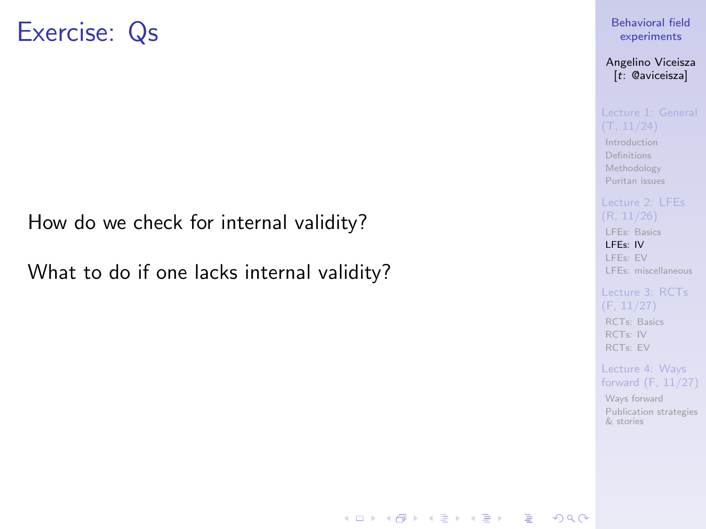## Exercise: Qs

How do we check for internal validity?

What to do if one lacks internal validity?

[Behavioral field](#page-0-0) experiments

Angelino Viceisza [t: @aviceisza]

[Introduction](#page-3-0) [Definitions](#page-7-0) [Methodology](#page-9-0) [Puritan issues](#page-20-0)

[LFEs: Basics](#page-29-0) [LFEs: IV](#page-31-0) [LFEs: EV](#page-40-0)

[LFEs: miscellaneous](#page-48-0)

[RCTs: Basics](#page-53-0) [RCTs: IV](#page-57-0) [RCTs: EV](#page-80-0)

Lecture 4: Ways [forward \(F, 11/27\)](#page-91-0)

[Ways forward](#page-92-0) [Publication strategies](#page-103-0) & stories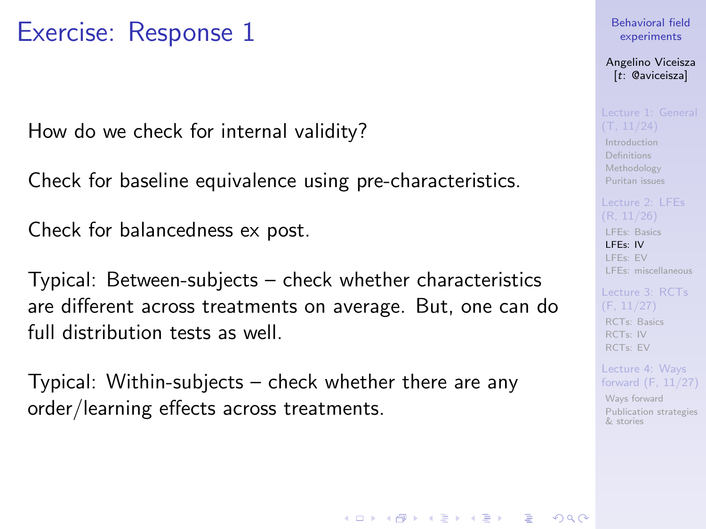How do we check for internal validity?

Check for baseline equivalence using pre-characteristics.

Check for balancedness ex post.

Typical: Between-subjects – check whether characteristics are different across treatments on average. But, one can do full distribution tests as well.

Typical: Within-subjects – check whether there are any order/learning effects across treatments.

### [Behavioral field](#page-0-0) experiments

Angelino Viceisza [t: @aviceisza]

[Introduction](#page-3-0) [Definitions](#page-7-0) [Methodology](#page-9-0) [Puritan issues](#page-20-0)

[LFEs: Basics](#page-29-0) [LFEs: IV](#page-31-0) [LFEs: EV](#page-40-0) [LFEs: miscellaneous](#page-48-0)

[RCTs: Basics](#page-53-0) [RCTs: IV](#page-57-0) [RCTs: EV](#page-80-0)

Lecture 4: Ways [forward \(F, 11/27\)](#page-91-0)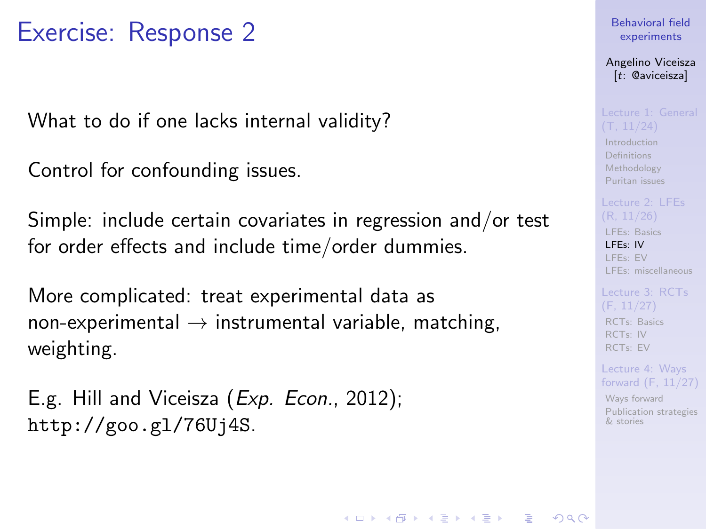What to do if one lacks internal validity?

Control for confounding issues.

Simple: include certain covariates in regression and/or test for order effects and include time/order dummies.

More complicated: treat experimental data as non-experimental  $\rightarrow$  instrumental variable, matching, weighting.

E.g. Hill and Viceisza (*Exp. Econ.*, 2012); <http://goo.gl/76Uj4S>.

### [Behavioral field](#page-0-0) experiments

Angelino Viceisza [t: @aviceisza]

[Introduction](#page-3-0) [Definitions](#page-7-0) [Methodology](#page-9-0) [Puritan issues](#page-20-0)

[LFEs: Basics](#page-29-0) [LFEs: IV](#page-31-0) [LFEs: EV](#page-40-0) [LFEs: miscellaneous](#page-48-0)

[RCTs: Basics](#page-53-0) [RCTs: IV](#page-57-0) [RCTs: EV](#page-80-0)

Lecture 4: Ways [forward \(F, 11/27\)](#page-91-0)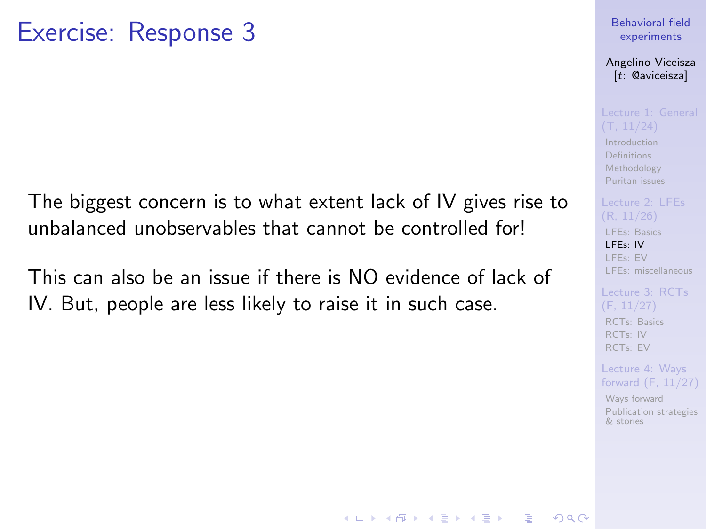### The biggest concern is to what extent lack of IV gives rise to unbalanced unobservables that cannot be controlled for!

This can also be an issue if there is NO evidence of lack of IV. But, people are less likely to raise it in such case.

### [Behavioral field](#page-0-0) experiments

### Angelino Viceisza [t: @aviceisza]

**[Introduction](#page-3-0)** [Definitions](#page-7-0) [Methodology](#page-9-0) [Puritan issues](#page-20-0)

[LFEs: Basics](#page-29-0) [LFEs: IV](#page-31-0) [LFEs: EV](#page-40-0) [LFEs: miscellaneous](#page-48-0)

[RCTs: Basics](#page-53-0) [RCTs: IV](#page-57-0) [RCTs: EV](#page-80-0)

Lecture 4: Ways [forward \(F, 11/27\)](#page-91-0)

[Ways forward](#page-92-0) [Publication strategies](#page-103-0) & stories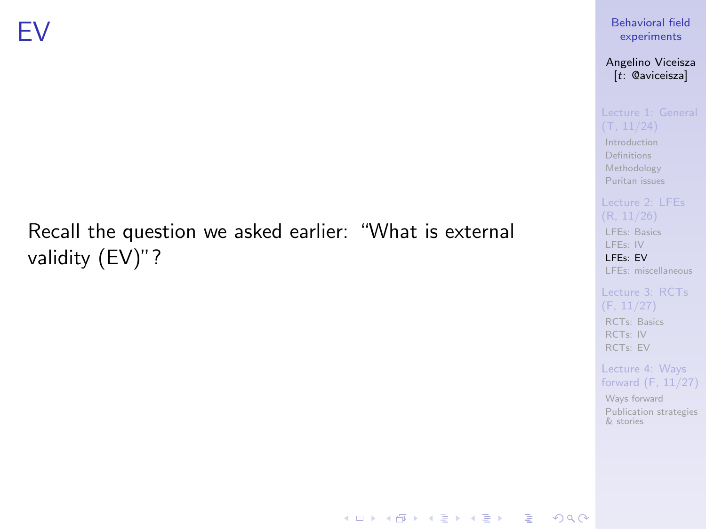## <span id="page-40-0"></span>Recall the question we asked earlier: "What is external validity (EV)"?

[Behavioral field](#page-0-0) experiments

Angelino Viceisza [t: @aviceisza]

[Introduction](#page-3-0) [Definitions](#page-7-0) [Methodology](#page-9-0) [Puritan issues](#page-20-0)

[LFEs: Basics](#page-29-0)

[LFEs: IV](#page-31-0) [LFEs: EV](#page-40-0)

[LFEs: miscellaneous](#page-48-0)

(F, 11/27) [RCTs: Basics](#page-53-0) [RCTs: IV](#page-57-0) [RCTs: EV](#page-80-0)

Lecture 4: Ways [forward \(F, 11/27\)](#page-91-0)

[Ways forward](#page-92-0) [Publication strategies](#page-103-0) & stories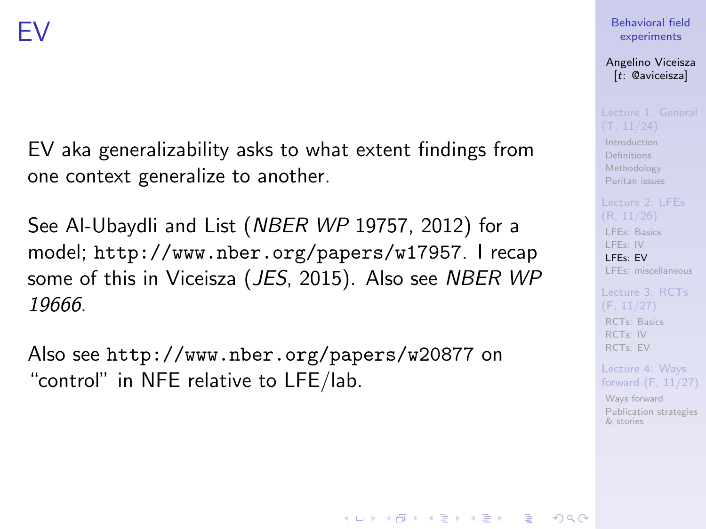EV aka generalizability asks to what extent findings from one context generalize to another.

See Al-Ubaydli and List (NBER WP 19757, 2012) for a model; <http://www.nber.org/papers/w17957>. I recap some of this in Viceisza (JES, 2015). Also see NBER WP 19666.

Also see <http://www.nber.org/papers/w20877> on "control" in NFE relative to LFE/lab.

### [Behavioral field](#page-0-0) experiments

Angelino Viceisza [t: @aviceisza]

[Introduction](#page-3-0) [Definitions](#page-7-0) [Methodology](#page-9-0) [Puritan issues](#page-20-0)

[LFEs: Basics](#page-29-0) [LFEs: IV](#page-31-0) [LFEs: EV](#page-40-0) [LFEs: miscellaneous](#page-48-0)

[RCTs: Basics](#page-53-0) [RCTs: IV](#page-57-0) [RCTs: EV](#page-80-0)

Lecture 4: Ways [forward \(F, 11/27\)](#page-91-0)

[Ways forward](#page-92-0) [Publication strategies](#page-103-0) & stories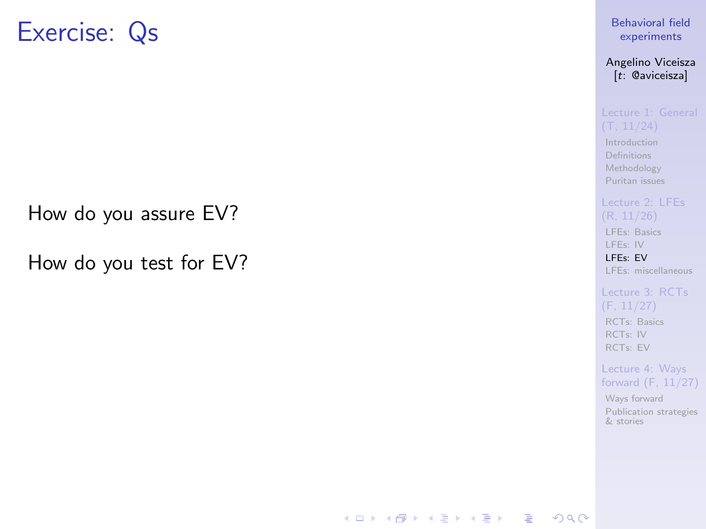## Exercise: Qs

How do you assure EV?

How do you test for EV?

[Behavioral field](#page-0-0) experiments

Angelino Viceisza [t: @aviceisza]

[Introduction](#page-3-0) [Definitions](#page-7-0) [Methodology](#page-9-0) [Puritan issues](#page-20-0)

[LFEs: Basics](#page-29-0) [LFEs: IV](#page-31-0)

[LFEs: EV](#page-40-0) [LFEs: miscellaneous](#page-48-0)

(F, 11/27) [RCTs: Basics](#page-53-0) [RCTs: IV](#page-57-0) [RCTs: EV](#page-80-0)

Lecture 4: Ways [forward \(F, 11/27\)](#page-91-0)

[Ways forward](#page-92-0) [Publication strategies](#page-103-0) & stories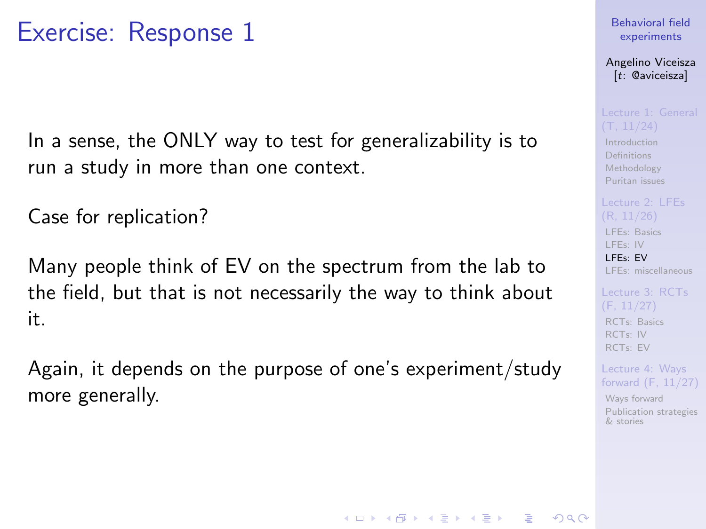In a sense, the ONLY way to test for generalizability is to run a study in more than one context.

Case for replication?

Many people think of EV on the spectrum from the lab to the field, but that is not necessarily the way to think about it.

Again, it depends on the purpose of one's experiment/study more generally.

### [Behavioral field](#page-0-0) experiments

Angelino Viceisza [t: @aviceisza]

[Introduction](#page-3-0) [Definitions](#page-7-0) [Methodology](#page-9-0) [Puritan issues](#page-20-0)

[LFEs: Basics](#page-29-0) [LFEs: IV](#page-31-0) [LFEs: EV](#page-40-0) [LFEs: miscellaneous](#page-48-0)

[RCTs: Basics](#page-53-0) [RCTs: IV](#page-57-0) [RCTs: EV](#page-80-0)

Lecture 4: Ways [forward \(F, 11/27\)](#page-91-0)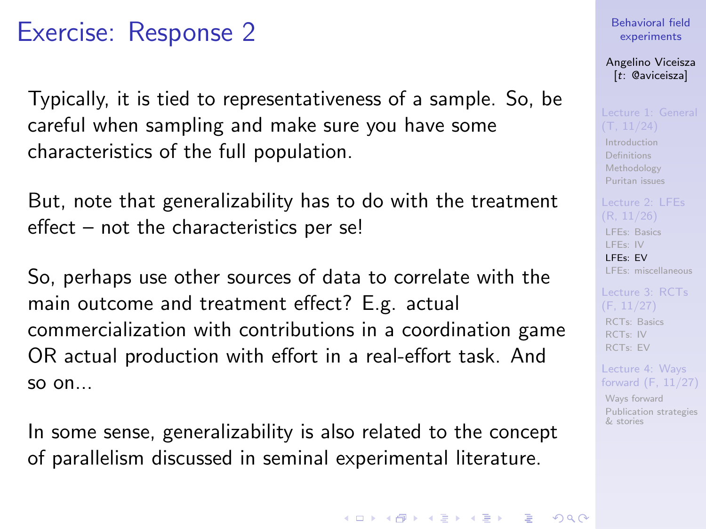Typically, it is tied to representativeness of a sample. So, be careful when sampling and make sure you have some characteristics of the full population.

But, note that generalizability has to do with the treatment effect – not the characteristics per se!

So, perhaps use other sources of data to correlate with the main outcome and treatment effect? E.g. actual commercialization with contributions in a coordination game OR actual production with effort in a real-effort task. And so on...

In some sense, generalizability is also related to the concept of parallelism discussed in seminal experimental literature.

### [Behavioral field](#page-0-0) experiments

Angelino Viceisza [t: @aviceisza]

[Introduction](#page-3-0) [Definitions](#page-7-0) [Methodology](#page-9-0) [Puritan issues](#page-20-0)

[LFEs: Basics](#page-29-0) [LFEs: IV](#page-31-0) [LFEs: EV](#page-40-0) [LFEs: miscellaneous](#page-48-0)

[RCTs: Basics](#page-53-0) [RCTs: IV](#page-57-0) [RCTs: EV](#page-80-0)

Lecture 4: Ways [forward \(F, 11/27\)](#page-91-0)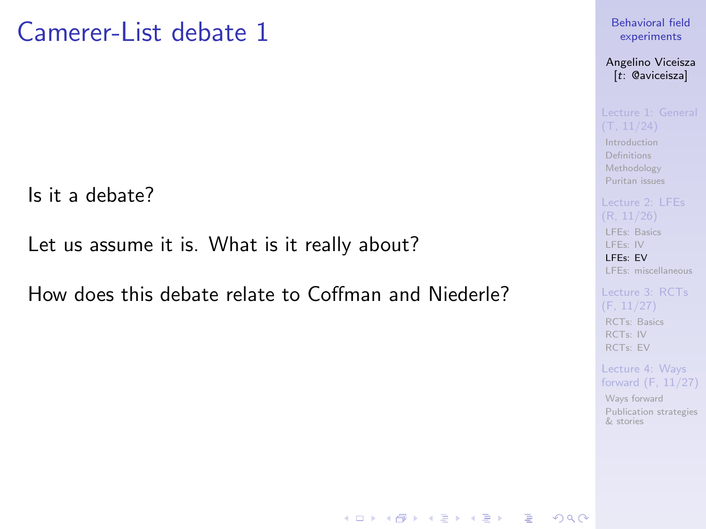## Camerer-List debate 1

Is it a debate?

Let us assume it is. What is it really about?

How does this debate relate to Coffman and Niederle?

### [Behavioral field](#page-0-0) experiments

Angelino Viceisza [t: @aviceisza]

[Introduction](#page-3-0) [Definitions](#page-7-0) [Methodology](#page-9-0) [Puritan issues](#page-20-0)

[LFEs: Basics](#page-29-0) [LFEs: IV](#page-31-0)

[LFEs: EV](#page-40-0) [LFEs: miscellaneous](#page-48-0)

[Lecture 3: RCTs](#page-52-0) [RCTs: Basics](#page-53-0) [RCTs: IV](#page-57-0) [RCTs: EV](#page-80-0)

Lecture 4: Ways [forward \(F, 11/27\)](#page-91-0)

[Ways forward](#page-92-0) [Publication strategies](#page-103-0) & stories

**KOD KAR KED KED E YOUR**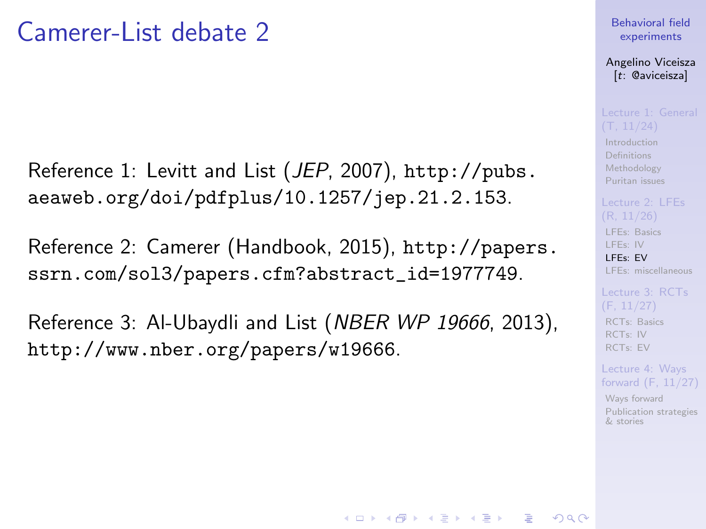## Camerer-List debate 2

Reference 1: Levitt and List (JEP, 2007), [http://pubs.](http://pubs.aeaweb.org/doi/pdfplus/10.1257/jep.21.2.153) [aeaweb.org/doi/pdfplus/10.1257/jep.21.2.153](http://pubs.aeaweb.org/doi/pdfplus/10.1257/jep.21.2.153).

Reference 2: Camerer (Handbook, 2015), [http://papers.](http://papers.ssrn.com/sol3/papers.cfm?abstract_id=1977749) [ssrn.com/sol3/papers.cfm?abstract\\_id=1977749](http://papers.ssrn.com/sol3/papers.cfm?abstract_id=1977749).

Reference 3: Al-Ubaydli and List (NBER WP 19666, 2013), <http://www.nber.org/papers/w19666>.

### [Behavioral field](#page-0-0) experiments

Angelino Viceisza [t: @aviceisza]

[Introduction](#page-3-0) [Definitions](#page-7-0) [Methodology](#page-9-0) [Puritan issues](#page-20-0)

[LFEs: Basics](#page-29-0) [LFEs: IV](#page-31-0) [LFEs: EV](#page-40-0) [LFEs: miscellaneous](#page-48-0)

[RCTs: Basics](#page-53-0) [RCTs: IV](#page-57-0) [RCTs: EV](#page-80-0)

Lecture 4: Ways [forward \(F, 11/27\)](#page-91-0)

[Ways forward](#page-92-0) [Publication strategies](#page-103-0) & stories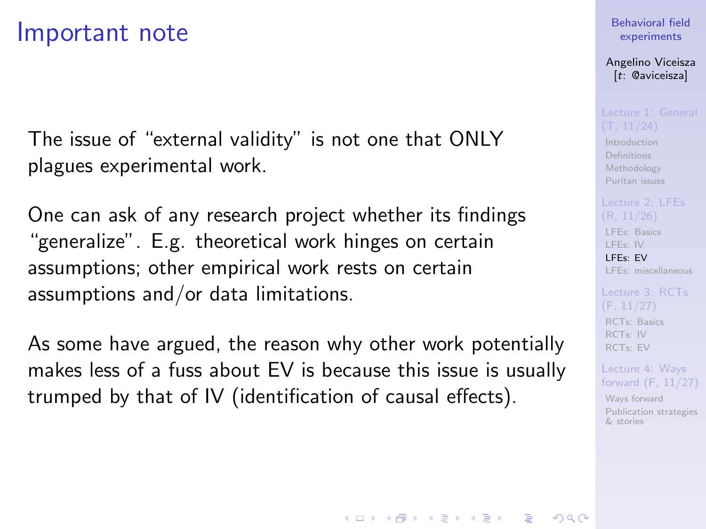### Important note

The issue of "external validity" is not one that ONLY plagues experimental work.

One can ask of any research project whether its findings "generalize". E.g. theoretical work hinges on certain assumptions; other empirical work rests on certain assumptions and/or data limitations.

As some have argued, the reason why other work potentially makes less of a fuss about EV is because this issue is usually trumped by that of IV (identification of causal effects).

### [Behavioral field](#page-0-0) experiments

Angelino Viceisza [t: @aviceisza]

[Introduction](#page-3-0) [Definitions](#page-7-0) [Methodology](#page-9-0) [Puritan issues](#page-20-0)

[LFEs: Basics](#page-29-0) [LFEs: IV](#page-31-0) [LFEs: EV](#page-40-0) [LFEs: miscellaneous](#page-48-0)

[RCTs: Basics](#page-53-0) [RCTs: IV](#page-57-0) [RCTs: EV](#page-80-0)

Lecture 4: Ways [forward \(F, 11/27\)](#page-91-0)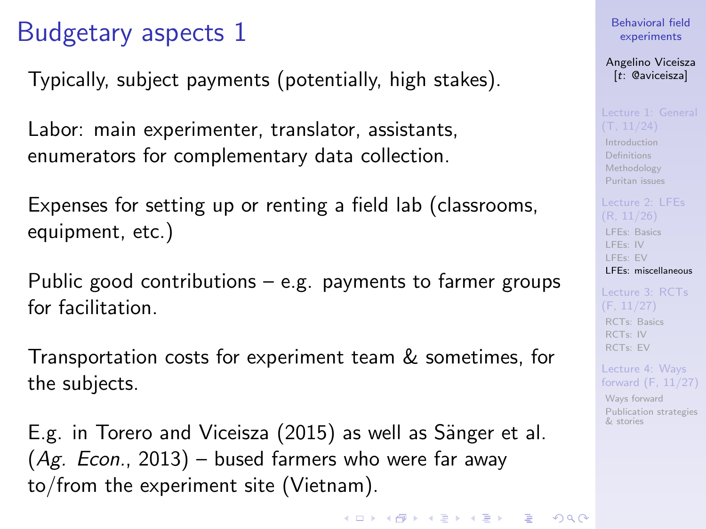# <span id="page-48-0"></span>Budgetary aspects 1

Typically, subject payments (potentially, high stakes).

Labor: main experimenter, translator, assistants, enumerators for complementary data collection.

Expenses for setting up or renting a field lab (classrooms, equipment, etc.)

Public good contributions – e.g. payments to farmer groups for facilitation.

Transportation costs for experiment team & sometimes, for the subjects.

E.g. in Torero and Viceisza (2015) as well as Sänger et al.  $(Ag. Econ., 2013)$  – bused farmers who were far away to/from the experiment site (Vietnam).

[Behavioral field](#page-0-0) experiments

Angelino Viceisza [t: @aviceisza]

[Introduction](#page-3-0) [Definitions](#page-7-0) [Methodology](#page-9-0) [Puritan issues](#page-20-0)

[LFEs: Basics](#page-29-0) [LFEs: IV](#page-31-0) [LFEs: EV](#page-40-0) [LFEs: miscellaneous](#page-48-0)

[RCTs: Basics](#page-53-0) [RCTs: IV](#page-57-0) [RCTs: EV](#page-80-0)

Lecture 4: Ways [forward \(F, 11/27\)](#page-91-0)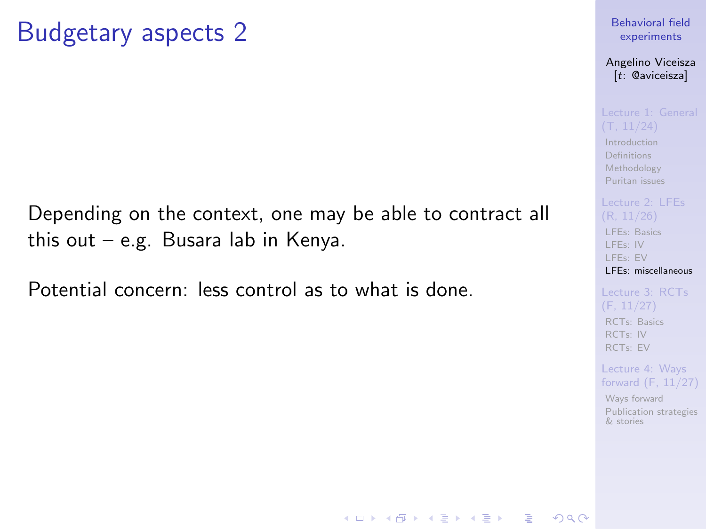## Budgetary aspects 2

Depending on the context, one may be able to contract all this out – e.g. Busara lab in Kenya.

Potential concern: less control as to what is done.

### [Behavioral field](#page-0-0) experiments

Angelino Viceisza [t: @aviceisza]

[Introduction](#page-3-0) **[Definitions](#page-7-0)** [Methodology](#page-9-0) [Puritan issues](#page-20-0)

[LFEs: Basics](#page-29-0) [LFEs: IV](#page-31-0) [LFEs: EV](#page-40-0) [LFEs: miscellaneous](#page-48-0)

[Lecture 3: RCTs](#page-52-0) [RCTs: Basics](#page-53-0) [RCTs: IV](#page-57-0) [RCTs: EV](#page-80-0)

Lecture 4: Ways [forward \(F, 11/27\)](#page-91-0)

[Ways forward](#page-92-0) [Publication strategies](#page-103-0) & stories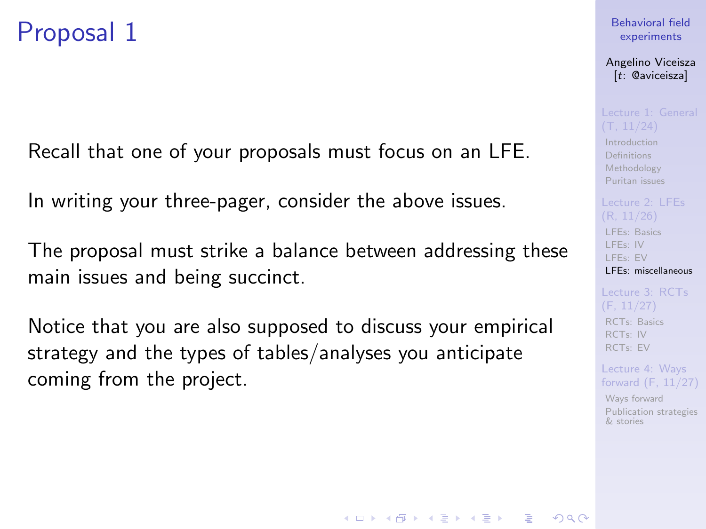## Proposal 1

Recall that one of your proposals must focus on an LFE.

In writing your three-pager, consider the above issues.

The proposal must strike a balance between addressing these main issues and being succinct.

Notice that you are also supposed to discuss your empirical strategy and the types of tables/analyses you anticipate coming from the project.

### [Behavioral field](#page-0-0) experiments

Angelino Viceisza [t: @aviceisza]

[Introduction](#page-3-0) [Definitions](#page-7-0) [Methodology](#page-9-0) [Puritan issues](#page-20-0)

[LFEs: Basics](#page-29-0) [LFEs: IV](#page-31-0) [LFEs: EV](#page-40-0) [LFEs: miscellaneous](#page-48-0)

[RCTs: Basics](#page-53-0) [RCTs: IV](#page-57-0) [RCTs: EV](#page-80-0)

Lecture 4: Ways [forward \(F, 11/27\)](#page-91-0)

[Ways forward](#page-92-0) [Publication strategies](#page-103-0) & stories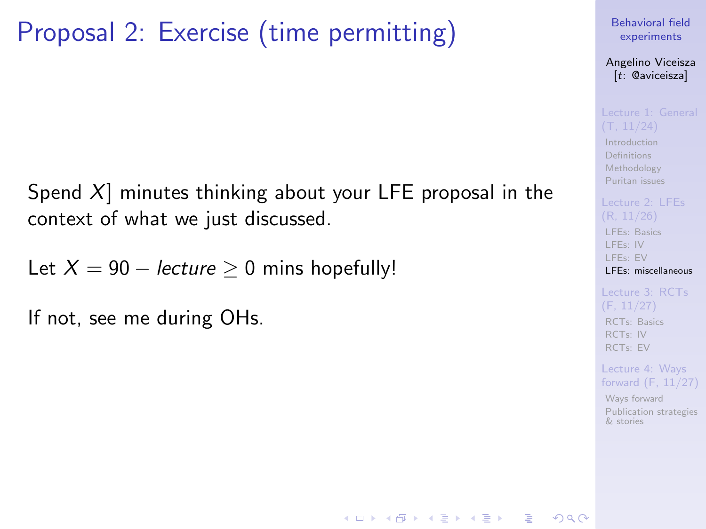# Proposal 2: Exercise (time permitting)

Spend  $X$ ] minutes thinking about your LFE proposal in the context of what we just discussed.

Let  $X = 90 - lecture \geq 0$  mins hopefully!

If not, see me during OHs.

[Behavioral field](#page-0-0) experiments

Angelino Viceisza [t: @aviceisza]

[Introduction](#page-3-0) [Definitions](#page-7-0) [Methodology](#page-9-0) [Puritan issues](#page-20-0)

[LFEs: Basics](#page-29-0) [LFEs: IV](#page-31-0) [LFEs: EV](#page-40-0) [LFEs: miscellaneous](#page-48-0)

(F, 11/27) [RCTs: Basics](#page-53-0) [RCTs: IV](#page-57-0) [RCTs: EV](#page-80-0)

Lecture 4: Ways [forward \(F, 11/27\)](#page-91-0)

[Ways forward](#page-92-0) [Publication strategies](#page-103-0) & stories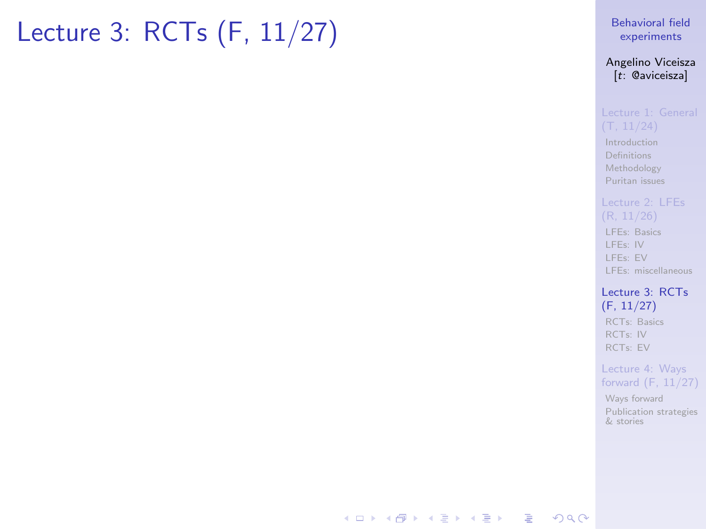# <span id="page-52-0"></span>Lecture 3: RCTs (F, 11/27)

### [Behavioral field](#page-0-0) experiments

### Angelino Viceisza [t: @aviceisza]

[Introduction](#page-3-0) [Definitions](#page-7-0) [Methodology](#page-9-0) [Puritan issues](#page-20-0)

[LFEs: Basics](#page-29-0) [LFEs: IV](#page-31-0) [LFEs: EV](#page-40-0) [LFEs: miscellaneous](#page-48-0)

### [Lecture 3: RCTs](#page-52-0) (F, 11/27) [RCTs: Basics](#page-53-0) [RCTs: IV](#page-57-0) [RCTs: EV](#page-80-0)

Lecture 4: Ways [forward \(F, 11/27\)](#page-91-0)

[Ways forward](#page-92-0) [Publication strategies](#page-103-0) & stories

### **KORK EXTER A BY A GACK**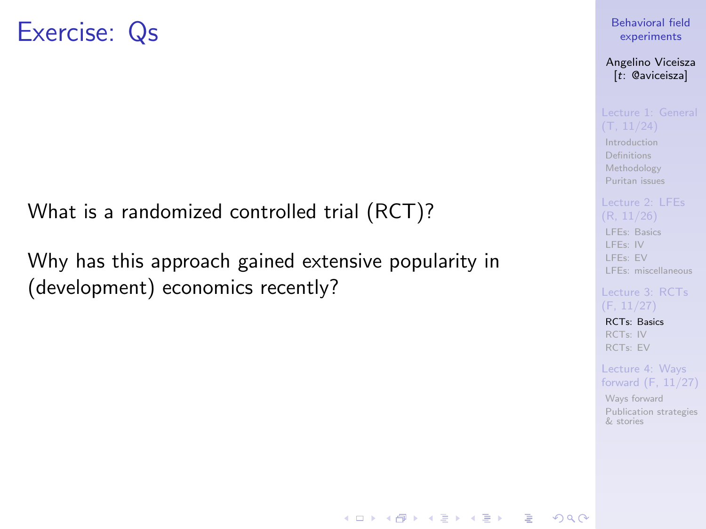<span id="page-53-0"></span>What is a randomized controlled trial (RCT)?

Why has this approach gained extensive popularity in (development) economics recently?

[Behavioral field](#page-0-0) experiments

Angelino Viceisza [t: @aviceisza]

[Introduction](#page-3-0) **[Definitions](#page-7-0)** [Methodology](#page-9-0) [Puritan issues](#page-20-0)

[LFEs: Basics](#page-29-0) [LFEs: IV](#page-31-0) [LFEs: EV](#page-40-0) [LFEs: miscellaneous](#page-48-0)

[RCTs: Basics](#page-53-0) [RCTs: IV](#page-57-0) [RCTs: EV](#page-80-0)

**KORKA SERKER ORA** 

Lecture 4: Ways [forward \(F, 11/27\)](#page-91-0)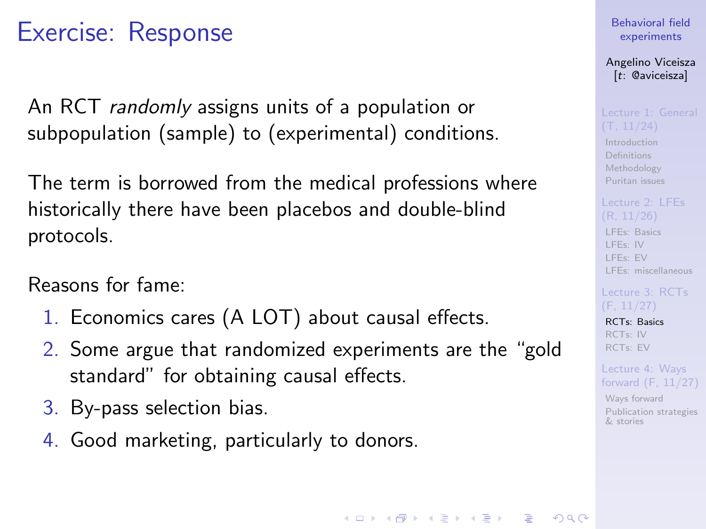An RCT randomly assigns units of a population or subpopulation (sample) to (experimental) conditions.

The term is borrowed from the medical professions where historically there have been placebos and double-blind protocols.

Reasons for fame:

- 1. Economics cares (A LOT) about causal effects.
- 2. Some argue that randomized experiments are the "gold standard" for obtaining causal effects.
- 3. By-pass selection bias.
- 4. Good marketing, particularly to donors.

[Behavioral field](#page-0-0) experiments

Angelino Viceisza [t: @aviceisza]

[Introduction](#page-3-0) [Definitions](#page-7-0) [Methodology](#page-9-0) [Puritan issues](#page-20-0)

[LFEs: Basics](#page-29-0) [LFEs: IV](#page-31-0) [LFEs: EV](#page-40-0) [LFEs: miscellaneous](#page-48-0)

[RCTs: Basics](#page-53-0) [RCTs: IV](#page-57-0) [RCTs: EV](#page-80-0)

Lecture 4: Ways [forward \(F, 11/27\)](#page-91-0)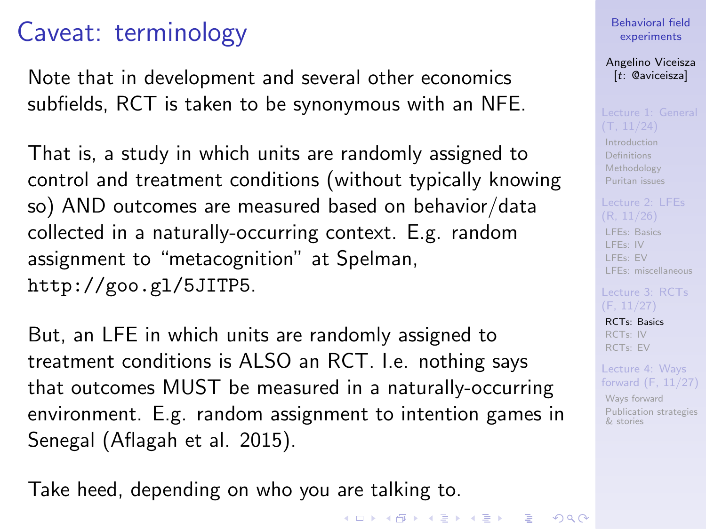## Caveat: terminology

Note that in development and several other economics subfields, RCT is taken to be synonymous with an NFE.

That is, a study in which units are randomly assigned to control and treatment conditions (without typically knowing so) AND outcomes are measured based on behavior/data collected in a naturally-occurring context. E.g. random assignment to "metacognition" at Spelman, <http://goo.gl/5JITP5>.

But, an LFE in which units are randomly assigned to treatment conditions is ALSO an RCT. I.e. nothing says that outcomes MUST be measured in a naturally-occurring environment. E.g. random assignment to intention games in Senegal (Aflagah et al. 2015).

Take heed, depending on who you are talking to.

[Behavioral field](#page-0-0) experiments Angelino Viceisza [t: @aviceisza]

[Introduction](#page-3-0) [Definitions](#page-7-0) [Methodology](#page-9-0) [Puritan issues](#page-20-0)

[LFEs: Basics](#page-29-0) [LFEs: IV](#page-31-0) [LFEs: EV](#page-40-0) [LFEs: miscellaneous](#page-48-0)

[RCTs: Basics](#page-53-0) [RCTs: IV](#page-57-0) [RCTs: EV](#page-80-0) Lecture 4: Ways [forward \(F, 11/27\)](#page-91-0) [Ways forward](#page-92-0) [Publication strategies](#page-103-0) & stories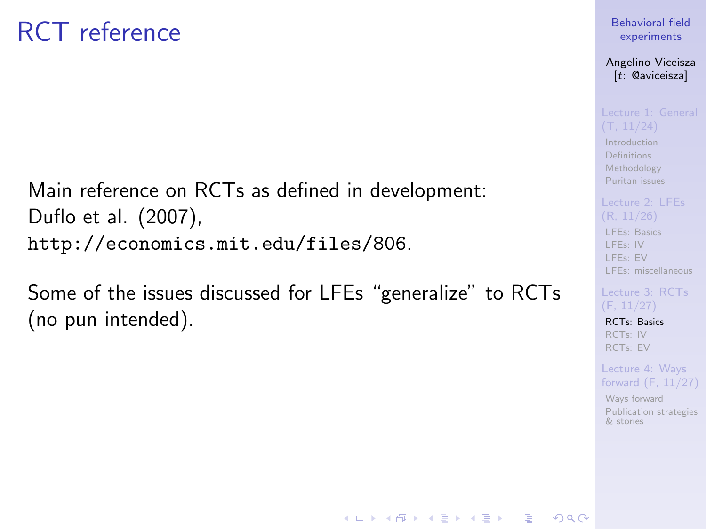# RCT reference

Main reference on RCTs as defined in development: Duflo et al. (2007), <http://economics.mit.edu/files/806>.

Some of the issues discussed for LFEs "generalize" to RCTs (no pun intended).

### [Behavioral field](#page-0-0) experiments

Angelino Viceisza [t: @aviceisza]

[Introduction](#page-3-0) [Definitions](#page-7-0) [Methodology](#page-9-0) [Puritan issues](#page-20-0)

## [LFEs: Basics](#page-29-0) [LFEs: IV](#page-31-0)

[LFEs: EV](#page-40-0) [LFEs: miscellaneous](#page-48-0)

[RCTs: Basics](#page-53-0) [RCTs: IV](#page-57-0) [RCTs: EV](#page-80-0)

**KORKA SERKER ORA** 

Lecture 4: Ways [forward \(F, 11/27\)](#page-91-0)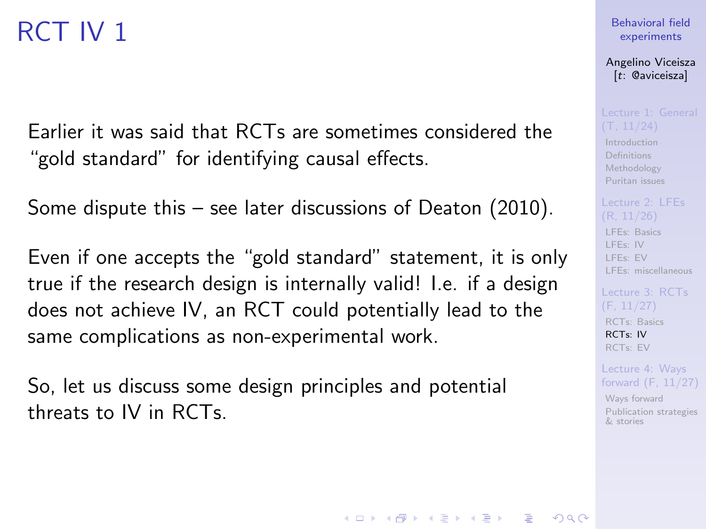# <span id="page-57-0"></span>RCT IV 1

Earlier it was said that RCTs are sometimes considered the "gold standard" for identifying causal effects.

Some dispute this – see later discussions of Deaton (2010).

Even if one accepts the "gold standard" statement, it is only true if the research design is internally valid! I.e. if a design does not achieve IV, an RCT could potentially lead to the same complications as non-experimental work.

So, let us discuss some design principles and potential threats to IV in RCTs.

### [Behavioral field](#page-0-0) experiments

Angelino Viceisza [t: @aviceisza]

[Introduction](#page-3-0) [Definitions](#page-7-0) [Methodology](#page-9-0) [Puritan issues](#page-20-0)

[LFEs: Basics](#page-29-0) [LFEs: IV](#page-31-0) [LFEs: EV](#page-40-0) [LFEs: miscellaneous](#page-48-0)

[RCTs: Basics](#page-53-0) [RCTs: IV](#page-57-0) [RCTs: EV](#page-80-0)

Lecture 4: Ways [forward \(F, 11/27\)](#page-91-0)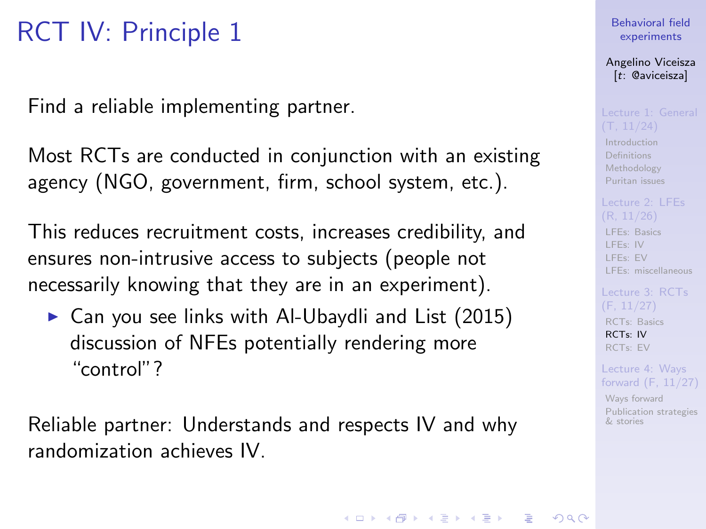# RCT IV: Principle 1

Find a reliable implementing partner.

Most RCTs are conducted in conjunction with an existing agency (NGO, government, firm, school system, etc.).

This reduces recruitment costs, increases credibility, and ensures non-intrusive access to subjects (people not necessarily knowing that they are in an experiment).

 $\triangleright$  Can you see links with Al-Ubaydli and List (2015) discussion of NFEs potentially rendering more "control"?

Reliable partner: Understands and respects IV and why randomization achieves IV.

### [Behavioral field](#page-0-0) experiments

Angelino Viceisza [t: @aviceisza]

[Introduction](#page-3-0) [Definitions](#page-7-0) [Methodology](#page-9-0) [Puritan issues](#page-20-0)

[LFEs: Basics](#page-29-0) [LFEs: IV](#page-31-0)

[LFEs: EV](#page-40-0) [LFEs: miscellaneous](#page-48-0)

[RCTs: Basics](#page-53-0) [RCTs: IV](#page-57-0) [RCTs: EV](#page-80-0)

Lecture 4: Ways [forward \(F, 11/27\)](#page-91-0)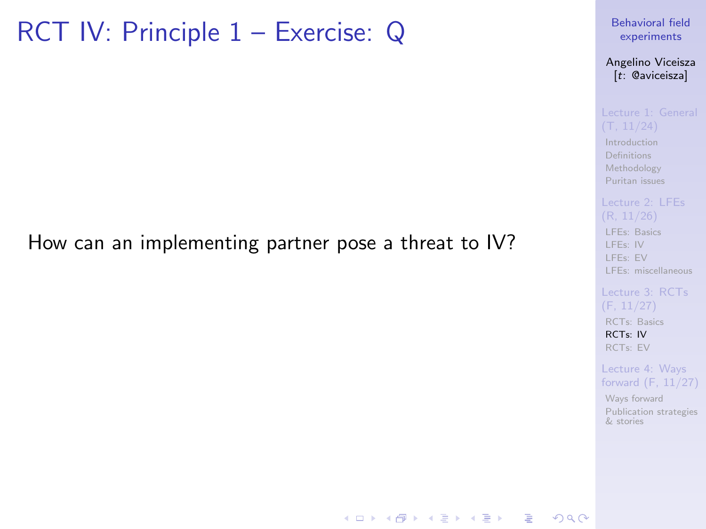## RCT IV: Principle 1 – Exercise: Q

### How can an implementing partner pose a threat to IV?

[Behavioral field](#page-0-0) experiments

Angelino Viceisza [t: @aviceisza]

[Introduction](#page-3-0) [Definitions](#page-7-0) [Methodology](#page-9-0) [Puritan issues](#page-20-0)

[LFEs: Basics](#page-29-0)

[LFEs: IV](#page-31-0) [LFEs: EV](#page-40-0) [LFEs: miscellaneous](#page-48-0)

[RCTs: Basics](#page-53-0) [RCTs: IV](#page-57-0) [RCTs: EV](#page-80-0)

Lecture 4: Ways [forward \(F, 11/27\)](#page-91-0)

[Ways forward](#page-92-0) [Publication strategies](#page-103-0) & stories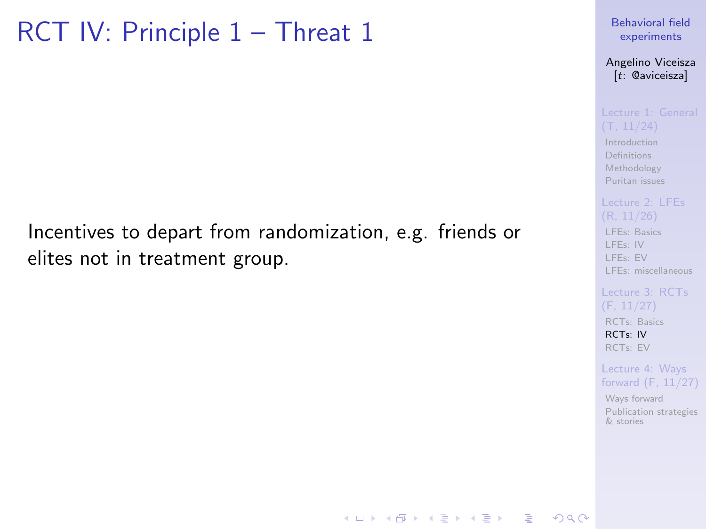## RCT IV: Principle 1 – Threat 1

### Incentives to depart from randomization, e.g. friends or elites not in treatment group.

[Behavioral field](#page-0-0) experiments

Angelino Viceisza [t: @aviceisza]

[Introduction](#page-3-0) [Definitions](#page-7-0) [Methodology](#page-9-0) [Puritan issues](#page-20-0)

[LFEs: Basics](#page-29-0) [LFEs: IV](#page-31-0) [LFEs: EV](#page-40-0) [LFEs: miscellaneous](#page-48-0)

[RCTs: Basics](#page-53-0) [RCTs: IV](#page-57-0) [RCTs: EV](#page-80-0)

Lecture 4: Ways [forward \(F, 11/27\)](#page-91-0)

[Ways forward](#page-92-0) [Publication strategies](#page-103-0) & stories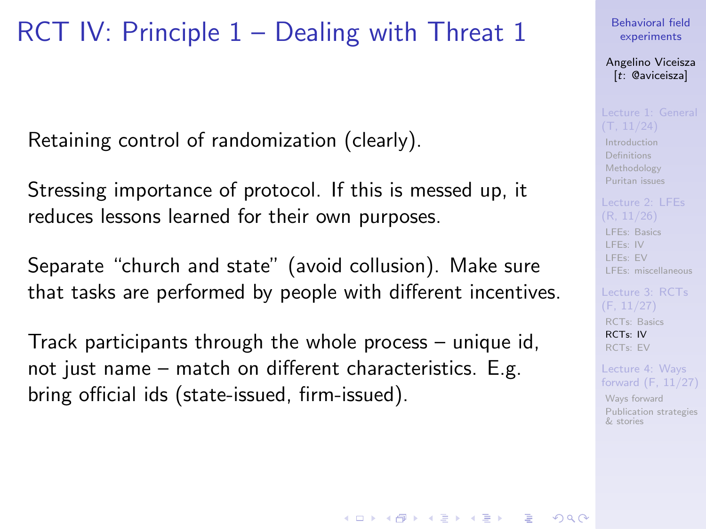## RCT IV: Principle 1 – Dealing with Threat 1

Retaining control of randomization (clearly).

Stressing importance of protocol. If this is messed up, it reduces lessons learned for their own purposes.

Separate "church and state" (avoid collusion). Make sure that tasks are performed by people with different incentives.

Track participants through the whole process – unique id, not just name – match on different characteristics. E.g. bring official ids (state-issued, firm-issued).

[Behavioral field](#page-0-0) experiments

Angelino Viceisza [t: @aviceisza]

[Introduction](#page-3-0) [Definitions](#page-7-0) [Methodology](#page-9-0) [Puritan issues](#page-20-0)

[LFEs: Basics](#page-29-0) [LFEs: IV](#page-31-0) [LFEs: EV](#page-40-0) [LFEs: miscellaneous](#page-48-0)

[Lecture 3: RCTs](#page-52-0) [RCTs: Basics](#page-53-0) [RCTs: IV](#page-57-0) [RCTs: EV](#page-80-0)

Lecture 4: Ways [forward \(F, 11/27\)](#page-91-0)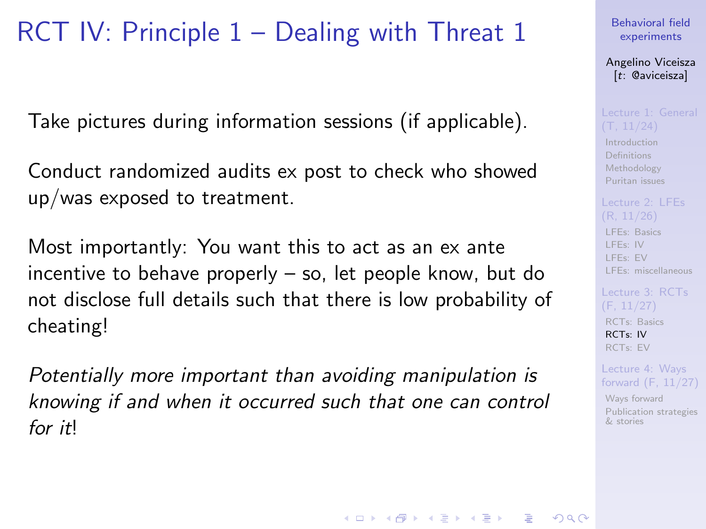# RCT IV: Principle 1 – Dealing with Threat 1

Take pictures during information sessions (if applicable).

Conduct randomized audits ex post to check who showed up/was exposed to treatment.

Most importantly: You want this to act as an ex ante incentive to behave properly – so, let people know, but do not disclose full details such that there is low probability of cheating!

Potentially more important than avoiding manipulation is knowing if and when it occurred such that one can control for *it*<sup>l</sup>

[Behavioral field](#page-0-0) experiments

Angelino Viceisza [t: @aviceisza]

[Introduction](#page-3-0) [Definitions](#page-7-0) [Methodology](#page-9-0) [Puritan issues](#page-20-0)

[LFEs: Basics](#page-29-0) [LFEs: IV](#page-31-0) [LFEs: EV](#page-40-0) [LFEs: miscellaneous](#page-48-0)

[RCTs: Basics](#page-53-0) [RCTs: IV](#page-57-0) [RCTs: EV](#page-80-0)

Lecture 4: Ways [forward \(F, 11/27\)](#page-91-0)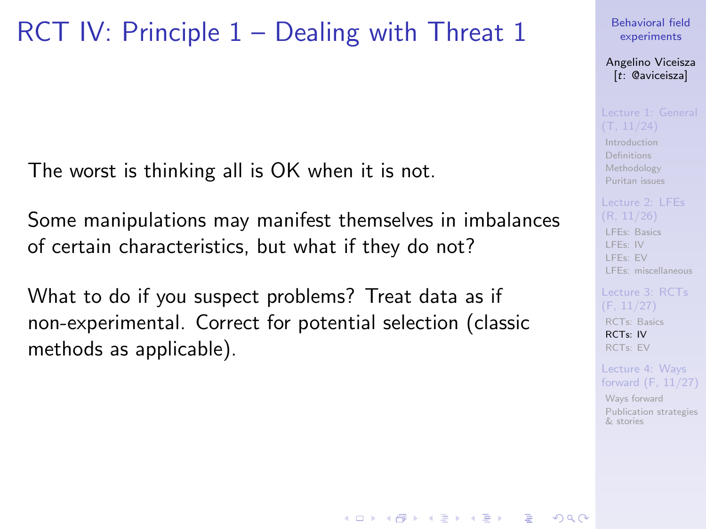## RCT IV: Principle 1 – Dealing with Threat 1

The worst is thinking all is OK when it is not.

Some manipulations may manifest themselves in imbalances of certain characteristics, but what if they do not?

What to do if you suspect problems? Treat data as if non-experimental. Correct for potential selection (classic methods as applicable).

### [Behavioral field](#page-0-0) experiments

Angelino Viceisza [t: @aviceisza]

[Introduction](#page-3-0) [Definitions](#page-7-0) [Methodology](#page-9-0) [Puritan issues](#page-20-0)

### [LFEs: Basics](#page-29-0) [LFEs: IV](#page-31-0) [LFEs: EV](#page-40-0) [LFEs: miscellaneous](#page-48-0)

[RCTs: Basics](#page-53-0) [RCTs: IV](#page-57-0) [RCTs: EV](#page-80-0)

Lecture 4: Ways [forward \(F, 11/27\)](#page-91-0)

[Ways forward](#page-92-0) [Publication strategies](#page-103-0) & stories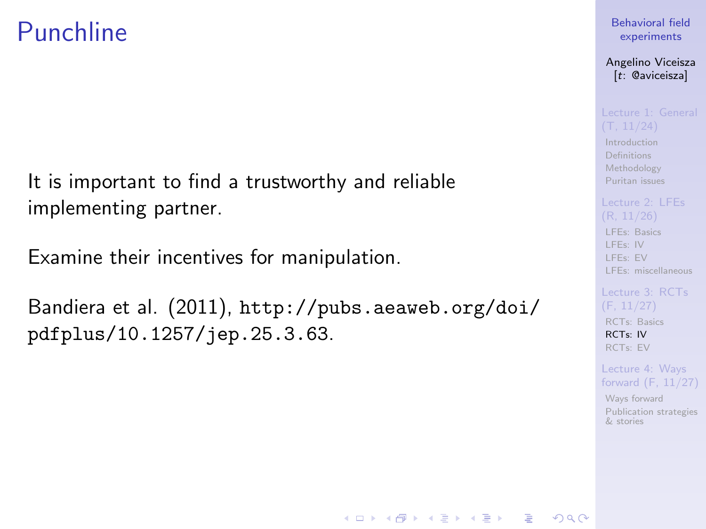## Punchline

It is important to find a trustworthy and reliable implementing partner.

Examine their incentives for manipulation.

Bandiera et al. (2011), [http://pubs.aeaweb.org/doi/](http://pubs.aeaweb.org/doi/pdfplus/10.1257/jep.25.3.63) [pdfplus/10.1257/jep.25.3.63](http://pubs.aeaweb.org/doi/pdfplus/10.1257/jep.25.3.63).

### [Behavioral field](#page-0-0) experiments

Angelino Viceisza [t: @aviceisza]

[Introduction](#page-3-0) [Definitions](#page-7-0) [Methodology](#page-9-0) [Puritan issues](#page-20-0)

[LFEs: Basics](#page-29-0) [LFEs: IV](#page-31-0) [LFEs: EV](#page-40-0) [LFEs: miscellaneous](#page-48-0)

[RCTs: Basics](#page-53-0) [RCTs: IV](#page-57-0) [RCTs: EV](#page-80-0)

### Lecture 4: Ways [forward \(F, 11/27\)](#page-91-0)

[Ways forward](#page-92-0) [Publication strategies](#page-103-0) & stories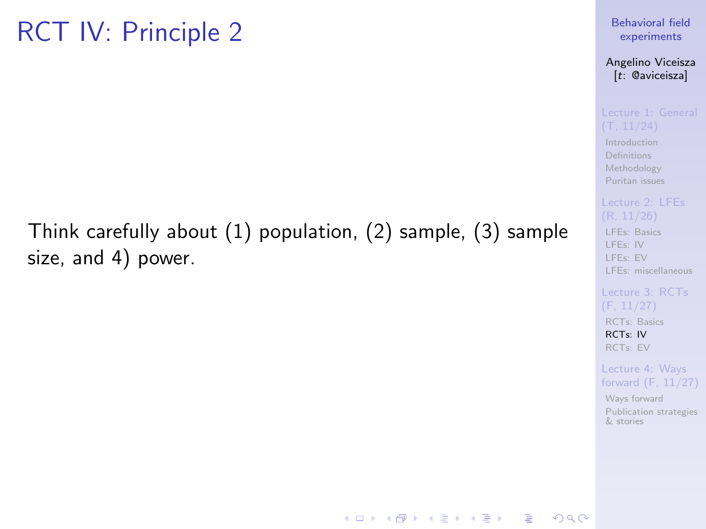# RCT IV: Principle 2

### Think carefully about (1) population, (2) sample, (3) sample size, and 4) power.

### [Behavioral field](#page-0-0) experiments

### Angelino Viceisza [t: @aviceisza]

[Introduction](#page-3-0) [Definitions](#page-7-0) [Methodology](#page-9-0) [Puritan issues](#page-20-0)

[LFEs: Basics](#page-29-0) [LFEs: IV](#page-31-0) [LFEs: EV](#page-40-0) [LFEs: miscellaneous](#page-48-0)

[RCTs: Basics](#page-53-0) [RCTs: IV](#page-57-0) [RCTs: EV](#page-80-0)

Lecture 4: Ways [forward \(F, 11/27\)](#page-91-0)

[Ways forward](#page-92-0) [Publication strategies](#page-103-0) & stories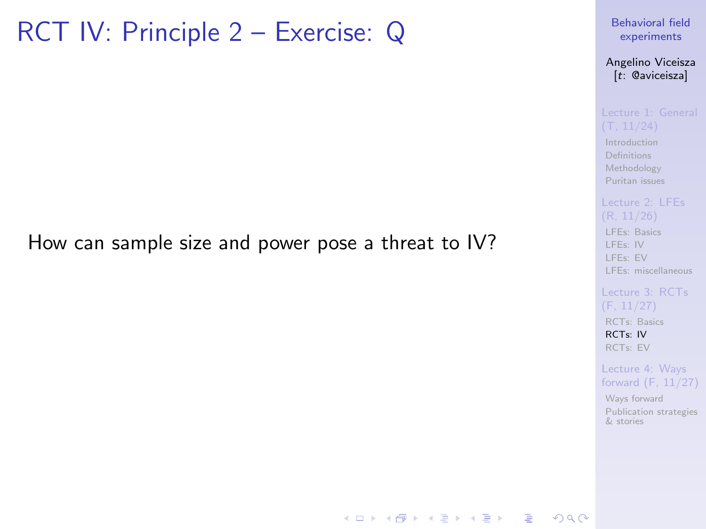## RCT IV: Principle 2 – Exercise: Q

### How can sample size and power pose a threat to IV?

[Behavioral field](#page-0-0) experiments

Angelino Viceisza [t: @aviceisza]

[Introduction](#page-3-0) [Definitions](#page-7-0) [Methodology](#page-9-0) [Puritan issues](#page-20-0)

[LFEs: Basics](#page-29-0) [LFEs: IV](#page-31-0) [LFEs: EV](#page-40-0) [LFEs: miscellaneous](#page-48-0)

[RCTs: Basics](#page-53-0) [RCTs: IV](#page-57-0) [RCTs: EV](#page-80-0)

Lecture 4: Ways [forward \(F, 11/27\)](#page-91-0)

[Ways forward](#page-92-0) [Publication strategies](#page-103-0) & stories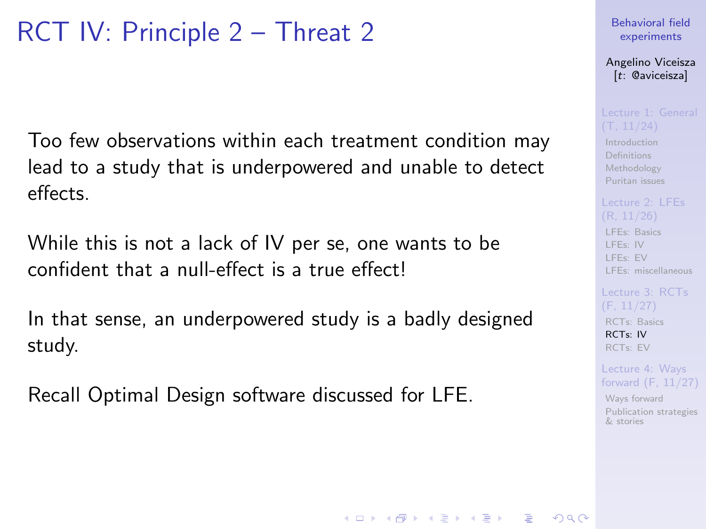# RCT IV: Principle 2 – Threat 2

Too few observations within each treatment condition may lead to a study that is underpowered and unable to detect effects.

While this is not a lack of IV per se, one wants to be confident that a null-effect is a true effect!

In that sense, an underpowered study is a badly designed study.

Recall Optimal Design software discussed for LFE.

### [Behavioral field](#page-0-0) experiments

Angelino Viceisza [t: @aviceisza]

[Introduction](#page-3-0) **[Definitions](#page-7-0)** [Methodology](#page-9-0) [Puritan issues](#page-20-0)

[LFEs: Basics](#page-29-0) [LFEs: IV](#page-31-0) [LFEs: EV](#page-40-0) [LFEs: miscellaneous](#page-48-0)

[RCTs: Basics](#page-53-0) [RCTs: IV](#page-57-0) [RCTs: EV](#page-80-0)

Lecture 4: Ways [forward \(F, 11/27\)](#page-91-0)

[Ways forward](#page-92-0) [Publication strategies](#page-103-0) & stories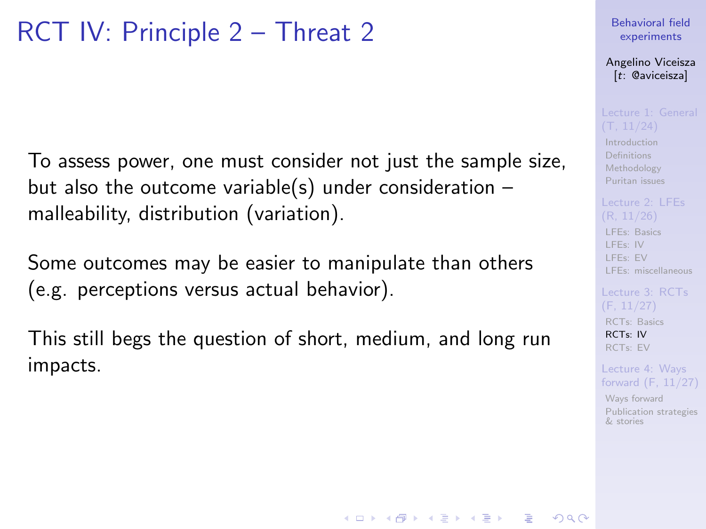# RCT IV: Principle 2 – Threat 2

To assess power, one must consider not just the sample size, but also the outcome variable(s) under consideration  $$ malleability, distribution (variation).

Some outcomes may be easier to manipulate than others (e.g. perceptions versus actual behavior).

This still begs the question of short, medium, and long run impacts.

### [Behavioral field](#page-0-0) experiments

Angelino Viceisza [t: @aviceisza]

[Introduction](#page-3-0) [Definitions](#page-7-0) [Methodology](#page-9-0) [Puritan issues](#page-20-0)

[LFEs: Basics](#page-29-0) [LFEs: IV](#page-31-0) [LFEs: EV](#page-40-0) [LFEs: miscellaneous](#page-48-0)

[RCTs: Basics](#page-53-0) [RCTs: IV](#page-57-0) [RCTs: EV](#page-80-0)

Lecture 4: Ways [forward \(F, 11/27\)](#page-91-0)

[Ways forward](#page-92-0) [Publication strategies](#page-103-0) & stories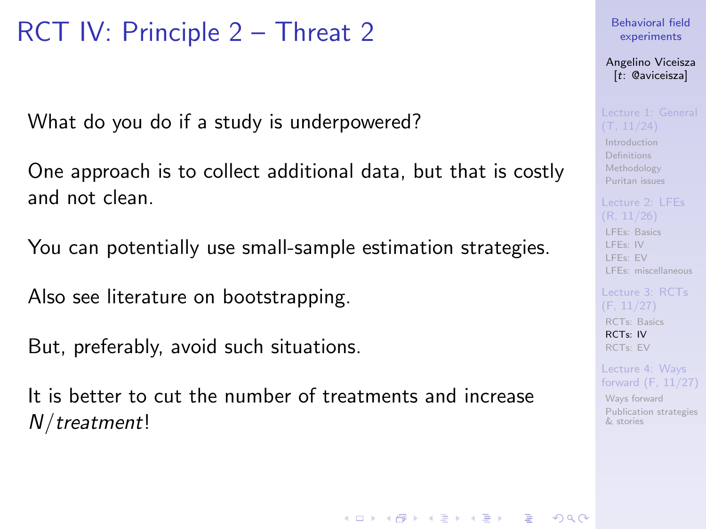# RCT IV: Principle 2 – Threat 2

What do you do if a study is underpowered?

One approach is to collect additional data, but that is costly and not clean.

You can potentially use small-sample estimation strategies.

Also see literature on bootstrapping.

But, preferably, avoid such situations.

It is better to cut the number of treatments and increase N/treatment!

[Behavioral field](#page-0-0) experiments

Angelino Viceisza [t: @aviceisza]

[Introduction](#page-3-0) [Definitions](#page-7-0) [Methodology](#page-9-0) [Puritan issues](#page-20-0)

[LFEs: Basics](#page-29-0) [LFEs: IV](#page-31-0) [LFEs: EV](#page-40-0) [LFEs: miscellaneous](#page-48-0)

[RCTs: Basics](#page-53-0) [RCTs: IV](#page-57-0) [RCTs: EV](#page-80-0)

Lecture 4: Ways [forward \(F, 11/27\)](#page-91-0)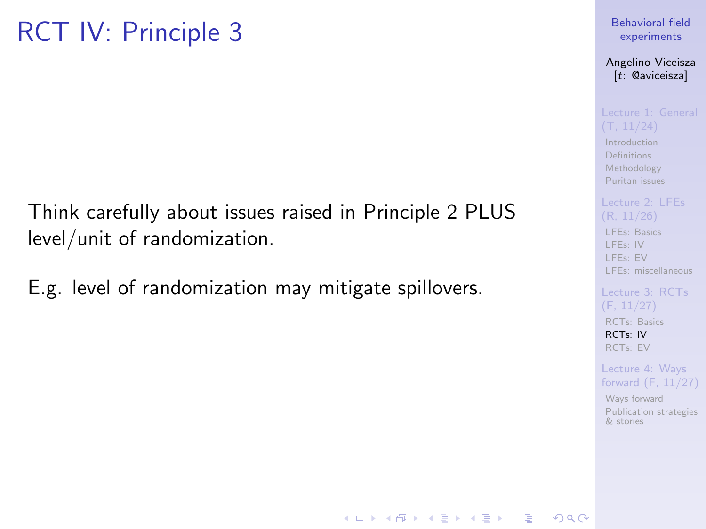# RCT IV: Principle 3

Think carefully about issues raised in Principle 2 PLUS level/unit of randomization.

E.g. level of randomization may mitigate spillovers.

### [Behavioral field](#page-0-0) experiments

Angelino Viceisza [t: @aviceisza]

[Introduction](#page-3-0) **[Definitions](#page-7-0)** [Methodology](#page-9-0) [Puritan issues](#page-20-0)

[LFEs: Basics](#page-29-0) [LFEs: IV](#page-31-0) [LFEs: EV](#page-40-0) [LFEs: miscellaneous](#page-48-0)

[RCTs: Basics](#page-53-0) [RCTs: IV](#page-57-0) [RCTs: EV](#page-80-0)

Lecture 4: Ways [forward \(F, 11/27\)](#page-91-0)

[Ways forward](#page-92-0) [Publication strategies](#page-103-0) & stories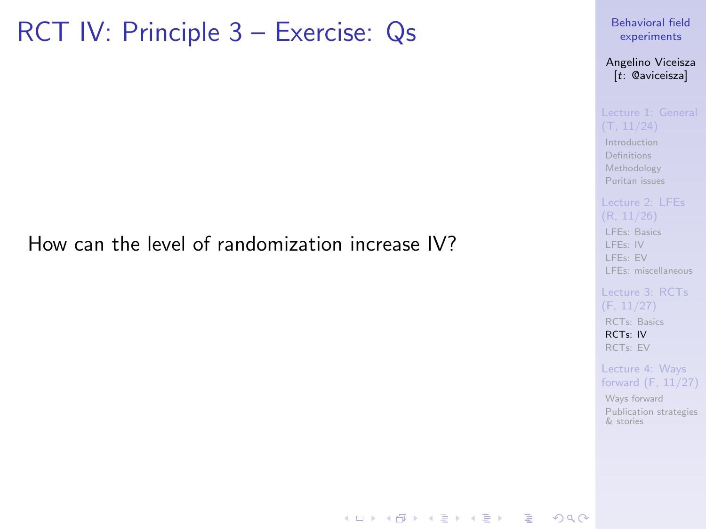## RCT IV: Principle 3 – Exercise: Qs

### How can the level of randomization increase IV?

[Behavioral field](#page-0-0) experiments

Angelino Viceisza [t: @aviceisza]

[Introduction](#page-3-0) [Definitions](#page-7-0) [Methodology](#page-9-0) [Puritan issues](#page-20-0)

[LFEs: Basics](#page-29-0) [LFEs: IV](#page-31-0) [LFEs: EV](#page-40-0) [LFEs: miscellaneous](#page-48-0)

[RCTs: Basics](#page-53-0) [RCTs: IV](#page-57-0) [RCTs: EV](#page-80-0)

Lecture 4: Ways [forward \(F, 11/27\)](#page-91-0)

[Ways forward](#page-92-0) [Publication strategies](#page-103-0) & stories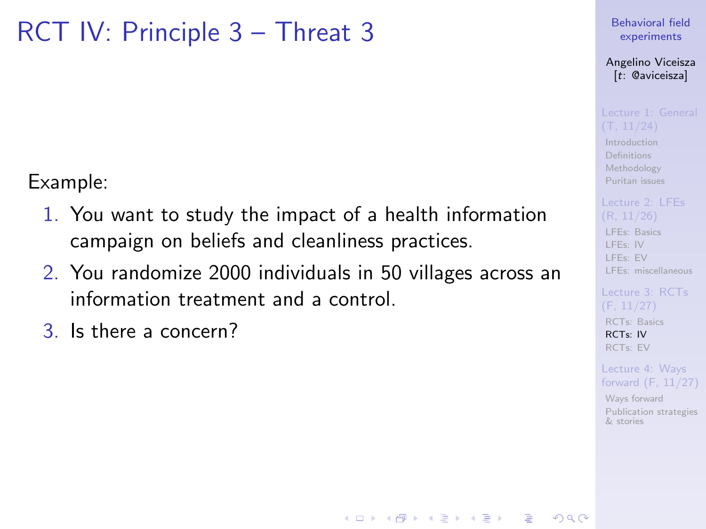## RCT IV: Principle 3 – Threat 3

Example:

- 1. You want to study the impact of a health information campaign on beliefs and cleanliness practices.
- 2. You randomize 2000 individuals in 50 villages across an information treatment and a control.
- 3. Is there a concern?

[Behavioral field](#page-0-0) experiments

Angelino Viceisza [t: @aviceisza]

[Introduction](#page-3-0) [Definitions](#page-7-0) [Methodology](#page-9-0) [Puritan issues](#page-20-0)

[LFEs: Basics](#page-29-0) [LFEs: IV](#page-31-0) [LFEs: EV](#page-40-0) [LFEs: miscellaneous](#page-48-0)

[RCTs: Basics](#page-53-0) [RCTs: IV](#page-57-0) [RCTs: EV](#page-80-0)

Lecture 4: Ways [forward \(F, 11/27\)](#page-91-0)

[Ways forward](#page-92-0) [Publication strategies](#page-103-0) & stories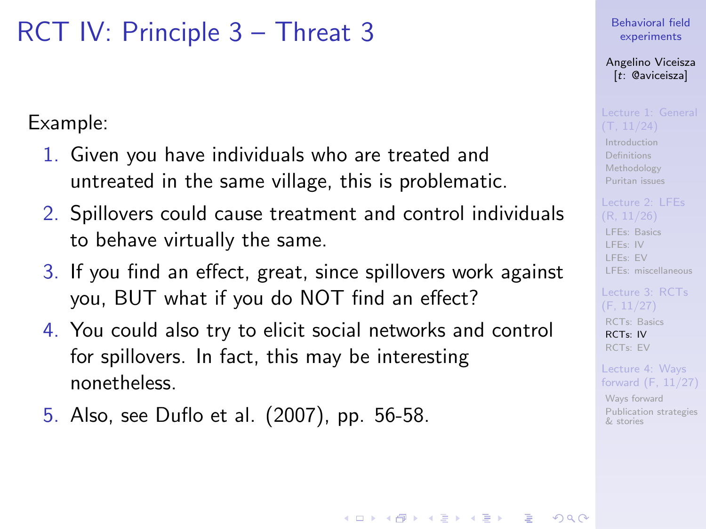## RCT IV: Principle 3 – Threat 3

Example:

- 1. Given you have individuals who are treated and untreated in the same village, this is problematic.
- 2. Spillovers could cause treatment and control individuals to behave virtually the same.
- 3. If you find an effect, great, since spillovers work against you, BUT what if you do NOT find an effect?
- 4. You could also try to elicit social networks and control for spillovers. In fact, this may be interesting nonetheless.
- 5. Also, see Duflo et al. (2007), pp. 56-58.

[Behavioral field](#page-0-0) experiments

Angelino Viceisza [t: @aviceisza]

[Introduction](#page-3-0) [Definitions](#page-7-0) [Methodology](#page-9-0) [Puritan issues](#page-20-0)

[LFEs: Basics](#page-29-0) [LFEs: IV](#page-31-0) [LFEs: EV](#page-40-0) [LFEs: miscellaneous](#page-48-0)

[RCTs: Basics](#page-53-0) [RCTs: IV](#page-57-0) [RCTs: EV](#page-80-0)

Lecture 4: Ways [forward \(F, 11/27\)](#page-91-0)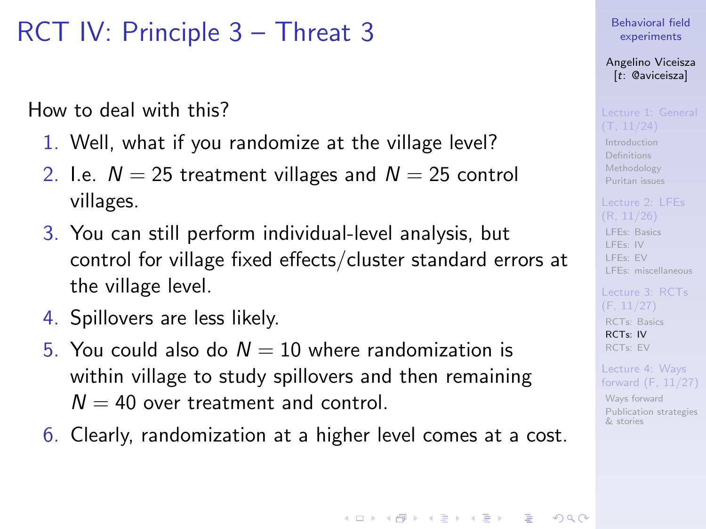## RCT IV: Principle 3 – Threat 3

How to deal with this?

- 1. Well, what if you randomize at the village level?
- 2. I.e.  $N = 25$  treatment villages and  $N = 25$  control villages.
- 3. You can still perform individual-level analysis, but control for village fixed effects/cluster standard errors at the village level.
- 4. Spillovers are less likely.
- 5. You could also do  $N = 10$  where randomization is within village to study spillovers and then remaining  $N = 40$  over treatment and control.
- 6. Clearly, randomization at a higher level comes at a cost.

### [Behavioral field](#page-0-0) experiments

Angelino Viceisza [t: @aviceisza]

[Introduction](#page-3-0) [Definitions](#page-7-0) [Methodology](#page-9-0) [Puritan issues](#page-20-0)

[LFEs: Basics](#page-29-0) [LFEs: IV](#page-31-0) [LFEs: EV](#page-40-0) [LFEs: miscellaneous](#page-48-0)

[RCTs: Basics](#page-53-0) [RCTs: IV](#page-57-0) [RCTs: EV](#page-80-0)

Lecture 4: Ways [forward \(F, 11/27\)](#page-91-0)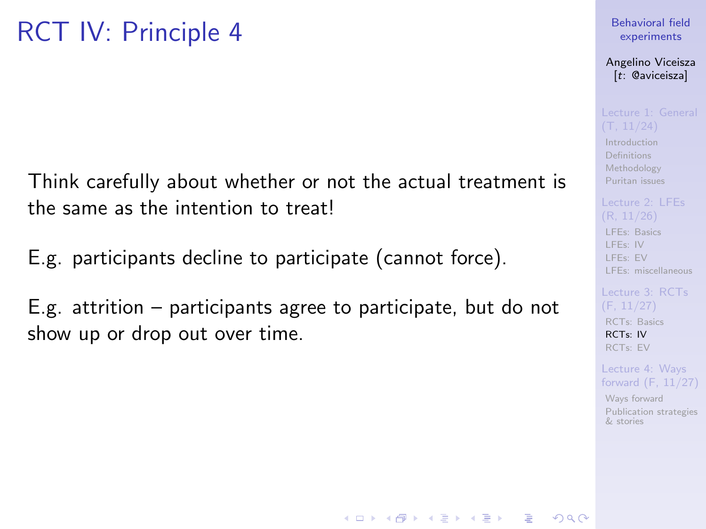Think carefully about whether or not the actual treatment is the same as the intention to treat!

E.g. participants decline to participate (cannot force).

E.g. attrition – participants agree to participate, but do not show up or drop out over time.

### [Behavioral field](#page-0-0) experiments

Angelino Viceisza [t: @aviceisza]

[Introduction](#page-3-0) [Definitions](#page-7-0) [Methodology](#page-9-0) [Puritan issues](#page-20-0)

[LFEs: Basics](#page-29-0) [LFEs: IV](#page-31-0) [LFEs: EV](#page-40-0) [LFEs: miscellaneous](#page-48-0)

[RCTs: Basics](#page-53-0) [RCTs: IV](#page-57-0) [RCTs: EV](#page-80-0)

Lecture 4: Ways [forward \(F, 11/27\)](#page-91-0)

[Ways forward](#page-92-0) [Publication strategies](#page-103-0) & stories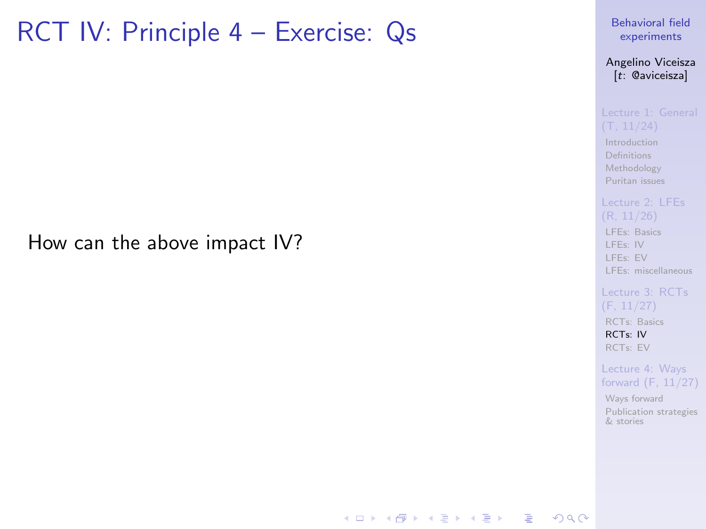## RCT IV: Principle 4 – Exercise: Qs

How can the above impact IV?

[Behavioral field](#page-0-0) experiments

Angelino Viceisza [t: @aviceisza]

[Introduction](#page-3-0) [Definitions](#page-7-0) [Methodology](#page-9-0) [Puritan issues](#page-20-0)

[LFEs: Basics](#page-29-0)

[LFEs: IV](#page-31-0) [LFEs: EV](#page-40-0) [LFEs: miscellaneous](#page-48-0)

(F, 11/27) [RCTs: Basics](#page-53-0) [RCTs: IV](#page-57-0) [RCTs: EV](#page-80-0)

Lecture 4: Ways [forward \(F, 11/27\)](#page-91-0)

[Ways forward](#page-92-0) [Publication strategies](#page-103-0) & stories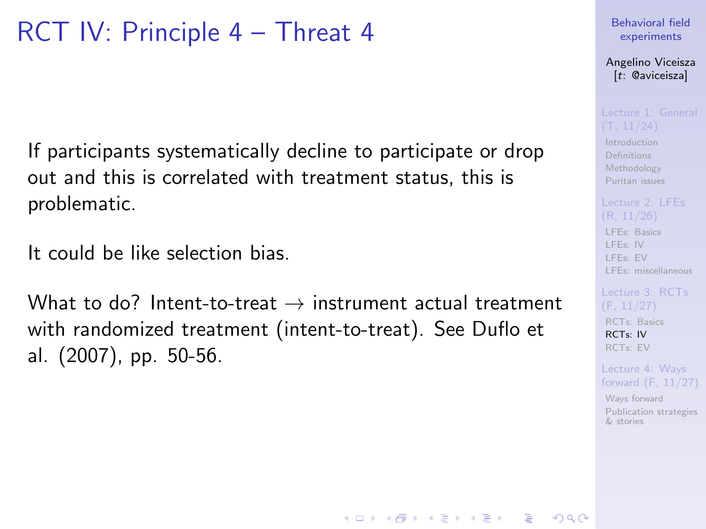## RCT IV: Principle 4 – Threat 4

If participants systematically decline to participate or drop out and this is correlated with treatment status, this is problematic.

It could be like selection bias.

What to do? Intent-to-treat  $\rightarrow$  instrument actual treatment with randomized treatment (intent-to-treat). See Duflo et al. (2007), pp. 50-56.

### [Behavioral field](#page-0-0) experiments

Angelino Viceisza [t: @aviceisza]

[Introduction](#page-3-0) [Definitions](#page-7-0) [Methodology](#page-9-0) [Puritan issues](#page-20-0)

## [LFEs: Basics](#page-29-0) [LFEs: IV](#page-31-0) [LFEs: EV](#page-40-0) [LFEs: miscellaneous](#page-48-0)

[RCTs: Basics](#page-53-0) [RCTs: IV](#page-57-0) [RCTs: EV](#page-80-0)

Lecture 4: Ways [forward \(F, 11/27\)](#page-91-0)

[Ways forward](#page-92-0) [Publication strategies](#page-103-0) & stories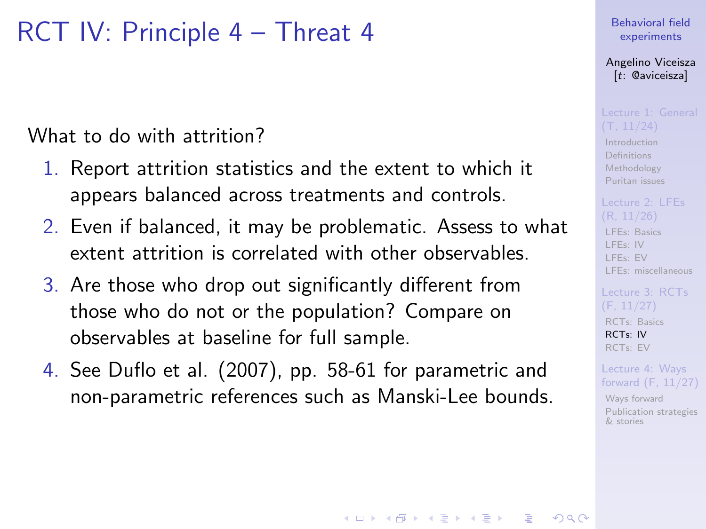## RCT IV: Principle 4 – Threat 4

## What to do with attrition?

- 1. Report attrition statistics and the extent to which it appears balanced across treatments and controls.
- 2. Even if balanced, it may be problematic. Assess to what extent attrition is correlated with other observables.
- 3. Are those who drop out significantly different from those who do not or the population? Compare on observables at baseline for full sample.
- 4. See Duflo et al. (2007), pp. 58-61 for parametric and non-parametric references such as Manski-Lee bounds.

### [Behavioral field](#page-0-0) experiments

### Angelino Viceisza [t: @aviceisza]

[Introduction](#page-3-0) [Definitions](#page-7-0) [Methodology](#page-9-0) [Puritan issues](#page-20-0)

# [LFEs: Basics](#page-29-0)

[LFEs: IV](#page-31-0) [LFEs: EV](#page-40-0) [LFEs: miscellaneous](#page-48-0)

[RCTs: Basics](#page-53-0) [RCTs: IV](#page-57-0) [RCTs: EV](#page-80-0)

Lecture 4: Ways [forward \(F, 11/27\)](#page-91-0)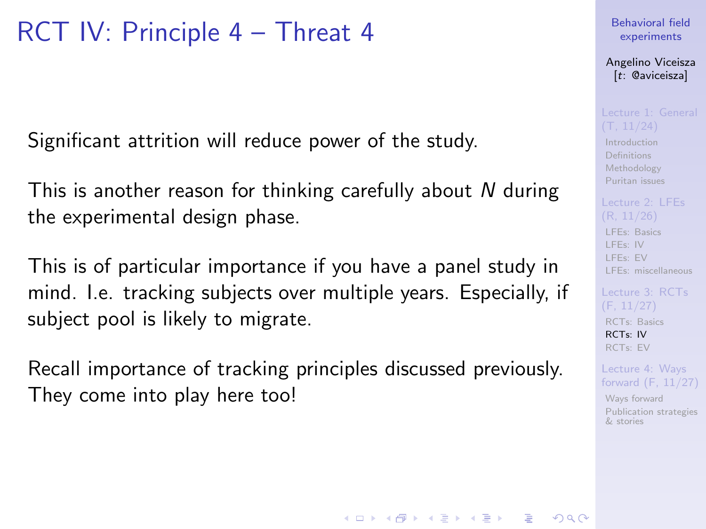## RCT IV: Principle 4 – Threat 4

Significant attrition will reduce power of the study.

This is another reason for thinking carefully about N during the experimental design phase.

This is of particular importance if you have a panel study in mind. I.e. tracking subjects over multiple years. Especially, if subject pool is likely to migrate.

Recall importance of tracking principles discussed previously. They come into play here too!

### [Behavioral field](#page-0-0) experiments

Angelino Viceisza [t: @aviceisza]

[Introduction](#page-3-0) [Definitions](#page-7-0) [Methodology](#page-9-0) [Puritan issues](#page-20-0)

[LFEs: Basics](#page-29-0) [LFEs: IV](#page-31-0) [LFEs: EV](#page-40-0) [LFEs: miscellaneous](#page-48-0)

[Lecture 3: RCTs](#page-52-0) [RCTs: Basics](#page-53-0) [RCTs: IV](#page-57-0) [RCTs: EV](#page-80-0)

Lecture 4: Ways [forward \(F, 11/27\)](#page-91-0)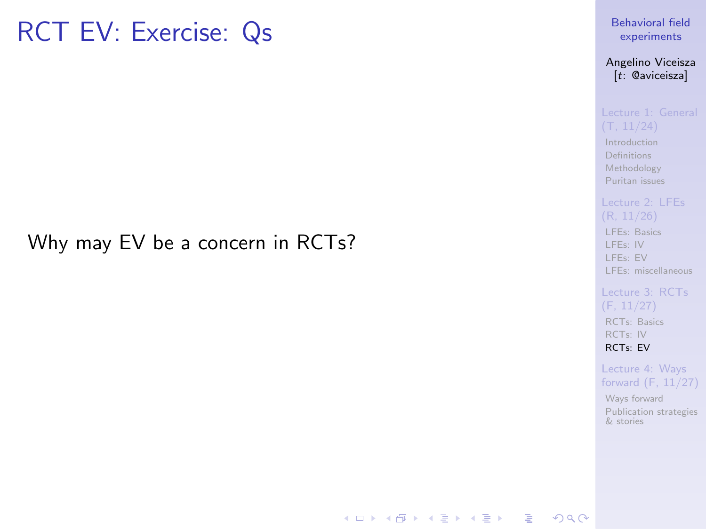## <span id="page-80-0"></span>RCT EV: Exercise: Qs

## Why may EV be a concern in RCTs?

[Behavioral field](#page-0-0) experiments

Angelino Viceisza [t: @aviceisza]

[Introduction](#page-3-0) [Definitions](#page-7-0) [Methodology](#page-9-0) [Puritan issues](#page-20-0)

[LFEs: Basics](#page-29-0)

[LFEs: IV](#page-31-0) [LFEs: EV](#page-40-0) [LFEs: miscellaneous](#page-48-0)

(F, 11/27) [RCTs: Basics](#page-53-0) [RCTs: IV](#page-57-0) [RCTs: EV](#page-80-0)

Lecture 4: Ways [forward \(F, 11/27\)](#page-91-0)

[Ways forward](#page-92-0) [Publication strategies](#page-103-0) & stories

**KORK EXTER A BY A GACK**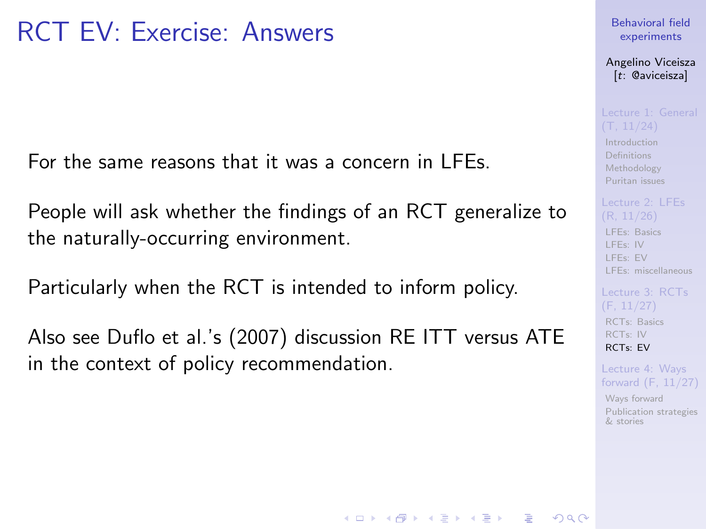For the same reasons that it was a concern in LFEs.

People will ask whether the findings of an RCT generalize to the naturally-occurring environment.

Particularly when the RCT is intended to inform policy.

Also see Duflo et al.'s (2007) discussion RE ITT versus ATE in the context of policy recommendation.

**KORKA SERKER ORA** 

[Behavioral field](#page-0-0) experiments

Angelino Viceisza [t: @aviceisza]

[Introduction](#page-3-0) [Definitions](#page-7-0) [Methodology](#page-9-0) [Puritan issues](#page-20-0)

[LFEs: Basics](#page-29-0) [LFEs: IV](#page-31-0) [LFEs: EV](#page-40-0) [LFEs: miscellaneous](#page-48-0)

[RCTs: Basics](#page-53-0) [RCTs: IV](#page-57-0) [RCTs: EV](#page-80-0)

Lecture 4: Ways [forward \(F, 11/27\)](#page-91-0)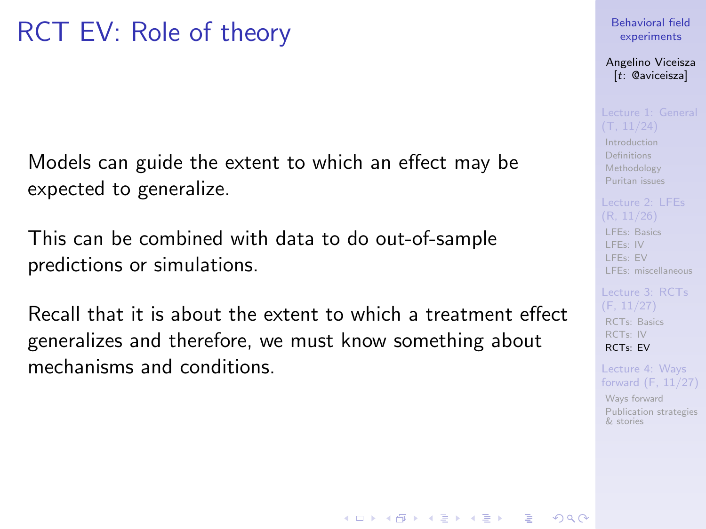Models can guide the extent to which an effect may be expected to generalize.

This can be combined with data to do out-of-sample predictions or simulations.

Recall that it is about the extent to which a treatment effect generalizes and therefore, we must know something about mechanisms and conditions.

### [Behavioral field](#page-0-0) experiments

Angelino Viceisza [t: @aviceisza]

[Introduction](#page-3-0) [Definitions](#page-7-0) [Methodology](#page-9-0) [Puritan issues](#page-20-0)

[LFEs: Basics](#page-29-0) [LFEs: IV](#page-31-0) [LFEs: EV](#page-40-0)

[LFEs: miscellaneous](#page-48-0)

[RCTs: Basics](#page-53-0) [RCTs: IV](#page-57-0) [RCTs: EV](#page-80-0)

Lecture 4: Ways [forward \(F, 11/27\)](#page-91-0)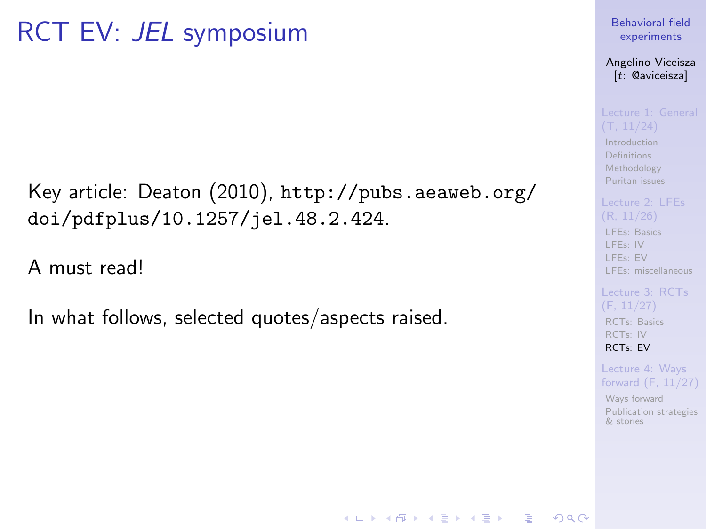Key article: Deaton (2010), [http://pubs.aeaweb.org/](http://pubs.aeaweb.org/doi/pdfplus/10.1257/jel.48.2.424) [doi/pdfplus/10.1257/jel.48.2.424](http://pubs.aeaweb.org/doi/pdfplus/10.1257/jel.48.2.424).

A must read!

In what follows, selected quotes/aspects raised.

### [Behavioral field](#page-0-0) experiments

Angelino Viceisza [t: @aviceisza]

[Introduction](#page-3-0) [Definitions](#page-7-0) [Methodology](#page-9-0) [Puritan issues](#page-20-0)

[LFEs: Basics](#page-29-0)

[LFEs: IV](#page-31-0) [LFEs: EV](#page-40-0) [LFEs: miscellaneous](#page-48-0)

[RCTs: Basics](#page-53-0) [RCTs: IV](#page-57-0) [RCTs: EV](#page-80-0)

Lecture 4: Ways [forward \(F, 11/27\)](#page-91-0)

[Ways forward](#page-92-0) [Publication strategies](#page-103-0) & stories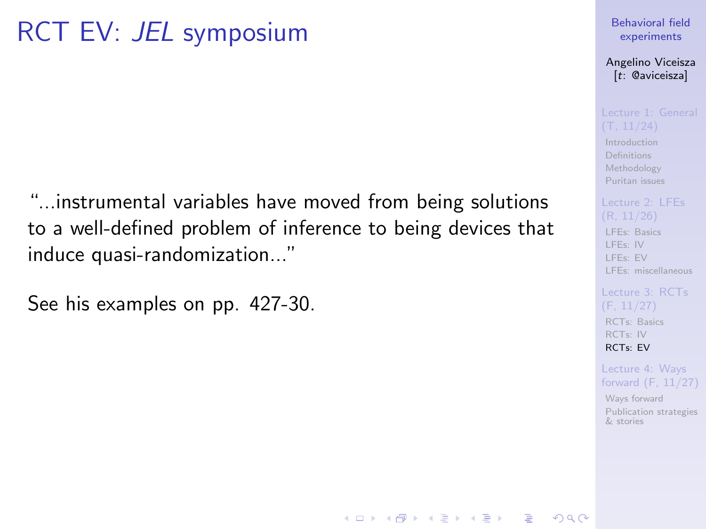"...instrumental variables have moved from being solutions to a well-defined problem of inference to being devices that induce quasi-randomization..."

See his examples on pp. 427-30.

### [Behavioral field](#page-0-0) experiments

Angelino Viceisza [t: @aviceisza]

**[Introduction](#page-3-0)** [Definitions](#page-7-0) [Methodology](#page-9-0) [Puritan issues](#page-20-0)

[LFEs: Basics](#page-29-0) [LFEs: IV](#page-31-0)

[LFEs: EV](#page-40-0) [LFEs: miscellaneous](#page-48-0)

[RCTs: Basics](#page-53-0) [RCTs: IV](#page-57-0) [RCTs: EV](#page-80-0)

Lecture 4: Ways [forward \(F, 11/27\)](#page-91-0)

[Ways forward](#page-92-0) [Publication strategies](#page-103-0) & stories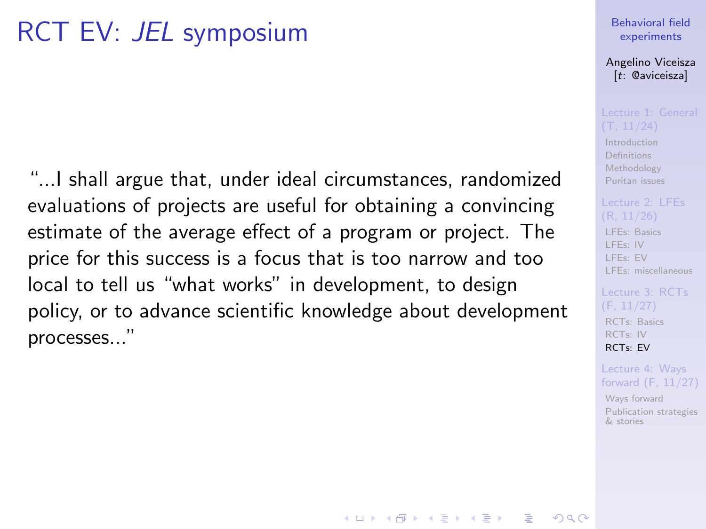"...I shall argue that, under ideal circumstances, randomized evaluations of projects are useful for obtaining a convincing estimate of the average effect of a program or project. The price for this success is a focus that is too narrow and too local to tell us "what works" in development, to design policy, or to advance scientific knowledge about development processes..."

### [Behavioral field](#page-0-0) experiments

Angelino Viceisza [t: @aviceisza]

[Introduction](#page-3-0) [Definitions](#page-7-0) [Methodology](#page-9-0) [Puritan issues](#page-20-0)

[LFEs: Basics](#page-29-0) [LFEs: IV](#page-31-0) [LFEs: EV](#page-40-0)

[LFEs: miscellaneous](#page-48-0)

[RCTs: Basics](#page-53-0) [RCTs: IV](#page-57-0) [RCTs: EV](#page-80-0)

Lecture 4: Ways [forward \(F, 11/27\)](#page-91-0)

[Ways forward](#page-92-0) [Publication strategies](#page-103-0) & stories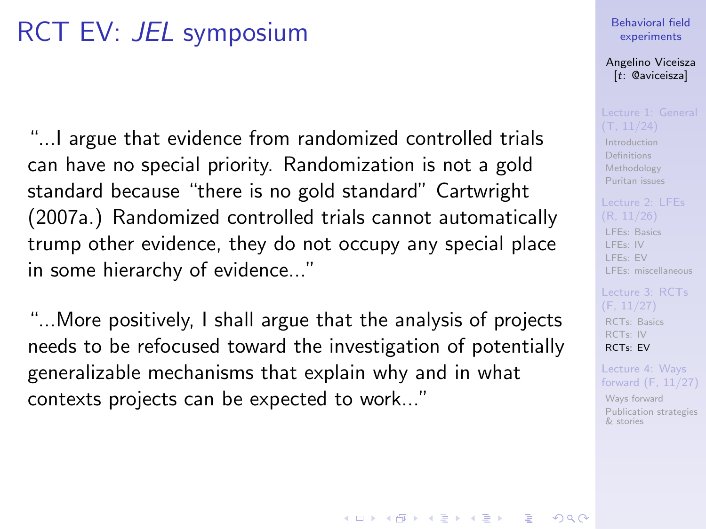"...I argue that evidence from randomized controlled trials can have no special priority. Randomization is not a gold standard because "there is no gold standard" Cartwright (2007a.) Randomized controlled trials cannot automatically trump other evidence, they do not occupy any special place in some hierarchy of evidence..."

"...More positively, I shall argue that the analysis of projects needs to be refocused toward the investigation of potentially generalizable mechanisms that explain why and in what contexts projects can be expected to work..."

### [Behavioral field](#page-0-0) experiments

Angelino Viceisza [t: @aviceisza]

[Introduction](#page-3-0) [Definitions](#page-7-0) [Methodology](#page-9-0) [Puritan issues](#page-20-0)

# [LFEs: Basics](#page-29-0)

[LFEs: IV](#page-31-0) [LFEs: EV](#page-40-0) [LFEs: miscellaneous](#page-48-0)

[RCTs: Basics](#page-53-0) [RCTs: IV](#page-57-0) [RCTs: EV](#page-80-0)

Lecture 4: Ways [forward \(F, 11/27\)](#page-91-0)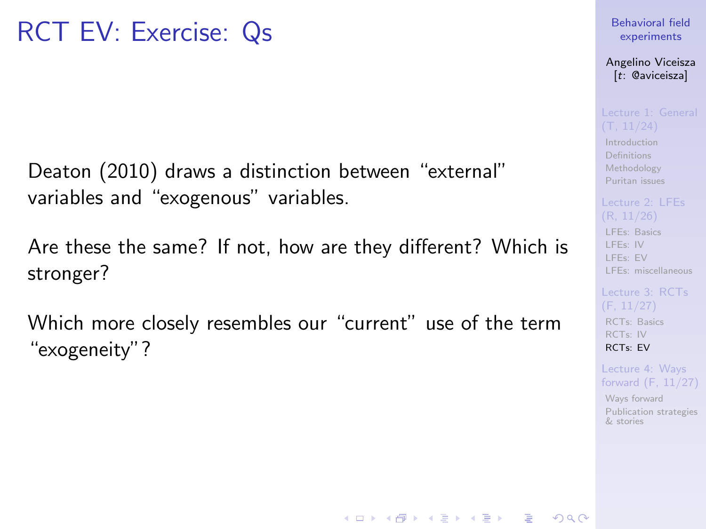Deaton (2010) draws a distinction between "external" variables and "exogenous" variables.

Are these the same? If not, how are they different? Which is stronger?

Which more closely resembles our "current" use of the term "exogeneity"?

**KORKA SERKER ORA** 

[Behavioral field](#page-0-0) experiments

Angelino Viceisza [t: @aviceisza]

[Introduction](#page-3-0) [Definitions](#page-7-0) [Methodology](#page-9-0) [Puritan issues](#page-20-0)

[LFEs: Basics](#page-29-0) [LFEs: IV](#page-31-0) [LFEs: EV](#page-40-0) [LFEs: miscellaneous](#page-48-0)

[RCTs: Basics](#page-53-0) [RCTs: IV](#page-57-0) [RCTs: EV](#page-80-0)

Lecture 4: Ways [forward \(F, 11/27\)](#page-91-0)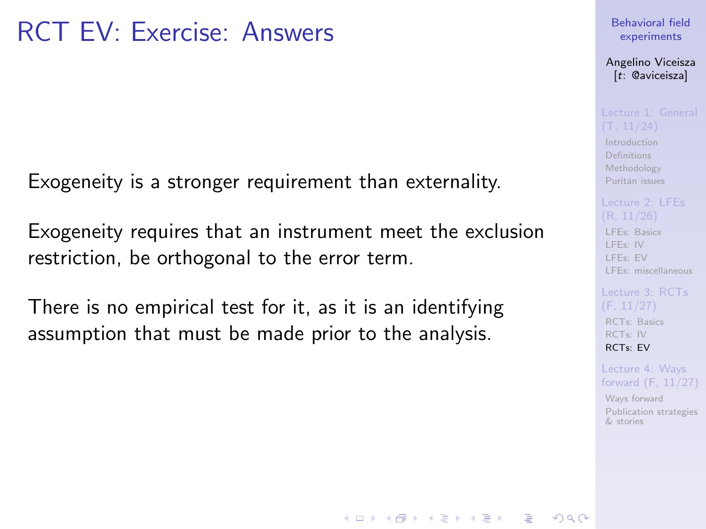Exogeneity is a stronger requirement than externality.

Exogeneity requires that an instrument meet the exclusion restriction, be orthogonal to the error term.

There is no empirical test for it, as it is an identifying assumption that must be made prior to the analysis.

### [Behavioral field](#page-0-0) experiments

Angelino Viceisza [t: @aviceisza]

[Introduction](#page-3-0) [Definitions](#page-7-0) [Methodology](#page-9-0) [Puritan issues](#page-20-0)

# [LFEs: Basics](#page-29-0)

[LFEs: IV](#page-31-0) [LFEs: EV](#page-40-0) [LFEs: miscellaneous](#page-48-0)

[RCTs: Basics](#page-53-0) [RCTs: IV](#page-57-0) [RCTs: EV](#page-80-0)

Lecture 4: Ways [forward \(F, 11/27\)](#page-91-0)

[Ways forward](#page-92-0) [Publication strategies](#page-103-0) & stories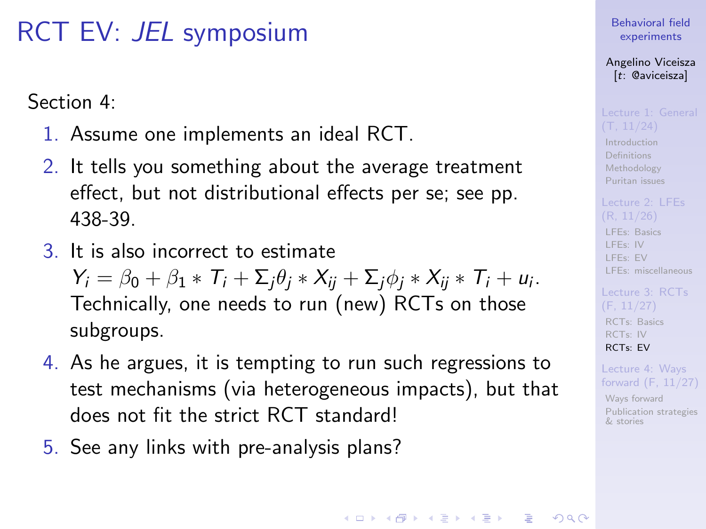Section 4:

- 1. Assume one implements an ideal RCT.
- 2. It tells you something about the average treatment effect, but not distributional effects per se; see pp. 438-39.
- 3. It is also incorrect to estimate

 $Y_i = \beta_0 + \beta_1 * T_i + \sum_j \theta_j * X_{ij} + \sum_j \phi_j * X_{ij} * T_i + u_i.$ Technically, one needs to run (new) RCTs on those subgroups.

- 4. As he argues, it is tempting to run such regressions to test mechanisms (via heterogeneous impacts), but that does not fit the strict RCT standard!
- 5. See any links with pre-analysis plans?

### [Behavioral field](#page-0-0) experiments

Angelino Viceisza [t: @aviceisza]

[Introduction](#page-3-0) [Definitions](#page-7-0) [Methodology](#page-9-0) [Puritan issues](#page-20-0)

[LFEs: Basics](#page-29-0) [LFEs: IV](#page-31-0) [LFEs: EV](#page-40-0) [LFEs: miscellaneous](#page-48-0)

[RCTs: Basics](#page-53-0) [RCTs: IV](#page-57-0) [RCTs: EV](#page-80-0)

Lecture 4: Ways [forward \(F, 11/27\)](#page-91-0)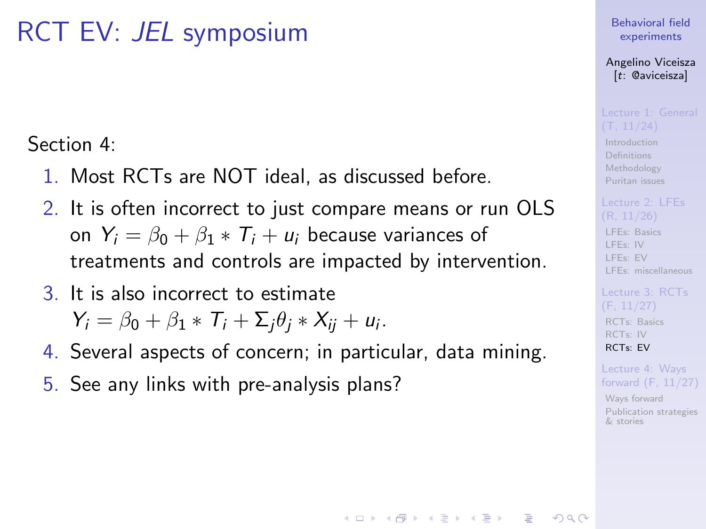Section 4:

- 1. Most RCTs are NOT ideal, as discussed before.
- 2. It is often incorrect to just compare means or run OLS on  $Y_i = \beta_0 + \beta_1 * T_i + u_i$  because variances of treatments and controls are impacted by intervention.
- 3. It is also incorrect to estimate  $Y_i = \beta_0 + \beta_1 * T_i + \sum_j \theta_j * X_{ij} + u_i.$
- 4. Several aspects of concern; in particular, data mining.

**KORKA SERKER ORA** 

5. See any links with pre-analysis plans?

### [Behavioral field](#page-0-0) experiments

Angelino Viceisza [t: @aviceisza]

[Introduction](#page-3-0) [Definitions](#page-7-0) [Methodology](#page-9-0) [Puritan issues](#page-20-0)

[LFEs: Basics](#page-29-0) [LFEs: IV](#page-31-0) [LFEs: EV](#page-40-0) [LFEs: miscellaneous](#page-48-0)

[RCTs: Basics](#page-53-0) [RCTs: IV](#page-57-0) [RCTs: EV](#page-80-0)

Lecture 4: Ways [forward \(F, 11/27\)](#page-91-0)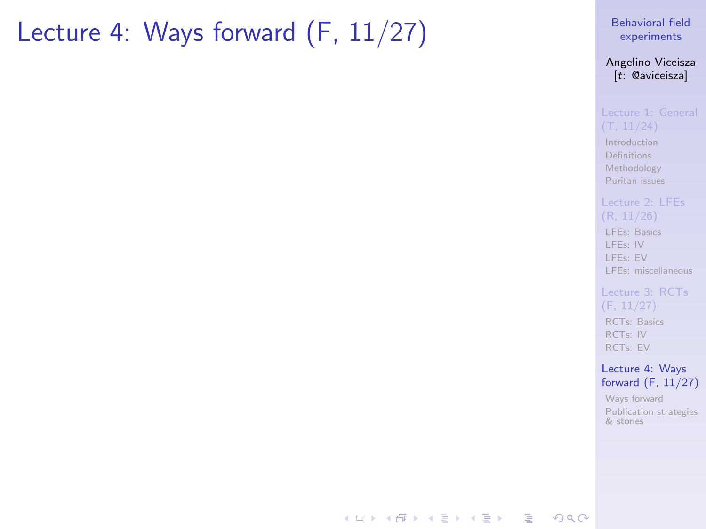## <span id="page-91-0"></span>Lecture 4: Ways forward (F, 11/27)

[Behavioral field](#page-0-0) experiments

Angelino Viceisza [t: @aviceisza]

[Introduction](#page-3-0) [Definitions](#page-7-0) [Methodology](#page-9-0) [Puritan issues](#page-20-0)

[LFEs: Basics](#page-29-0) [LFEs: IV](#page-31-0) [LFEs: EV](#page-40-0) [LFEs: miscellaneous](#page-48-0)

[Lecture 3: RCTs](#page-52-0) (F, 11/27) [RCTs: Basics](#page-53-0) [RCTs: IV](#page-57-0) [RCTs: EV](#page-80-0)

Lecture 4: Ways [forward \(F, 11/27\)](#page-91-0)

[Ways forward](#page-92-0) [Publication strategies](#page-103-0) & stories

**KORK EXTER A BY A GACK**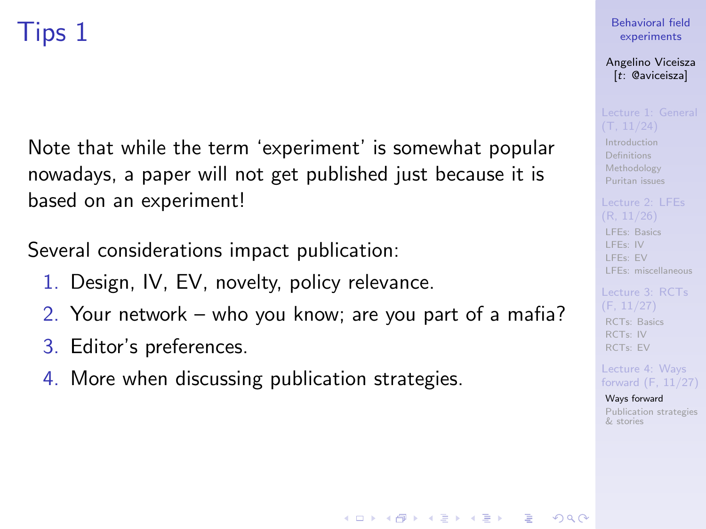<span id="page-92-0"></span>Note that while the term 'experiment' is somewhat popular nowadays, a paper will not get published just because it is based on an experiment!

Several considerations impact publication:

- 1. Design, IV, EV, novelty, policy relevance.
- 2. Your network who you know; are you part of a mafia?

**KORKA SERKER ORA** 

- 3. Editor's preferences.
- 4. More when discussing publication strategies.

### [Behavioral field](#page-0-0) experiments

Angelino Viceisza [t: @aviceisza]

[Introduction](#page-3-0) [Definitions](#page-7-0) [Methodology](#page-9-0) [Puritan issues](#page-20-0)

[LFEs: Basics](#page-29-0) [LFEs: IV](#page-31-0) [LFEs: EV](#page-40-0) [LFEs: miscellaneous](#page-48-0)

[RCTs: Basics](#page-53-0) [RCTs: IV](#page-57-0) [RCTs: EV](#page-80-0)

Lecture 4: Ways [forward \(F, 11/27\)](#page-91-0)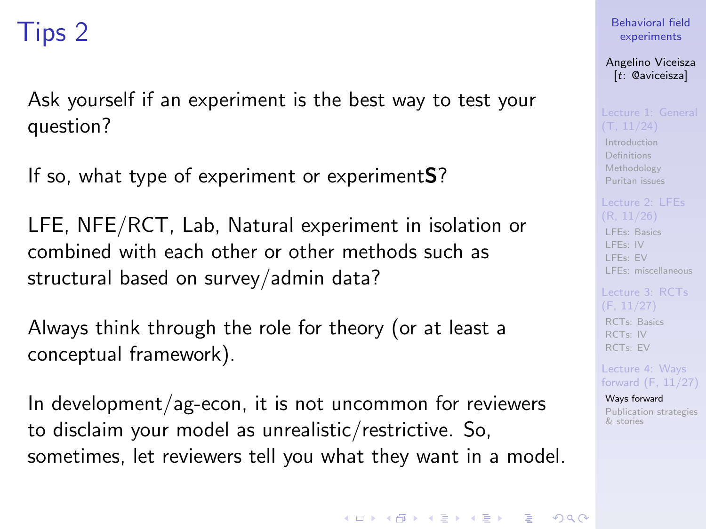Ask yourself if an experiment is the best way to test your question?

If so, what type of experiment or experimentS?

LFE, NFE/RCT, Lab, Natural experiment in isolation or combined with each other or other methods such as structural based on survey/admin data?

Always think through the role for theory (or at least a conceptual framework).

In development/ag-econ, it is not uncommon for reviewers to disclaim your model as unrealistic/restrictive. So, sometimes, let reviewers tell you what they want in a model. [Behavioral field](#page-0-0) experiments

Angelino Viceisza [t: @aviceisza]

[Introduction](#page-3-0) [Definitions](#page-7-0) [Methodology](#page-9-0) [Puritan issues](#page-20-0)

[LFEs: Basics](#page-29-0)

[LFEs: IV](#page-31-0) [LFEs: EV](#page-40-0) [LFEs: miscellaneous](#page-48-0)

[RCTs: Basics](#page-53-0) [RCTs: IV](#page-57-0) [RCTs: EV](#page-80-0)

Lecture 4: Ways [forward \(F, 11/27\)](#page-91-0)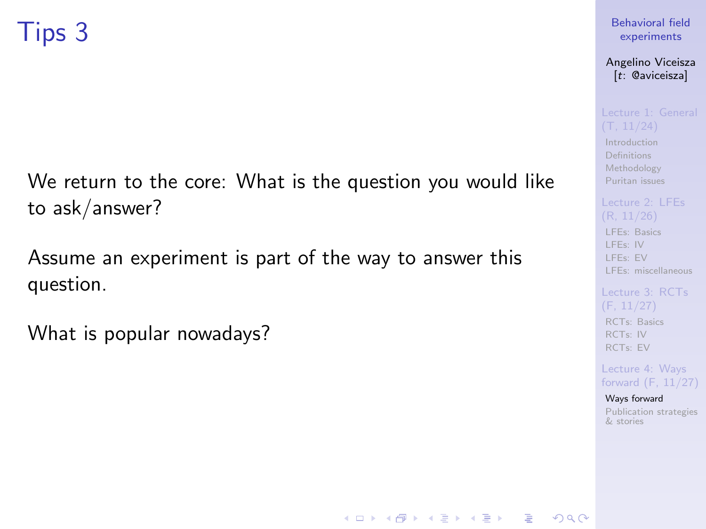We return to the core: What is the question you would like to ask/answer?

Assume an experiment is part of the way to answer this question.

What is popular nowadays?

### [Behavioral field](#page-0-0) experiments

Angelino Viceisza [t: @aviceisza]

[Introduction](#page-3-0) [Definitions](#page-7-0) [Methodology](#page-9-0) [Puritan issues](#page-20-0)

[LFEs: Basics](#page-29-0) [LFEs: IV](#page-31-0)

[LFEs: EV](#page-40-0) [LFEs: miscellaneous](#page-48-0)

[Lecture 3: RCTs](#page-52-0) [RCTs: Basics](#page-53-0) [RCTs: IV](#page-57-0) [RCTs: EV](#page-80-0)

Lecture 4: Ways [forward \(F, 11/27\)](#page-91-0)

[Ways forward](#page-92-0) [Publication strategies](#page-103-0) & stories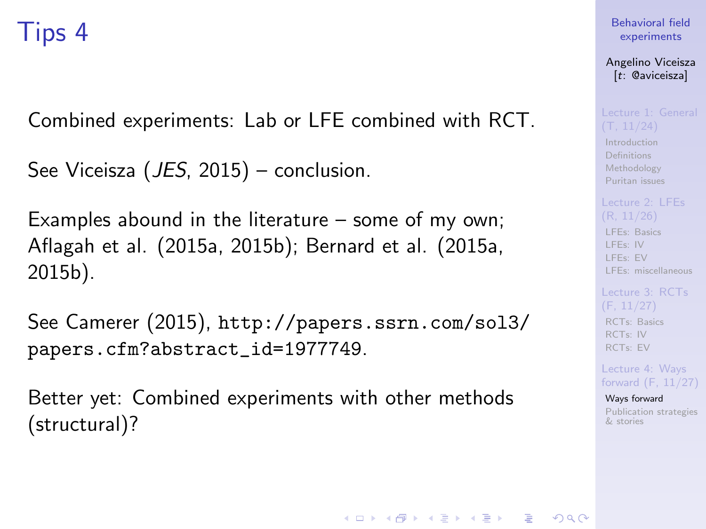Combined experiments: Lab or LFE combined with RCT.

```
See Viceisza (JES, 2015) – conclusion.
```
Examples abound in the literature – some of my own; Aflagah et al. (2015a, 2015b); Bernard et al. (2015a, 2015b).

See Camerer (2015), [http://papers.ssrn.com/sol3/](http://papers.ssrn.com/sol3/papers.cfm?abstract_id=1977749) [papers.cfm?abstract\\_id=1977749](http://papers.ssrn.com/sol3/papers.cfm?abstract_id=1977749).

Better yet: Combined experiments with other methods (structural)?

[Behavioral field](#page-0-0) experiments

Angelino Viceisza [t: @aviceisza]

[Introduction](#page-3-0) [Definitions](#page-7-0) [Methodology](#page-9-0) [Puritan issues](#page-20-0)

[LFEs: Basics](#page-29-0) [LFEs: IV](#page-31-0) [LFEs: EV](#page-40-0) [LFEs: miscellaneous](#page-48-0)

[RCTs: Basics](#page-53-0) [RCTs: IV](#page-57-0) [RCTs: EV](#page-80-0)

Lecture 4: Ways [forward \(F, 11/27\)](#page-91-0)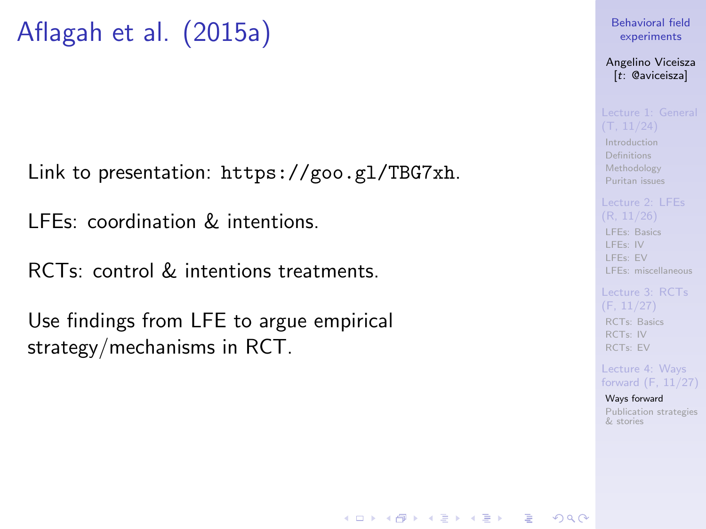Link to presentation: <https://goo.gl/TBG7xh>.

LFEs: coordination & intentions.

RCTs: control & intentions treatments.

Use findings from LFE to argue empirical strategy/mechanisms in RCT.

### [Behavioral field](#page-0-0) experiments

Angelino Viceisza [t: @aviceisza]

[Introduction](#page-3-0) [Definitions](#page-7-0) [Methodology](#page-9-0) [Puritan issues](#page-20-0)

[LFEs: Basics](#page-29-0) [LFEs: IV](#page-31-0) [LFEs: EV](#page-40-0) [LFEs: miscellaneous](#page-48-0)

## (F, 11/27) [RCTs: Basics](#page-53-0) [RCTs: IV](#page-57-0) [RCTs: EV](#page-80-0)

Lecture 4: Ways [forward \(F, 11/27\)](#page-91-0)

### [Ways forward](#page-92-0) [Publication strategies](#page-103-0) & stories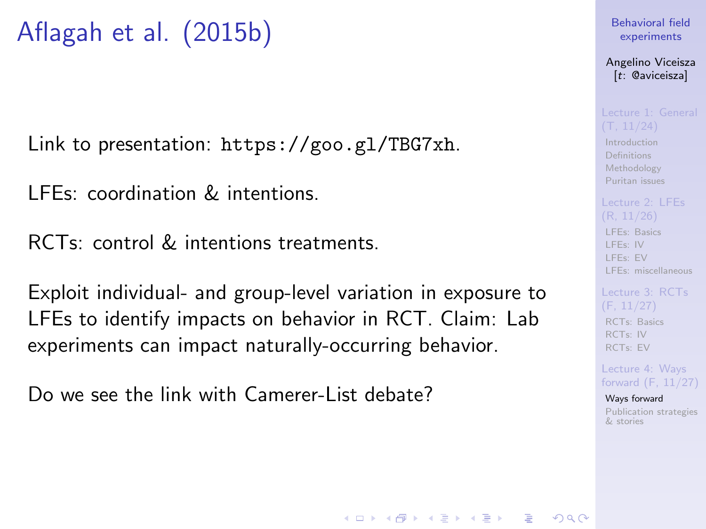## Aflagah et al. (2015b)

Link to presentation: <https://goo.gl/TBG7xh>.

LFEs: coordination & intentions.

RCTs: control & intentions treatments.

Exploit individual- and group-level variation in exposure to LFEs to identify impacts on behavior in RCT. Claim: Lab experiments can impact naturally-occurring behavior.

Do we see the link with Camerer-List debate?

### [Behavioral field](#page-0-0) experiments

Angelino Viceisza [t: @aviceisza]

[Introduction](#page-3-0) [Definitions](#page-7-0) [Methodology](#page-9-0) [Puritan issues](#page-20-0)

[LFEs: Basics](#page-29-0) [LFEs: IV](#page-31-0) [LFEs: EV](#page-40-0) [LFEs: miscellaneous](#page-48-0)

[RCTs: Basics](#page-53-0) [RCTs: IV](#page-57-0) [RCTs: EV](#page-80-0)

Lecture 4: Ways [forward \(F, 11/27\)](#page-91-0)

[Ways forward](#page-92-0) [Publication strategies](#page-103-0) & stories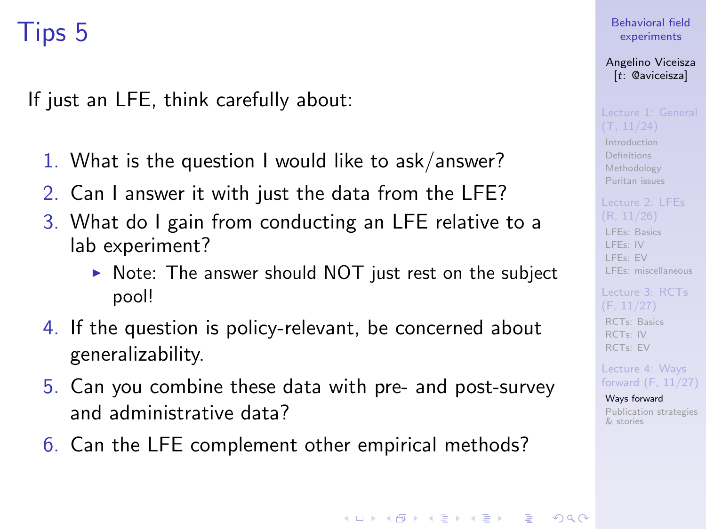If just an LFE, think carefully about:

- 1. What is the question I would like to ask/answer?
- 2. Can I answer it with just the data from the LFE?
- 3. What do I gain from conducting an LFE relative to a lab experiment?
	- $\triangleright$  Note: The answer should NOT just rest on the subject pool!
- 4. If the question is policy-relevant, be concerned about generalizability.
- 5. Can you combine these data with pre- and post-survey and administrative data?
- 6. Can the LFE complement other empirical methods?

[Behavioral field](#page-0-0) experiments

Angelino Viceisza [t: @aviceisza]

[Introduction](#page-3-0) [Definitions](#page-7-0) [Methodology](#page-9-0) [Puritan issues](#page-20-0)

[LFEs: Basics](#page-29-0) [LFEs: IV](#page-31-0) [LFEs: EV](#page-40-0) [LFEs: miscellaneous](#page-48-0)

[RCTs: Basics](#page-53-0) [RCTs: IV](#page-57-0) [RCTs: EV](#page-80-0)

Lecture 4: Ways [forward \(F, 11/27\)](#page-91-0)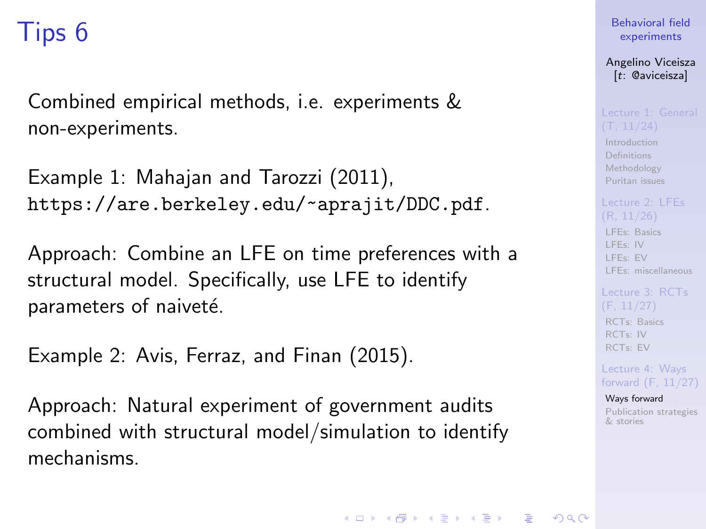Combined empirical methods, i.e. experiments & non-experiments.

Example 1: Mahajan and Tarozzi (2011), <https://are.berkeley.edu/~aprajit/DDC.pdf>.

Approach: Combine an LFE on time preferences with a structural model. Specifically, use LFE to identify parameters of naiveté.

Example 2: Avis, Ferraz, and Finan (2015).

Approach: Natural experiment of government audits combined with structural model/simulation to identify mechanisms.

[Behavioral field](#page-0-0) experiments

Angelino Viceisza [t: @aviceisza]

[Introduction](#page-3-0) [Definitions](#page-7-0) [Methodology](#page-9-0) [Puritan issues](#page-20-0)

[LFEs: Basics](#page-29-0) [LFEs: IV](#page-31-0) [LFEs: EV](#page-40-0) [LFEs: miscellaneous](#page-48-0)

[RCTs: Basics](#page-53-0) [RCTs: IV](#page-57-0) [RCTs: EV](#page-80-0)

Lecture 4: Ways [forward \(F, 11/27\)](#page-91-0)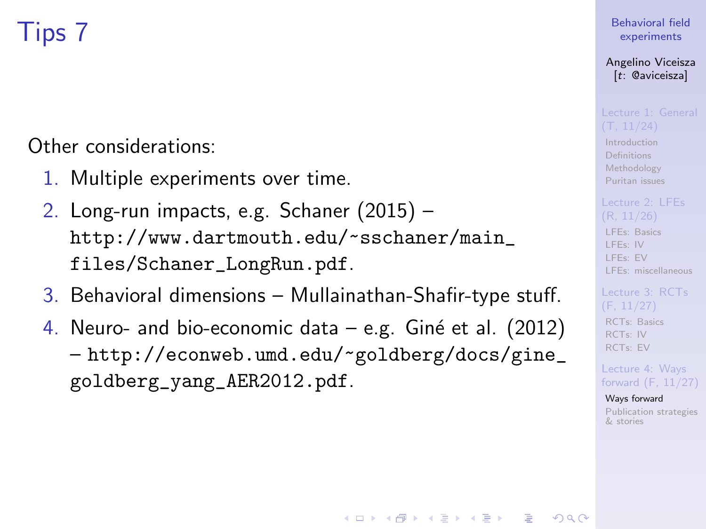Other considerations:

- 1. Multiple experiments over time.
- 2. Long-run impacts, e.g. Schaner (2015) [http://www.dartmouth.edu/~sschaner/main\\_](http://www.dartmouth.edu/~sschaner/main_files/Schaner_LongRun.pdf) [files/Schaner\\_LongRun.pdf](http://www.dartmouth.edu/~sschaner/main_files/Schaner_LongRun.pdf).
- 3. Behavioral dimensions Mullainathan-Shafir-type stuff.
- 4. Neuro- and bio-economic data  $-$  e.g. Giné et al. (2012) – [http://econweb.umd.edu/~goldberg/docs/gine\\_](http://econweb.umd.edu/~goldberg/docs/gine_goldberg_yang_AER2012.pdf) [goldberg\\_yang\\_AER2012.pdf](http://econweb.umd.edu/~goldberg/docs/gine_goldberg_yang_AER2012.pdf).

**KORKA SERKER ORA** 

### [Behavioral field](#page-0-0) experiments

### Angelino Viceisza [t: @aviceisza]

[Introduction](#page-3-0) [Definitions](#page-7-0) [Methodology](#page-9-0) [Puritan issues](#page-20-0)

## [LFEs: Basics](#page-29-0) [LFEs: IV](#page-31-0)

[LFEs: EV](#page-40-0) [LFEs: miscellaneous](#page-48-0)

[RCTs: Basics](#page-53-0) [RCTs: IV](#page-57-0) [RCTs: EV](#page-80-0)

Lecture 4: Ways [forward \(F, 11/27\)](#page-91-0)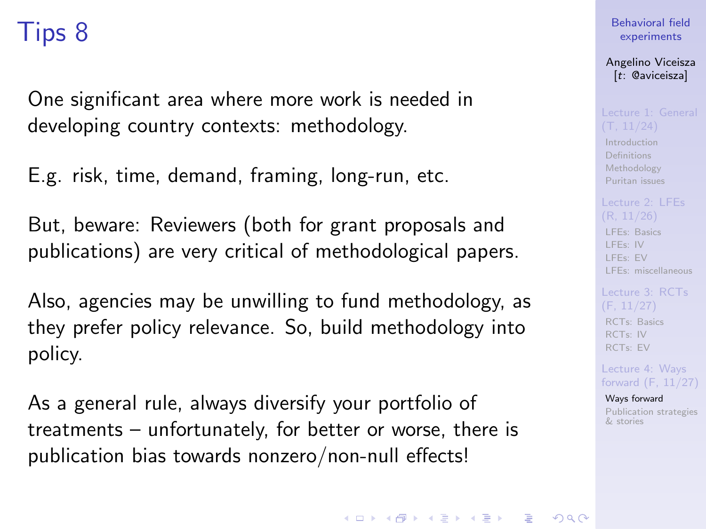One significant area where more work is needed in developing country contexts: methodology.

E.g. risk, time, demand, framing, long-run, etc.

But, beware: Reviewers (both for grant proposals and publications) are very critical of methodological papers.

Also, agencies may be unwilling to fund methodology, as they prefer policy relevance. So, build methodology into policy.

As a general rule, always diversify your portfolio of treatments – unfortunately, for better or worse, there is publication bias towards nonzero/non-null effects!

### [Behavioral field](#page-0-0) experiments

Angelino Viceisza [t: @aviceisza]

[Introduction](#page-3-0) [Definitions](#page-7-0) [Methodology](#page-9-0) [Puritan issues](#page-20-0)

[LFEs: Basics](#page-29-0) [LFEs: IV](#page-31-0) [LFEs: EV](#page-40-0) [LFEs: miscellaneous](#page-48-0)

[RCTs: Basics](#page-53-0) [RCTs: IV](#page-57-0) [RCTs: EV](#page-80-0)

Lecture 4: Ways [forward \(F, 11/27\)](#page-91-0)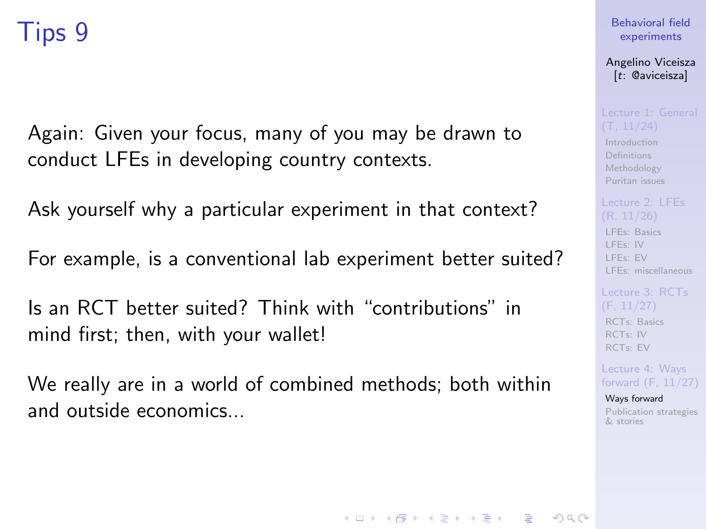Again: Given your focus, many of you may be drawn to conduct LFEs in developing country contexts.

Ask yourself why a particular experiment in that context?

For example, is a conventional lab experiment better suited?

Is an RCT better suited? Think with "contributions" in mind first; then, with your wallet!

We really are in a world of combined methods; both within and outside economics...

### [Behavioral field](#page-0-0) experiments

Angelino Viceisza [t: @aviceisza]

[Introduction](#page-3-0) [Definitions](#page-7-0) [Methodology](#page-9-0) [Puritan issues](#page-20-0)

[LFEs: Basics](#page-29-0) [LFEs: IV](#page-31-0) [LFEs: EV](#page-40-0) [LFEs: miscellaneous](#page-48-0)

[RCTs: Basics](#page-53-0) [RCTs: IV](#page-57-0) [RCTs: EV](#page-80-0)

Lecture 4: Ways [forward \(F, 11/27\)](#page-91-0)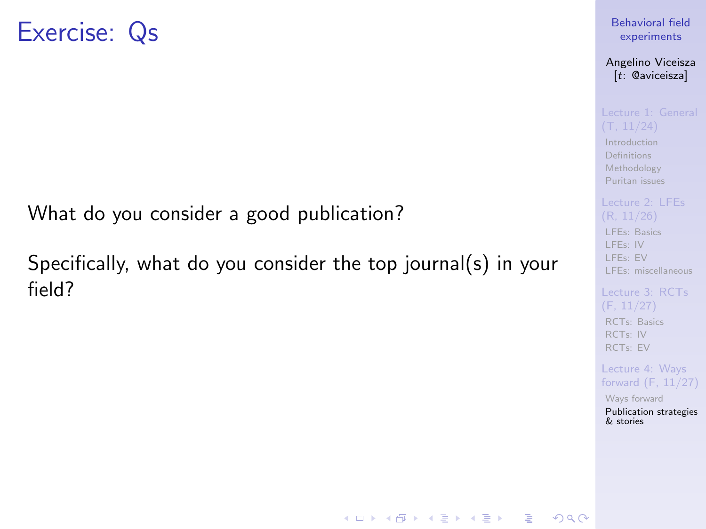<span id="page-103-0"></span>What do you consider a good publication?

Specifically, what do you consider the top journal(s) in your field?

[Behavioral field](#page-0-0) experiments

Angelino Viceisza [t: @aviceisza]

[Introduction](#page-3-0) [Definitions](#page-7-0) [Methodology](#page-9-0) [Puritan issues](#page-20-0)

[LFEs: Basics](#page-29-0) [LFEs: IV](#page-31-0) [LFEs: EV](#page-40-0) [LFEs: miscellaneous](#page-48-0)

[RCTs: Basics](#page-53-0) [RCTs: IV](#page-57-0) [RCTs: EV](#page-80-0)

Lecture 4: Ways [forward \(F, 11/27\)](#page-91-0)

[Ways forward](#page-92-0) [Publication strategies](#page-103-0) & stories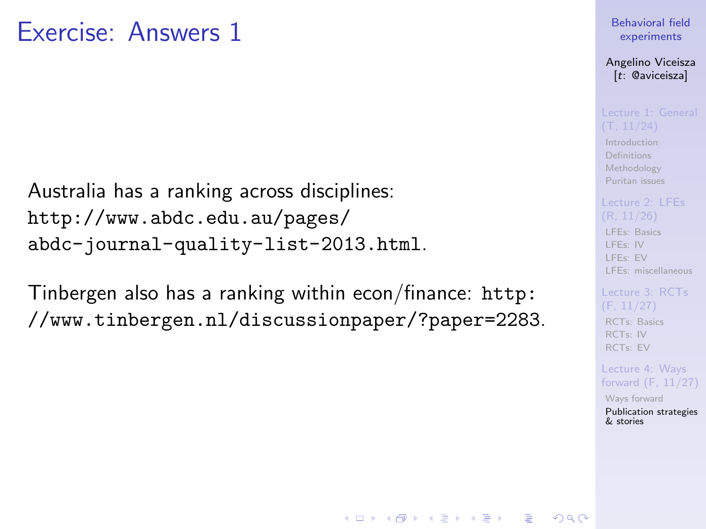## Exercise: Answers 1

Australia has a ranking across disciplines: [http://www.abdc.edu.au/pages/](http://www.abdc.edu.au/pages/abdc-journal-quality-list-2013.html) [abdc-journal-quality-list-2013.html](http://www.abdc.edu.au/pages/abdc-journal-quality-list-2013.html).

Tinbergen also has a ranking within econ/finance: [http:](http://www.tinbergen.nl/discussionpaper/?paper=2283) [//www.tinbergen.nl/discussionpaper/?paper=2283](http://www.tinbergen.nl/discussionpaper/?paper=2283).

### [Behavioral field](#page-0-0) experiments

Angelino Viceisza [t: @aviceisza]

[Introduction](#page-3-0) [Definitions](#page-7-0) [Methodology](#page-9-0) [Puritan issues](#page-20-0)

# [LFEs: Basics](#page-29-0)

[LFEs: IV](#page-31-0) [LFEs: EV](#page-40-0) [LFEs: miscellaneous](#page-48-0)

## [RCTs: Basics](#page-53-0) [RCTs: IV](#page-57-0) [RCTs: EV](#page-80-0)

Lecture 4: Ways [forward \(F, 11/27\)](#page-91-0)

[Ways forward](#page-92-0) [Publication strategies](#page-103-0) & stories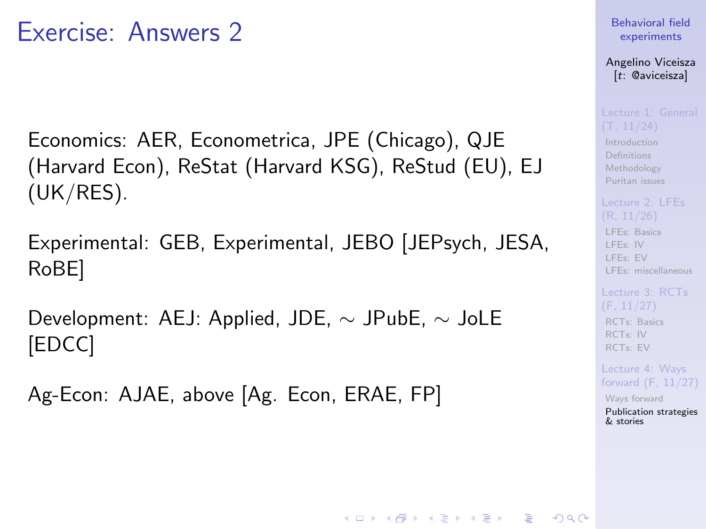## Exercise: Answers 2

Economics: AER, Econometrica, JPE (Chicago), QJE (Harvard Econ), ReStat (Harvard KSG), ReStud (EU), EJ (UK/RES).

Experimental: GEB, Experimental, JEBO [JEPsych, JESA, RoBE]

Development: AEJ: Applied, JDE, ∼ JPubE, ∼ JoLE [EDCC]

Ag-Econ: AJAE, above [Ag. Econ, ERAE, FP]

### [Behavioral field](#page-0-0) experiments

Angelino Viceisza [t: @aviceisza]

[Introduction](#page-3-0) [Definitions](#page-7-0) [Methodology](#page-9-0) [Puritan issues](#page-20-0)

[LFEs: Basics](#page-29-0) [LFEs: IV](#page-31-0) [LFEs: EV](#page-40-0) [LFEs: miscellaneous](#page-48-0)

[RCTs: Basics](#page-53-0) [RCTs: IV](#page-57-0) [RCTs: EV](#page-80-0)

Lecture 4: Ways [forward \(F, 11/27\)](#page-91-0)

[Ways forward](#page-92-0) [Publication strategies](#page-103-0) & stories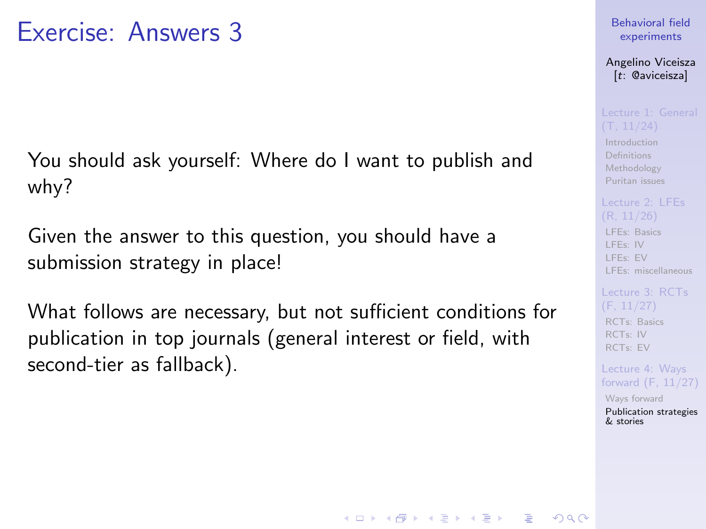You should ask yourself: Where do I want to publish and why?

Given the answer to this question, you should have a submission strategy in place!

What follows are necessary, but not sufficient conditions for publication in top journals (general interest or field, with second-tier as fallback).

### [Behavioral field](#page-0-0) experiments

Angelino Viceisza [t: @aviceisza]

[Introduction](#page-3-0) [Definitions](#page-7-0) [Methodology](#page-9-0) [Puritan issues](#page-20-0)

[LFEs: Basics](#page-29-0) [LFEs: IV](#page-31-0) [LFEs: EV](#page-40-0)

[LFEs: miscellaneous](#page-48-0)

[RCTs: Basics](#page-53-0) [RCTs: IV](#page-57-0) [RCTs: EV](#page-80-0)

Lecture 4: Ways [forward \(F, 11/27\)](#page-91-0)

[Ways forward](#page-92-0) [Publication strategies](#page-103-0) & stories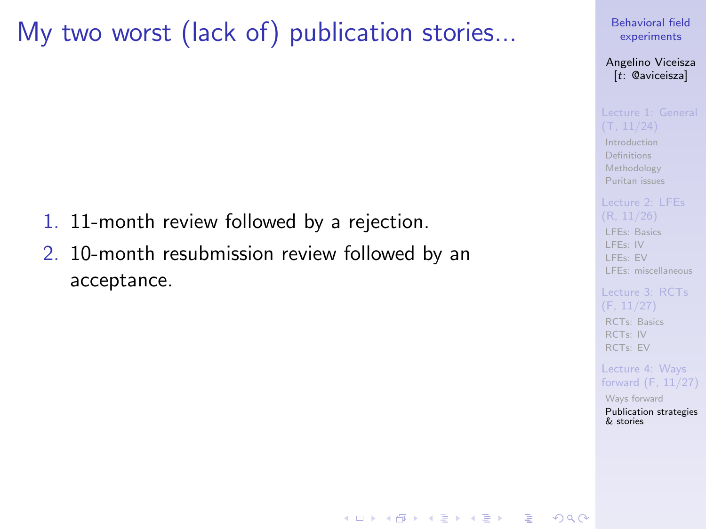## My two worst (lack of) publication stories...

- 1. 11-month review followed by a rejection.
- 2. 10-month resubmission review followed by an acceptance.

### [Behavioral field](#page-0-0) experiments

Angelino Viceisza [t: @aviceisza]

[Introduction](#page-3-0) [Definitions](#page-7-0) [Methodology](#page-9-0) [Puritan issues](#page-20-0)

[LFEs: Basics](#page-29-0) [LFEs: IV](#page-31-0) [LFEs: EV](#page-40-0) [LFEs: miscellaneous](#page-48-0)

[Lecture 3: RCTs](#page-52-0) [RCTs: Basics](#page-53-0) [RCTs: IV](#page-57-0) [RCTs: EV](#page-80-0)

Lecture 4: Ways [forward \(F, 11/27\)](#page-91-0)

[Ways forward](#page-92-0) [Publication strategies](#page-103-0) & stories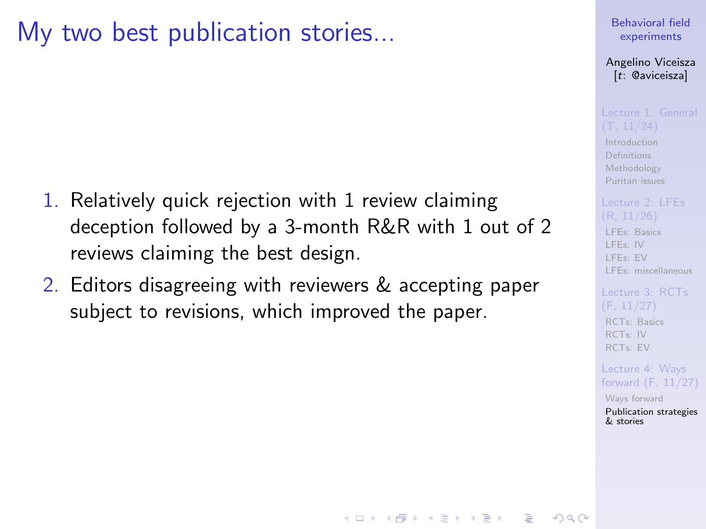## My two best publication stories...

- 1. Relatively quick rejection with 1 review claiming deception followed by a 3-month R&R with 1 out of 2 reviews claiming the best design.
- 2. Editors disagreeing with reviewers & accepting paper subject to revisions, which improved the paper.

### [Behavioral field](#page-0-0) experiments

Angelino Viceisza [t: @aviceisza]

**[Introduction](#page-3-0)** [Definitions](#page-7-0) [Methodology](#page-9-0) [Puritan issues](#page-20-0)

# [LFEs: Basics](#page-29-0)

[LFEs: IV](#page-31-0) [LFEs: EV](#page-40-0) [LFEs: miscellaneous](#page-48-0)

[RCTs: Basics](#page-53-0) [RCTs: IV](#page-57-0) [RCTs: EV](#page-80-0)

Lecture 4: Ways [forward \(F, 11/27\)](#page-91-0)

[Ways forward](#page-92-0) [Publication strategies](#page-103-0) & stories

**KORKA SERKER ORA**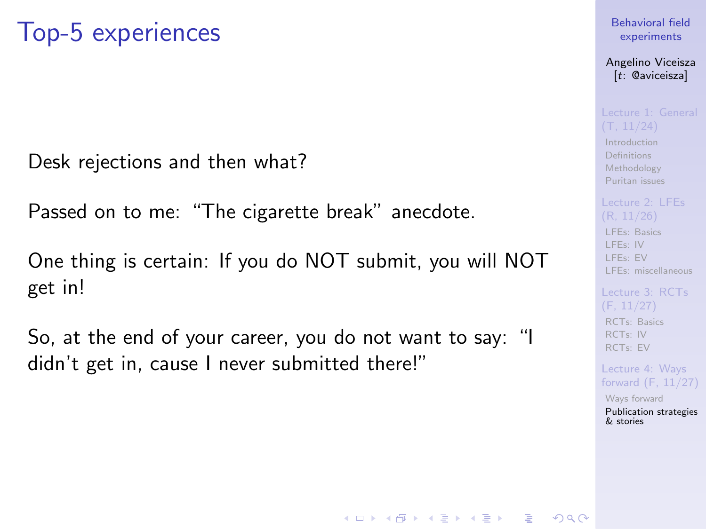Desk rejections and then what?

Passed on to me: "The cigarette break" anecdote.

One thing is certain: If you do NOT submit, you will NOT get in!

So, at the end of your career, you do not want to say: "I didn't get in, cause I never submitted there!"

### [Behavioral field](#page-0-0) experiments

Angelino Viceisza [t: @aviceisza]

[Introduction](#page-3-0) [Definitions](#page-7-0) [Methodology](#page-9-0) [Puritan issues](#page-20-0)

[LFEs: Basics](#page-29-0) [LFEs: IV](#page-31-0) [LFEs: EV](#page-40-0) [LFEs: miscellaneous](#page-48-0)

[RCTs: Basics](#page-53-0) [RCTs: IV](#page-57-0) [RCTs: EV](#page-80-0)

Lecture 4: Ways [forward \(F, 11/27\)](#page-91-0)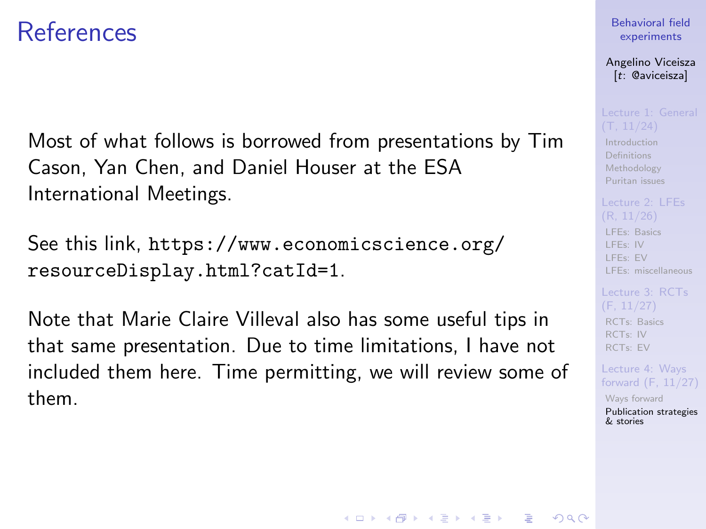## **References**

Most of what follows is borrowed from presentations by Tim Cason, Yan Chen, and Daniel Houser at the ESA International Meetings.

See this link, [https://www.economicscience.org/](https://www.economicscience.org/resourceDisplay.html?catId=1) [resourceDisplay.html?catId=1](https://www.economicscience.org/resourceDisplay.html?catId=1).

Note that Marie Claire Villeval also has some useful tips in that same presentation. Due to time limitations, I have not included them here. Time permitting, we will review some of them.

### [Behavioral field](#page-0-0) experiments

Angelino Viceisza [t: @aviceisza]

[Introduction](#page-3-0) [Definitions](#page-7-0) [Methodology](#page-9-0) [Puritan issues](#page-20-0)

[LFEs: Basics](#page-29-0) [LFEs: IV](#page-31-0) [LFEs: EV](#page-40-0) [LFEs: miscellaneous](#page-48-0)

[RCTs: Basics](#page-53-0) [RCTs: IV](#page-57-0) [RCTs: EV](#page-80-0)

Lecture 4: Ways [forward \(F, 11/27\)](#page-91-0) [Ways forward](#page-92-0)

[Publication strategies](#page-103-0) & stories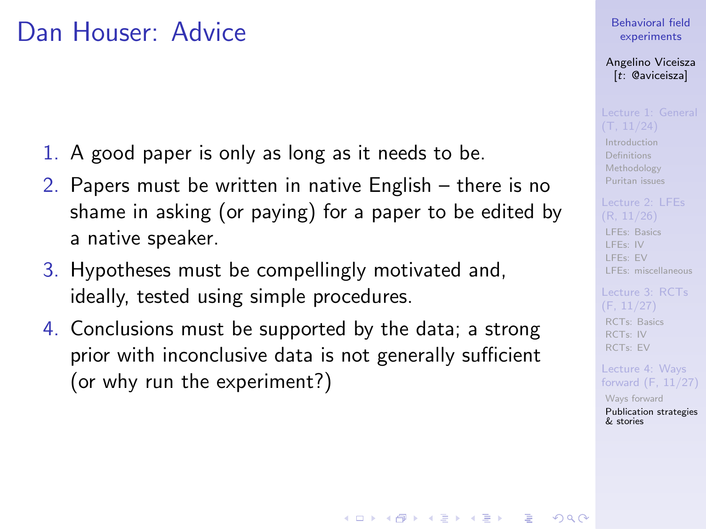## Dan Houser: Advice

- 1. A good paper is only as long as it needs to be.
- 2. Papers must be written in native English there is no shame in asking (or paying) for a paper to be edited by a native speaker.
- 3. Hypotheses must be compellingly motivated and, ideally, tested using simple procedures.
- 4. Conclusions must be supported by the data; a strong prior with inconclusive data is not generally sufficient (or why run the experiment?)

### [Behavioral field](#page-0-0) experiments

Angelino Viceisza [t: @aviceisza]

[Introduction](#page-3-0) [Definitions](#page-7-0) [Methodology](#page-9-0) [Puritan issues](#page-20-0)

[LFEs: Basics](#page-29-0) [LFEs: IV](#page-31-0) [LFEs: EV](#page-40-0) [LFEs: miscellaneous](#page-48-0)

[RCTs: Basics](#page-53-0) [RCTs: IV](#page-57-0) [RCTs: EV](#page-80-0)

Lecture 4: Ways [forward \(F, 11/27\)](#page-91-0)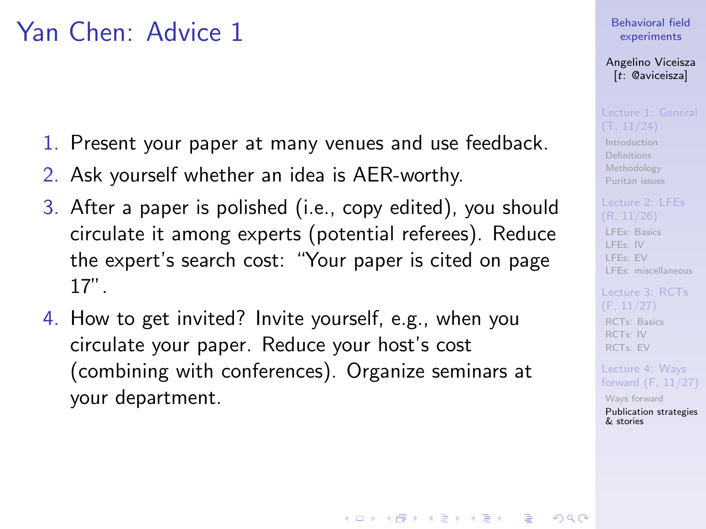## Yan Chen: Advice 1

- 1. Present your paper at many venues and use feedback.
- 2. Ask yourself whether an idea is AER-worthy.
- 3. After a paper is polished (i.e., copy edited), you should circulate it among experts (potential referees). Reduce the expert's search cost: "Your paper is cited on page 17".
- 4. How to get invited? Invite yourself, e.g., when you circulate your paper. Reduce your host's cost (combining with conferences). Organize seminars at your department.

### [Behavioral field](#page-0-0) experiments

Angelino Viceisza [t: @aviceisza]

[Introduction](#page-3-0) [Definitions](#page-7-0) [Methodology](#page-9-0) [Puritan issues](#page-20-0)

[LFEs: Basics](#page-29-0) [LFEs: IV](#page-31-0) [LFEs: EV](#page-40-0) [LFEs: miscellaneous](#page-48-0)

[RCTs: Basics](#page-53-0) [RCTs: IV](#page-57-0) [RCTs: EV](#page-80-0)

Lecture 4: Ways [forward \(F, 11/27\)](#page-91-0)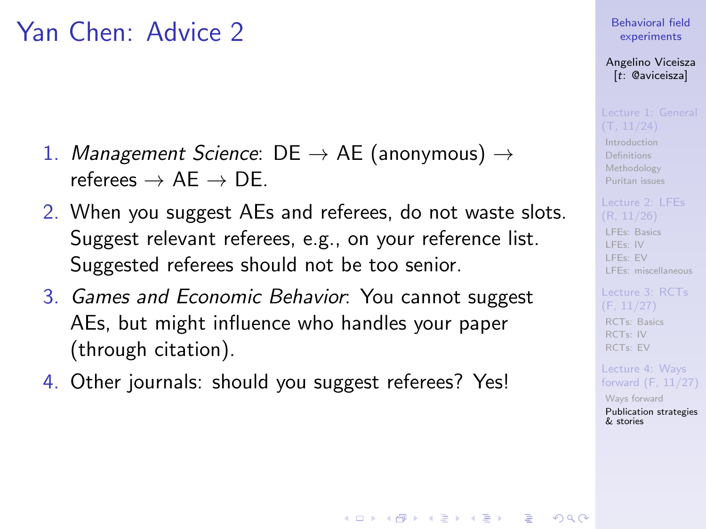## Yan Chen: Advice 2

- 1. Management Science:  $DE \rightarrow AE$  (anonymous)  $\rightarrow$ referees  $\rightarrow$  AF  $\rightarrow$  DE.
- 2. When you suggest AEs and referees, do not waste slots. Suggest relevant referees, e.g., on your reference list. Suggested referees should not be too senior.
- 3. Games and Economic Behavior: You cannot suggest AEs, but might influence who handles your paper (through citation).
- 4. Other journals: should you suggest referees? Yes!

### [Behavioral field](#page-0-0) experiments

Angelino Viceisza [t: @aviceisza]

[Introduction](#page-3-0) [Definitions](#page-7-0) [Methodology](#page-9-0) [Puritan issues](#page-20-0)

[LFEs: Basics](#page-29-0) [LFEs: IV](#page-31-0) [LFEs: EV](#page-40-0) [LFEs: miscellaneous](#page-48-0)

[RCTs: Basics](#page-53-0) [RCTs: IV](#page-57-0) [RCTs: EV](#page-80-0)

Lecture 4: Ways [forward \(F, 11/27\)](#page-91-0)

[Ways forward](#page-92-0) [Publication strategies](#page-103-0) & stories

**KORKA SERKER ORA**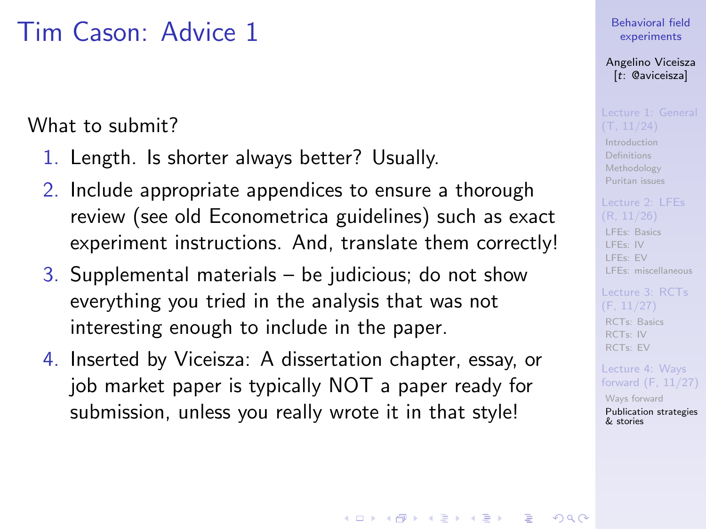## Tim Cason: Advice 1

What to submit?

- 1. Length. Is shorter always better? Usually.
- 2. Include appropriate appendices to ensure a thorough review (see old Econometrica guidelines) such as exact experiment instructions. And, translate them correctly!
- 3. Supplemental materials  $-$  be judicious; do not show everything you tried in the analysis that was not interesting enough to include in the paper.
- 4. Inserted by Viceisza: A dissertation chapter, essay, or job market paper is typically NOT a paper ready for submission, unless you really wrote it in that style!

### [Behavioral field](#page-0-0) experiments

Angelino Viceisza [t: @aviceisza]

[Introduction](#page-3-0) [Definitions](#page-7-0) [Methodology](#page-9-0) [Puritan issues](#page-20-0)

[LFEs: Basics](#page-29-0) [LFEs: IV](#page-31-0) [LFEs: EV](#page-40-0) [LFEs: miscellaneous](#page-48-0)

[RCTs: Basics](#page-53-0) [RCTs: IV](#page-57-0) [RCTs: EV](#page-80-0)

Lecture 4: Ways [forward \(F, 11/27\)](#page-91-0)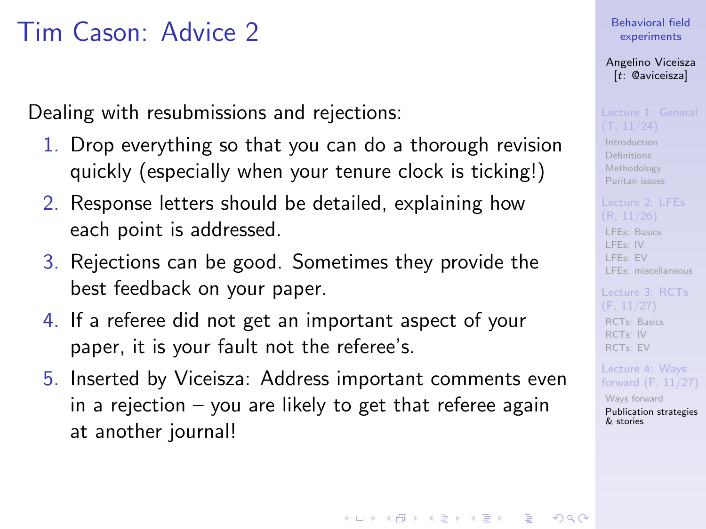## Tim Cason: Advice 2

Dealing with resubmissions and rejections:

- 1. Drop everything so that you can do a thorough revision quickly (especially when your tenure clock is ticking!)
- 2. Response letters should be detailed, explaining how each point is addressed.
- 3. Rejections can be good. Sometimes they provide the best feedback on your paper.
- 4. If a referee did not get an important aspect of your paper, it is your fault not the referee's.
- 5. Inserted by Viceisza: Address important comments even in a rejection – you are likely to get that referee again at another journal!

### [Behavioral field](#page-0-0) experiments

Angelino Viceisza [t: @aviceisza]

[Introduction](#page-3-0) [Definitions](#page-7-0) [Methodology](#page-9-0) [Puritan issues](#page-20-0)

[LFEs: Basics](#page-29-0) [LFEs: IV](#page-31-0) [LFEs: EV](#page-40-0) [LFEs: miscellaneous](#page-48-0)

[RCTs: Basics](#page-53-0) [RCTs: IV](#page-57-0) [RCTs: EV](#page-80-0)

Lecture 4: Ways [forward \(F, 11/27\)](#page-91-0)